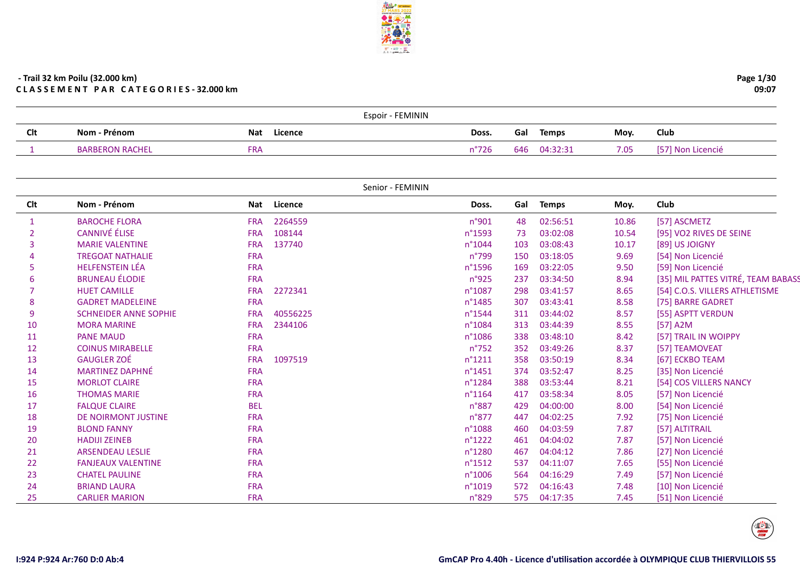|            |              |                       | Espoir - FEMININ |     |              |      |              |
|------------|--------------|-----------------------|------------------|-----|--------------|------|--------------|
| <b>Clt</b> | Nom - Prénom | Licence<br><b>Nat</b> | Doss.            | Gal | <b>Temps</b> | Mov  | Club         |
|            |              | <b>FRA</b>            | 726              | 646 | 01.32.31     | 7.05 | Non Licencié |

|     | Senior - FEMININ             |            |                |                  |     |              |       |                                    |  |  |
|-----|------------------------------|------------|----------------|------------------|-----|--------------|-------|------------------------------------|--|--|
| Clt | Nom - Prénom                 | Nat        | <b>Licence</b> | Doss.            | Gal | <b>Temps</b> | Moy.  | Club                               |  |  |
| 1   | <b>BAROCHE FLORA</b>         | <b>FRA</b> | 2264559        | n°901            | 48  | 02:56:51     | 10.86 | [57] ASCMETZ                       |  |  |
|     | <b>CANNIVÉ ÉLISE</b>         | <b>FRA</b> | 108144         | n°1593           | 73  | 03:02:08     | 10.54 | [95] VO2 RIVES DE SEINE            |  |  |
| 3   | <b>MARIE VALENTINE</b>       | <b>FRA</b> | 137740         | n°1044           | 103 | 03:08:43     | 10.17 | [89] US JOIGNY                     |  |  |
| 4   | <b>TREGOAT NATHALIE</b>      | <b>FRA</b> |                | n°799            | 150 | 03:18:05     | 9.69  | [54] Non Licencié                  |  |  |
| 5   | <b>HELFENSTEIN LÉA</b>       | <b>FRA</b> |                | n°1596           | 169 | 03:22:05     | 9.50  | [59] Non Licencié                  |  |  |
| 6   | <b>BRUNEAU ÉLODIE</b>        | <b>FRA</b> |                | n°925            | 237 | 03:34:50     | 8.94  | [35] MIL PATTES VITRÉ, TEAM BABASS |  |  |
|     | <b>HUET CAMILLE</b>          | <b>FRA</b> | 2272341        | n°1087           | 298 | 03:41:57     | 8.65  | [54] C.O.S. VILLERS ATHLETISME     |  |  |
| 8   | <b>GADRET MADELEINE</b>      | <b>FRA</b> |                | n°1485           | 307 | 03:43:41     | 8.58  | [75] BARRE GADRET                  |  |  |
| 9   | <b>SCHNEIDER ANNE SOPHIE</b> | <b>FRA</b> | 40556225       | n°1544           | 311 | 03:44:02     | 8.57  | [55] ASPTT VERDUN                  |  |  |
| 10  | <b>MORA MARINE</b>           | <b>FRA</b> | 2344106        | n°1084           | 313 | 03:44:39     | 8.55  | $[57]$ A2M                         |  |  |
| 11  | <b>PANE MAUD</b>             | <b>FRA</b> |                | n°1086           | 338 | 03:48:10     | 8.42  | [57] TRAIL IN WOIPPY               |  |  |
| 12  | <b>COINUS MIRABELLE</b>      | <b>FRA</b> |                | $n^{\circ}752$   | 352 | 03:49:26     | 8.37  | [57] TEAMOVEAT                     |  |  |
| 13  | <b>GAUGLER ZOÉ</b>           | <b>FRA</b> | 1097519        | $n^{\circ}1211$  | 358 | 03:50:19     | 8.34  | [67] ECKBO TEAM                    |  |  |
| 14  | <b>MARTINEZ DAPHNÉ</b>       | <b>FRA</b> |                | n°1451           | 374 | 03:52:47     | 8.25  | [35] Non Licencié                  |  |  |
| 15  | <b>MORLOT CLAIRE</b>         | <b>FRA</b> |                | n°1284           | 388 | 03:53:44     | 8.21  | [54] COS VILLERS NANCY             |  |  |
| 16  | <b>THOMAS MARIE</b>          | <b>FRA</b> |                | $n^{\circ}1164$  | 417 | 03:58:34     | 8.05  | [57] Non Licencié                  |  |  |
| 17  | <b>FALQUE CLAIRE</b>         | <b>BEL</b> |                | n°887            | 429 | 04:00:00     | 8.00  | [54] Non Licencié                  |  |  |
| 18  | DE NOIRMONT JUSTINE          | <b>FRA</b> |                | n°877            | 447 | 04:02:25     | 7.92  | [75] Non Licencié                  |  |  |
| 19  | <b>BLOND FANNY</b>           | <b>FRA</b> |                | n°1088           | 460 | 04:03:59     | 7.87  | [57] ALTITRAIL                     |  |  |
| 20  | <b>HADIJI ZEINEB</b>         | <b>FRA</b> |                | n°1222           | 461 | 04:04:02     | 7.87  | [57] Non Licencié                  |  |  |
| 21  | <b>ARSENDEAU LESLIE</b>      | <b>FRA</b> |                | n°1280           | 467 | 04:04:12     | 7.86  | [27] Non Licencié                  |  |  |
| 22  | <b>FANJEAUX VALENTINE</b>    | <b>FRA</b> |                | $n^{\circ}$ 1512 | 537 | 04:11:07     | 7.65  | [55] Non Licencié                  |  |  |
| 23  | <b>CHATEL PAULINE</b>        | <b>FRA</b> |                | n°1006           | 564 | 04:16:29     | 7.49  | [57] Non Licencié                  |  |  |
| 24  | <b>BRIAND LAURA</b>          | <b>FRA</b> |                | n°1019           | 572 | 04:16:43     | 7.48  | [10] Non Licencié                  |  |  |
| 25  | <b>CARLIER MARION</b>        | <b>FRA</b> |                | n°829            | 575 | 04:17:35     | 7.45  | [51] Non Licencié                  |  |  |

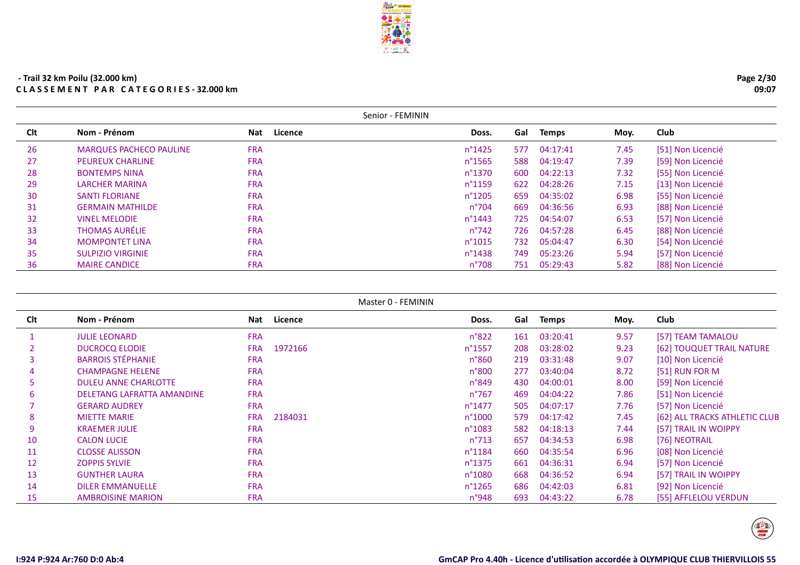|     |                                |                | Senior - FEMININ |     |              |      |                   |
|-----|--------------------------------|----------------|------------------|-----|--------------|------|-------------------|
| Clt | Nom - Prénom                   | Nat<br>Licence | Doss.            | Gal | <b>Temps</b> | Moy. | <b>Club</b>       |
| 26  | <b>MARQUES PACHECO PAULINE</b> | <b>FRA</b>     | $n^{\circ}$ 1425 | 577 | 04:17:41     | 7.45 | [51] Non Licencié |
| 27  | <b>PEUREUX CHARLINE</b>        | <b>FRA</b>     | $n^{\circ}$ 1565 | 588 | 04:19:47     | 7.39 | [59] Non Licencié |
| 28  | <b>BONTEMPS NINA</b>           | <b>FRA</b>     | $n^{\circ}$ 1370 | 600 | 04:22:13     | 7.32 | [55] Non Licencié |
| 29  | <b>LARCHER MARINA</b>          | <b>FRA</b>     | $n^{\circ}$ 1159 | 622 | 04:28:26     | 7.15 | [13] Non Licencié |
| 30  | <b>SANTI FLORIANE</b>          | <b>FRA</b>     | $n^{\circ}$ 1205 | 659 | 04:35:02     | 6.98 | [55] Non Licencié |
| 31  | <b>GERMAIN MATHILDE</b>        | <b>FRA</b>     | $n^{\circ}704$   | 669 | 04:36:56     | 6.93 | [88] Non Licencié |
| 32  | <b>VINEL MELODIE</b>           | <b>FRA</b>     | $n^{\circ}$ 1443 | 725 | 04:54:07     | 6.53 | [57] Non Licencié |
| 33  | <b>THOMAS AURÉLIE</b>          | <b>FRA</b>     | $n^{\circ}742$   | 726 | 04:57:28     | 6.45 | [88] Non Licencié |
| 34  | <b>MOMPONTET LINA</b>          | <b>FRA</b>     | $n^{\circ}1015$  | 732 | 05:04:47     | 6.30 | [54] Non Licencié |
| 35  | <b>SULPIZIO VIRGINIE</b>       | <b>FRA</b>     | $n^{\circ}$ 1438 | 749 | 05:23:26     | 5.94 | [57] Non Licencié |
| 36  | <b>MAIRE CANDICE</b>           | <b>FRA</b>     | n°708            | 751 | 05:29:43     | 5.82 | [88] Non Licencié |

|     |                             |            | Master 0 - FEMININ |                  |     |              |      |                               |
|-----|-----------------------------|------------|--------------------|------------------|-----|--------------|------|-------------------------------|
| Clt | Nom - Prénom                | Nat        | Licence            | Doss.            | Gal | <b>Temps</b> | Moy. | Club                          |
|     | <b>JULIE LEONARD</b>        | <b>FRA</b> |                    | $n^{\circ}822$   | 161 | 03:20:41     | 9.57 | [57] TEAM TAMALOU             |
|     | <b>DUCROCO ELODIE</b>       | <b>FRA</b> | 1972166            | $n^{\circ}$ 1557 | 208 | 03:28:02     | 9.23 | [62] TOUQUET TRAIL NATURE     |
| 3   | <b>BARROIS STÉPHANIE</b>    | <b>FRA</b> |                    | n°860            | 219 | 03:31:48     | 9.07 | [10] Non Licencié             |
| 4   | <b>CHAMPAGNE HELENE</b>     | <b>FRA</b> |                    | n°800            | 277 | 03:40:04     | 8.72 | [51] RUN FOR M                |
|     | <b>DULEU ANNE CHARLOTTE</b> | <b>FRA</b> |                    | $n^{\circ}849$   | 430 | 04:00:01     | 8.00 | [59] Non Licencié             |
| 6   | DELETANG LAFRATTA AMANDINE  | <b>FRA</b> |                    | $n^{\circ}767$   | 469 | 04:04:22     | 7.86 | [51] Non Licencié             |
|     | <b>GERARD AUDREY</b>        | <b>FRA</b> |                    | $n^{\circ}$ 1477 | 505 | 04:07:17     | 7.76 | [57] Non Licencié             |
| 8   | <b>MIETTE MARIE</b>         | <b>FRA</b> | 2184031            | $n^{\circ}1000$  | 579 | 04:17:42     | 7.45 | [62] ALL TRACKS ATHLETIC CLUB |
| 9   | <b>KRAEMER JULIE</b>        | <b>FRA</b> |                    | $n^{\circ}1083$  | 582 | 04:18:13     | 7.44 | [57] TRAIL IN WOIPPY          |
| 10  | <b>CALON LUCIE</b>          | <b>FRA</b> |                    | $n^{\circ}713$   | 657 | 04:34:53     | 6.98 | [76] NEOTRAIL                 |
| 11  | <b>CLOSSE ALISSON</b>       | <b>FRA</b> |                    | $n^{\circ}$ 1184 | 660 | 04:35:54     | 6.96 | [08] Non Licencié             |
| 12  | <b>ZOPPIS SYLVIE</b>        | <b>FRA</b> |                    | $n^{\circ}$ 1375 | 661 | 04:36:31     | 6.94 | [57] Non Licencié             |
| 13  | <b>GUNTHER LAURA</b>        | <b>FRA</b> |                    | $n^{\circ}1080$  | 668 | 04:36:52     | 6.94 | [57] TRAIL IN WOIPPY          |
| 14  | <b>DILER EMMANUELLE</b>     | <b>FRA</b> |                    | $n^{\circ}$ 1265 | 686 | 04:42:03     | 6.81 | [92] Non Licencié             |
| 15  | <b>AMBROISINE MARION</b>    | <b>FRA</b> |                    | n°948            | 693 | 04:43:22     | 6.78 | [55] AFFLELOU VERDUN          |

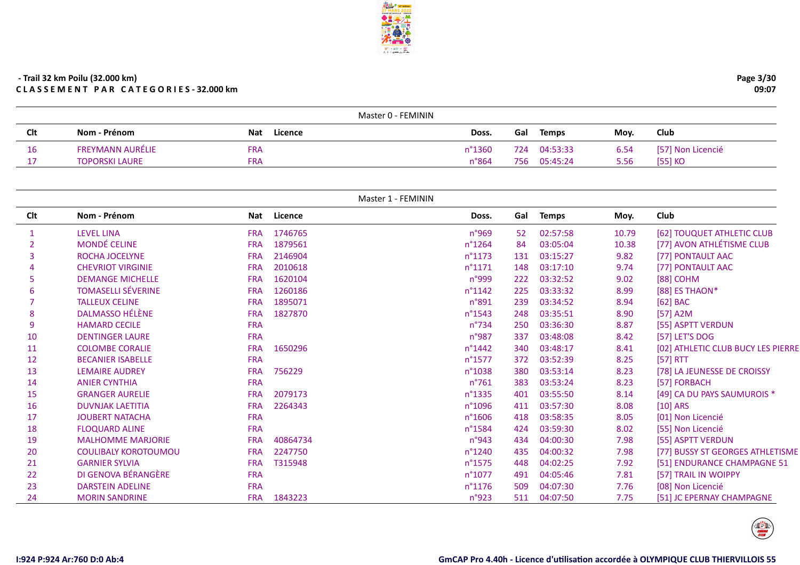|     |                       | Master 0 - FEMININ    |                  |     |              |      |                   |
|-----|-----------------------|-----------------------|------------------|-----|--------------|------|-------------------|
| Clt | Nom - Prénom          | Licence<br><b>Nat</b> | Doss.            | Gal | <b>Temps</b> | Moy. | Club              |
| 16  | FREYMANN AURÉLIE      | <b>FRA</b>            | $n^{\circ}$ 1360 |     | 724 04:53:33 | 6.54 | [57] Non Licencié |
|     | <b>TOPORSKI LAURE</b> | <b>FRA</b>            | n°864            | 756 | 05:45:24     | 5.56 | $[55]$ KO         |

|     |                             |            |                | Master 1 - FEMININ |     |              |       |                                    |
|-----|-----------------------------|------------|----------------|--------------------|-----|--------------|-------|------------------------------------|
| Clt | Nom - Prénom                | Nat        | <b>Licence</b> | Doss.              | Gal | <b>Temps</b> | Moy.  | Club                               |
| 1   | <b>LEVEL LINA</b>           | <b>FRA</b> | 1746765        | n°969              | 52  | 02:57:58     | 10.79 | [62] TOUQUET ATHLETIC CLUB         |
| 2   | <b>MONDÉ CELINE</b>         | <b>FRA</b> | 1879561        | $n^{\circ}$ 1264   | 84  | 03:05:04     | 10.38 | [77] AVON ATHLÉTISME CLUB          |
| 3   | <b>ROCHA JOCELYNE</b>       | <b>FRA</b> | 2146904        | $n^{\circ}1173$    | 131 | 03:15:27     | 9.82  | [77] PONTAULT AAC                  |
| 4   | <b>CHEVRIOT VIRGINIE</b>    | <b>FRA</b> | 2010618        | n°1171             | 148 | 03:17:10     | 9.74  | [77] PONTAULT AAC                  |
| 5   | <b>DEMANGE MICHELLE</b>     | <b>FRA</b> | 1620104        | n°999              | 222 | 03:32:52     | 9.02  | [88] COHM                          |
| 6   | <b>TOMASELLI SÉVERINE</b>   | <b>FRA</b> | 1260186        | $n^{\circ}1142$    | 225 | 03:33:32     | 8.99  | [88] ES THAON*                     |
|     | <b>TALLEUX CELINE</b>       | <b>FRA</b> | 1895071        | $n^{\circ}891$     | 239 | 03:34:52     | 8.94  | [62] BAC                           |
| 8   | DALMASSO HÉLÈNE             | <b>FRA</b> | 1827870        | $n^{\circ}$ 1543   | 248 | 03:35:51     | 8.90  | $[57]$ A2M                         |
| 9   | <b>HAMARD CECILE</b>        | <b>FRA</b> |                | $n^{\circ}$ 734    | 250 | 03:36:30     | 8.87  | [55] ASPTT VERDUN                  |
| 10  | <b>DENTINGER LAURE</b>      | <b>FRA</b> |                | n°987              | 337 | 03:48:08     | 8.42  | [57] LET'S DOG                     |
| 11  | <b>COLOMBE CORALIE</b>      | <b>FRA</b> | 1650296        | $n^{\circ}$ 1442   | 340 | 03:48:17     | 8.41  | [02] ATHLETIC CLUB BUCY LES PIERRE |
| 12  | <b>BECANIER ISABELLE</b>    | <b>FRA</b> |                | n°1577             | 372 | 03:52:39     | 8.25  | [57] RTT                           |
| 13  | <b>LEMAIRE AUDREY</b>       | <b>FRA</b> | 756229         | $n^{\circ}1038$    | 380 | 03:53:14     | 8.23  | [78] LA JEUNESSE DE CROISSY        |
| 14  | <b>ANIER CYNTHIA</b>        | <b>FRA</b> |                | $n^{\circ}761$     | 383 | 03:53:24     | 8.23  | [57] FORBACH                       |
| 15  | <b>GRANGER AURELIE</b>      | <b>FRA</b> | 2079173        | n°1335             | 401 | 03:55:50     | 8.14  | [49] CA DU PAYS SAUMUROIS *        |
| 16  | <b>DUVNJAK LAETITIA</b>     | <b>FRA</b> | 2264343        | n°1096             | 411 | 03:57:30     | 8.08  | $[10]$ ARS                         |
| 17  | <b>JOUBERT NATACHA</b>      | <b>FRA</b> |                | $n^{\circ}$ 1606   | 418 | 03:58:35     | 8.05  | [01] Non Licencié                  |
| 18  | <b>FLOQUARD ALINE</b>       | <b>FRA</b> |                | n°1584             | 424 | 03:59:30     | 8.02  | [55] Non Licencié                  |
| 19  | <b>MALHOMME MARJORIE</b>    | <b>FRA</b> | 40864734       | n°943              | 434 | 04:00:30     | 7.98  | [55] ASPTT VERDUN                  |
| 20  | <b>COULIBALY KOROTOUMOU</b> | <b>FRA</b> | 2247750        | n°1240             | 435 | 04:00:32     | 7.98  | [77] BUSSY ST GEORGES ATHLETISME   |
| 21  | <b>GARNIER SYLVIA</b>       | <b>FRA</b> | T315948        | n°1575             | 448 | 04:02:25     | 7.92  | [51] ENDURANCE CHAMPAGNE 51        |
| 22  | DI GENOVA BÉRANGÈRE         | <b>FRA</b> |                | n°1077             | 491 | 04:05:46     | 7.81  | [57] TRAIL IN WOIPPY               |
| 23  | <b>DARSTEIN ADELINE</b>     | <b>FRA</b> |                | $n^{\circ}1176$    | 509 | 04:07:30     | 7.76  | [08] Non Licencié                  |
| 24  | <b>MORIN SANDRINE</b>       | <b>FRA</b> | 1843223        | n°923              | 511 | 04:07:50     | 7.75  | [51] JC EPERNAY CHAMPAGNE          |

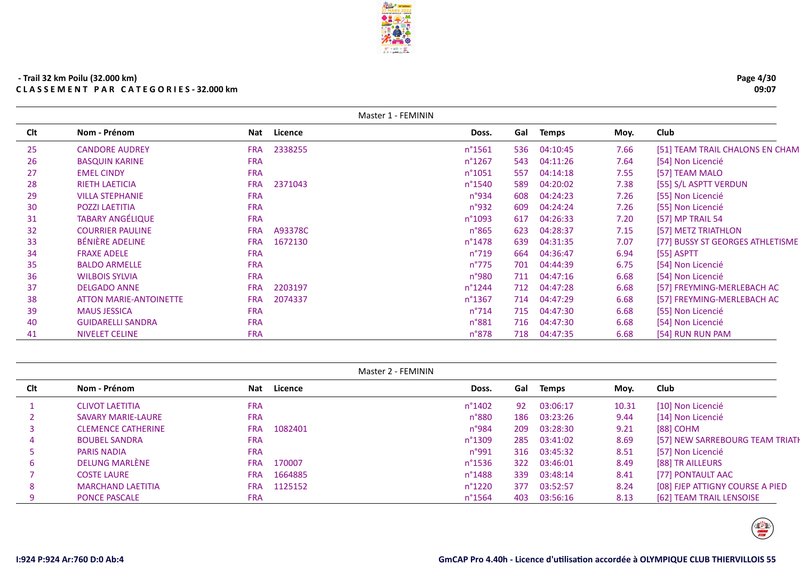|     |                               |            |         | Master 1 - FEMININ |     |              |      |                                  |
|-----|-------------------------------|------------|---------|--------------------|-----|--------------|------|----------------------------------|
| Clt | Nom - Prénom                  | Nat        | Licence | Doss.              | Gal | <b>Temps</b> | Moy. | <b>Club</b>                      |
| 25  | <b>CANDORE AUDREY</b>         | <b>FRA</b> | 2338255 | $n^{\circ}$ 1561   | 536 | 04:10:45     | 7.66 | [51] TEAM TRAIL CHALONS EN CHAM  |
| 26  | <b>BASQUIN KARINE</b>         | <b>FRA</b> |         | $n^{\circ}$ 1267   | 543 | 04:11:26     | 7.64 | [54] Non Licencié                |
| 27  | <b>EMEL CINDY</b>             | <b>FRA</b> |         | n°1051             | 557 | 04:14:18     | 7.55 | [57] TEAM MALO                   |
| 28  | <b>RIETH LAETICIA</b>         | <b>FRA</b> | 2371043 | $n^{\circ}$ 1540   | 589 | 04:20:02     | 7.38 | [55] S/L ASPTT VERDUN            |
| 29  | <b>VILLA STEPHANIE</b>        | <b>FRA</b> |         | n°934              | 608 | 04:24:23     | 7.26 | [55] Non Licencié                |
| 30  | <b>POZZI LAETITIA</b>         | <b>FRA</b> |         | n°932              | 609 | 04:24:24     | 7.26 | [55] Non Licencié                |
| 31  | <b>TABARY ANGÉLIQUE</b>       | <b>FRA</b> |         | $n^{\circ}1093$    | 617 | 04:26:33     | 7.20 | [57] MP TRAIL 54                 |
| 32  | <b>COURRIER PAULINE</b>       | <b>FRA</b> | A93378C | $n^{\circ}865$     | 623 | 04:28:37     | 7.15 | [57] METZ TRIATHLON              |
| 33  | <b>BÉNIÈRE ADELINE</b>        | <b>FRA</b> | 1672130 | $n^{\circ}$ 1478   | 639 | 04:31:35     | 7.07 | [77] BUSSY ST GEORGES ATHLETISME |
| 34  | <b>FRAXE ADELE</b>            | <b>FRA</b> |         | $n^{\circ}719$     | 664 | 04:36:47     | 6.94 | $[55]$ ASPTT                     |
| 35  | <b>BALDO ARMELLE</b>          | <b>FRA</b> |         | $n^{\circ}775$     | 701 | 04:44:39     | 6.75 | [54] Non Licencié                |
| 36  | <b>WILBOIS SYLVIA</b>         | <b>FRA</b> |         | n°980              | 711 | 04:47:16     | 6.68 | [54] Non Licencié                |
| 37  | <b>DELGADO ANNE</b>           | <b>FRA</b> | 2203197 | $n^{\circ}$ 1244   | 712 | 04:47:28     | 6.68 | [57] FREYMING-MERLEBACH AC       |
| 38  | <b>ATTON MARIE-ANTOINETTE</b> | <b>FRA</b> | 2074337 | $n^{\circ}$ 1367   | 714 | 04:47:29     | 6.68 | [57] FREYMING-MERLEBACH AC       |
| 39  | <b>MAUS JESSICA</b>           | <b>FRA</b> |         | $n^{\circ}714$     | 715 | 04:47:30     | 6.68 | [55] Non Licencié                |
| 40  | <b>GUIDARELLI SANDRA</b>      | <b>FRA</b> |         | $n^{\circ}881$     | 716 | 04:47:30     | 6.68 | [54] Non Licencié                |
| 41  | <b>NIVELET CELINE</b>         | <b>FRA</b> |         | n°878              | 718 | 04:47:35     | 6.68 | [54] RUN RUN PAM                 |

|                |                           |            | Master 2 - FEMININ |                  |     |          |       |                                 |
|----------------|---------------------------|------------|--------------------|------------------|-----|----------|-------|---------------------------------|
| Clt            | Nom - Prénom              |            | Nat Licence        | Doss.            | Gal | Temps    | Moy.  | <b>Club</b>                     |
|                | <b>CLIVOT LAETITIA</b>    | <b>FRA</b> |                    | $n^{\circ}$ 1402 | 92  | 03:06:17 | 10.31 | [10] Non Licencié               |
| $\overline{2}$ | <b>SAVARY MARIE-LAURE</b> | <b>FRA</b> |                    | n°880            | 186 | 03:23:26 | 9.44  | [14] Non Licencié               |
| 3              | <b>CLEMENCE CATHERINE</b> | <b>FRA</b> | 1082401            | n°984            | 209 | 03:28:30 | 9.21  | [88] COHM                       |
| $\overline{4}$ | <b>BOUBEL SANDRA</b>      | <b>FRA</b> |                    | n°1309           | 285 | 03:41:02 | 8.69  | [57] NEW SARREBOURG TEAM TRIATH |
| 5.             | <b>PARIS NADIA</b>        | <b>FRA</b> |                    | n°991            | 316 | 03:45:32 | 8.51  | [57] Non Licencié               |
| 6              | <b>DELUNG MARLÈNE</b>     | <b>FRA</b> | 170007             | $n^{\circ}$ 1536 | 322 | 03:46:01 | 8.49  | [88] TR AILLEURS                |
|                | <b>COSTE LAURE</b>        | <b>FRA</b> | 1664885            | n°1488           | 339 | 03:48:14 | 8.41  | [77] PONTAULT AAC               |
| 8              | <b>MARCHAND LAETITIA</b>  | <b>FRA</b> | 1125152            | $n^{\circ}1220$  | 377 | 03:52:57 | 8.24  | [08] FJEP ATTIGNY COURSE A PIED |
| 9              | <b>PONCE PASCALE</b>      | <b>FRA</b> |                    | $n^{\circ}$ 1564 | 403 | 03:56:16 | 8.13  | [62] TEAM TRAIL LENSOISE        |

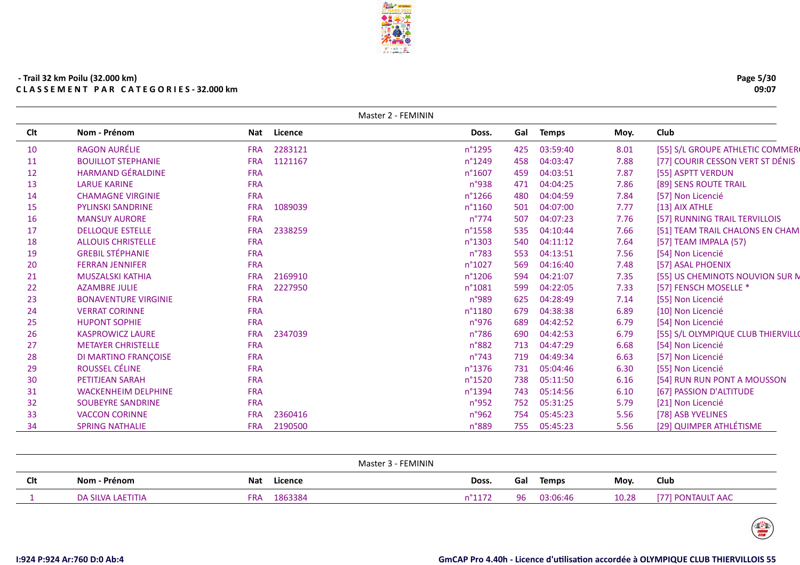|            |                             |            |         | Master 2 - FEMININ |     |              |      |                                    |
|------------|-----------------------------|------------|---------|--------------------|-----|--------------|------|------------------------------------|
| <b>Clt</b> | Nom - Prénom                | <b>Nat</b> | Licence | Doss.              | Gal | <b>Temps</b> | Moy. | Club                               |
| 10         | <b>RAGON AURÉLIE</b>        | <b>FRA</b> | 2283121 | n°1295             | 425 | 03:59:40     | 8.01 | [55] S/L GROUPE ATHLETIC COMMER    |
| 11         | <b>BOUILLOT STEPHANIE</b>   | <b>FRA</b> | 1121167 | n°1249             | 458 | 04:03:47     | 7.88 | [77] COURIR CESSON VERT ST DÉNIS   |
| 12         | <b>HARMAND GÉRALDINE</b>    | <b>FRA</b> |         | n°1607             | 459 | 04:03:51     | 7.87 | [55] ASPTT VERDUN                  |
| 13         | <b>LARUE KARINE</b>         | <b>FRA</b> |         | n°938              | 471 | 04:04:25     | 7.86 | [89] SENS ROUTE TRAIL              |
| 14         | <b>CHAMAGNE VIRGINIE</b>    | <b>FRA</b> |         | $n^{\circ}$ 1266   | 480 | 04:04:59     | 7.84 | [57] Non Licencié                  |
| 15         | <b>PYLINSKI SANDRINE</b>    | <b>FRA</b> | 1089039 | n°1160             | 501 | 04:07:00     | 7.77 | [13] AIX ATHLE                     |
| 16         | <b>MANSUY AURORE</b>        | <b>FRA</b> |         | $n^{\circ}774$     | 507 | 04:07:23     | 7.76 | [57] RUNNING TRAIL TERVILLOIS      |
| 17         | <b>DELLOQUE ESTELLE</b>     | <b>FRA</b> | 2338259 | n°1558             | 535 | 04:10:44     | 7.66 | [51] TEAM TRAIL CHALONS EN CHAM    |
| 18         | <b>ALLOUIS CHRISTELLE</b>   | <b>FRA</b> |         | n°1303             | 540 | 04:11:12     | 7.64 | [57] TEAM IMPALA (57)              |
| 19         | <b>GREBIL STÉPHANIE</b>     | <b>FRA</b> |         | n°783              | 553 | 04:13:51     | 7.56 | [54] Non Licencié                  |
| 20         | <b>FERRAN JENNIFER</b>      | <b>FRA</b> |         | n°1027             | 569 | 04:16:40     | 7.48 | [57] ASAL PHOENIX                  |
| 21         | <b>MUSZALSKI KATHIA</b>     | <b>FRA</b> | 2169910 | $n^{\circ}$ 1206   | 594 | 04:21:07     | 7.35 | [55] US CHEMINOTS NOUVION SUR M    |
| 22         | <b>AZAMBRE JULIE</b>        | <b>FRA</b> | 2227950 | n°1081             | 599 | 04:22:05     | 7.33 | [57] FENSCH MOSELLE *              |
| 23         | <b>BONAVENTURE VIRGINIE</b> | <b>FRA</b> |         | n°989              | 625 | 04:28:49     | 7.14 | [55] Non Licencié                  |
| 24         | <b>VERRAT CORINNE</b>       | <b>FRA</b> |         | n°1180             | 679 | 04:38:38     | 6.89 | [10] Non Licencié                  |
| 25         | <b>HUPONT SOPHIE</b>        | <b>FRA</b> |         | n°976              | 689 | 04:42:52     | 6.79 | [54] Non Licencié                  |
| 26         | <b>KASPROWICZ LAURE</b>     | <b>FRA</b> | 2347039 | $n^{\circ}786$     | 690 | 04:42:53     | 6.79 | [55] S/L OLYMPIQUE CLUB THIERVILLO |
| 27         | <b>METAYER CHRISTELLE</b>   | <b>FRA</b> |         | $n^{\circ}882$     | 713 | 04:47:29     | 6.68 | [54] Non Licencié                  |
| 28         | <b>DI MARTINO FRANCOISE</b> | <b>FRA</b> |         | $n^{\circ}743$     | 719 | 04:49:34     | 6.63 | [57] Non Licencié                  |
| 29         | ROUSSEL CÉLINE              | <b>FRA</b> |         | n°1376             | 731 | 05:04:46     | 6.30 | [55] Non Licencié                  |
| 30         | <b>PETITJEAN SARAH</b>      | <b>FRA</b> |         | n°1520             | 738 | 05:11:50     | 6.16 | [54] RUN RUN PONT A MOUSSON        |
| 31         | <b>WACKENHEIM DELPHINE</b>  | <b>FRA</b> |         | n°1394             | 743 | 05:14:56     | 6.10 | [67] PASSION D'ALTITUDE            |
| 32         | SOUBEYRE SANDRINE           | <b>FRA</b> |         | n°952              | 752 | 05:31:25     | 5.79 | [21] Non Licencié                  |
| 33         | <b>VACCON CORINNE</b>       | <b>FRA</b> | 2360416 | n°962              | 754 | 05:45:23     | 5.56 | [78] ASB YVELINES                  |
| 34         | <b>SPRING NATHALIE</b>      | <b>FRA</b> | 2190500 | n°889              | 755 | 05:45:23     | 5.56 | [29] QUIMPER ATHLÉTISME            |

|     |                   |                       | Master 3 - FEMININ |                 |     |              |       |                             |
|-----|-------------------|-----------------------|--------------------|-----------------|-----|--------------|-------|-----------------------------|
| Clt | Nom - Prénom      | Licence<br><b>Nat</b> |                    | Doss.           | Gal | <b>Temps</b> | Moy.  | Club                        |
|     | DA SILVA LAETITIA | 1863384<br><b>FRA</b> |                    | $n^{\circ}1172$ | -96 | 03:06:46     | 10.28 | <b>PONTAULT AAC</b><br>[77] |

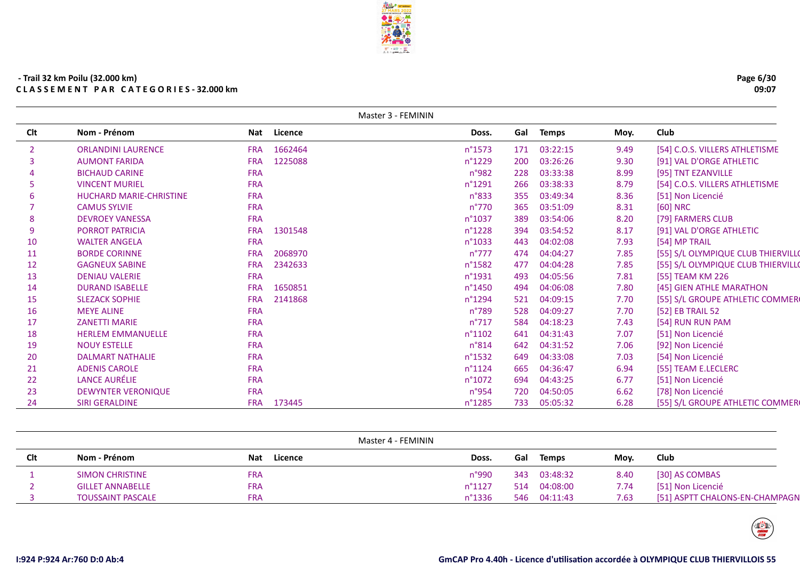|                |                                |            | Master 3 - FEMININ |                  |     |              |      |                                    |
|----------------|--------------------------------|------------|--------------------|------------------|-----|--------------|------|------------------------------------|
| <b>Clt</b>     | Nom - Prénom                   | Nat        | Licence            | Doss.            | Gal | <b>Temps</b> | Moy. | Club                               |
| $\overline{2}$ | <b>ORLANDINI LAURENCE</b>      | <b>FRA</b> | 1662464            | $n^{\circ}$ 1573 | 171 | 03:22:15     | 9.49 | [54] C.O.S. VILLERS ATHLETISME     |
| 3              | <b>AUMONT FARIDA</b>           | <b>FRA</b> | 1225088            | $n^{\circ}$ 1229 | 200 | 03:26:26     | 9.30 | [91] VAL D'ORGE ATHLETIC           |
| 4              | <b>BICHAUD CARINE</b>          | <b>FRA</b> |                    | n°982            | 228 | 03:33:38     | 8.99 | [95] TNT EZANVILLE                 |
| 5              | <b>VINCENT MURIEL</b>          | <b>FRA</b> |                    | n°1291           | 266 | 03:38:33     | 8.79 | [54] C.O.S. VILLERS ATHLETISME     |
| 6              | <b>HUCHARD MARIE-CHRISTINE</b> | <b>FRA</b> |                    | $n^{\circ}833$   | 355 | 03:49:34     | 8.36 | [51] Non Licencié                  |
| 7              | <b>CAMUS SYLVIE</b>            | <b>FRA</b> |                    | $n^{\circ}770$   | 365 | 03:51:09     | 8.31 | $[60]$ NRC                         |
| 8              | <b>DEVROEY VANESSA</b>         | <b>FRA</b> |                    | $n^{\circ}1037$  | 389 | 03:54:06     | 8.20 | [79] FARMERS CLUB                  |
| 9              | <b>PORROT PATRICIA</b>         | <b>FRA</b> | 1301548            | $n^{\circ}$ 1228 | 394 | 03:54:52     | 8.17 | [91] VAL D'ORGE ATHLETIC           |
| 10             | <b>WALTER ANGELA</b>           | <b>FRA</b> |                    | $n^{\circ}1033$  | 443 | 04:02:08     | 7.93 | [54] MP TRAIL                      |
| 11             | <b>BORDE CORINNE</b>           | <b>FRA</b> | 2068970            | $n^{\circ}777$   | 474 | 04:04:27     | 7.85 | [55] S/L OLYMPIQUE CLUB THIERVILLO |
| 12             | <b>GAGNEUX SABINE</b>          | <b>FRA</b> | 2342633            | n°1582           | 477 | 04:04:28     | 7.85 | [55] S/L OLYMPIQUE CLUB THIERVILL( |
| 13             | <b>DENIAU VALERIE</b>          | <b>FRA</b> |                    | n°1931           | 493 | 04:05:56     | 7.81 | [55] TEAM KM 226                   |
| 14             | <b>DURAND ISABELLE</b>         | <b>FRA</b> | 1650851            | n°1450           | 494 | 04:06:08     | 7.80 | [45] GIEN ATHLE MARATHON           |
| 15             | <b>SLEZACK SOPHIE</b>          | <b>FRA</b> | 2141868            | $n^{\circ}$ 1294 | 521 | 04:09:15     | 7.70 | [55] S/L GROUPE ATHLETIC COMMER    |
| 16             | <b>MEYE ALINE</b>              | <b>FRA</b> |                    | $n^{\circ}789$   | 528 | 04:09:27     | 7.70 | [52] EB TRAIL 52                   |
| 17             | <b>ZANETTI MARIE</b>           | <b>FRA</b> |                    | $n^{\circ}717$   | 584 | 04:18:23     | 7.43 | [54] RUN RUN PAM                   |
| 18             | <b>HERLEM EMMANUELLE</b>       | <b>FRA</b> |                    | $n^{\circ}1102$  | 641 | 04:31:43     | 7.07 | [51] Non Licencié                  |
| 19             | <b>NOUY ESTELLE</b>            | <b>FRA</b> |                    | $n^{\circ}814$   | 642 | 04:31:52     | 7.06 | [92] Non Licencié                  |
| 20             | <b>DALMART NATHALIE</b>        | <b>FRA</b> |                    | $n^{\circ}$ 1532 | 649 | 04:33:08     | 7.03 | [54] Non Licencié                  |
| 21             | <b>ADENIS CAROLE</b>           | <b>FRA</b> |                    | $n^{\circ}1124$  | 665 | 04:36:47     | 6.94 | [55] TEAM E.LECLERC                |
| 22             | <b>LANCE AURÉLIE</b>           | <b>FRA</b> |                    | $n^{\circ}1072$  | 694 | 04:43:25     | 6.77 | [51] Non Licencié                  |
| 23             | <b>DEWYNTER VERONIQUE</b>      | <b>FRA</b> |                    | n°954            | 720 | 04:50:05     | 6.62 | [78] Non Licencié                  |
| 24             | <b>SIRI GERALDINE</b>          | <b>FRA</b> | 173445             | $n^{\circ}$ 1285 | 733 | 05:05:32     | 6.28 | [55] S/L GROUPE ATHLETIC COMMER    |

|     |                          |                       | Master 4 - FEMININ      |              |      |                                |
|-----|--------------------------|-----------------------|-------------------------|--------------|------|--------------------------------|
| Clt | Nom - Prénom             | <b>Nat</b><br>Licence | Doss.<br>Gal            | <b>Temps</b> | Mov. | Club                           |
|     | <b>SIMON CHRISTINE</b>   | <b>FRA</b>            | n°990<br>343            | 03:48:32     | 8.40 | [30] AS COMBAS                 |
|     | <b>GILLET ANNABELLE</b>  | <b>FRA</b>            | $n^{\circ}1127$         | 514 04:08:00 | 7.74 | [51] Non Licencié              |
|     | <b>TOUSSAINT PASCALE</b> | <b>FRA</b>            | $n^{\circ}$ 1336<br>546 | 04:11:43     | 7.63 | [51] ASPTT CHALONS-EN-CHAMPAGN |

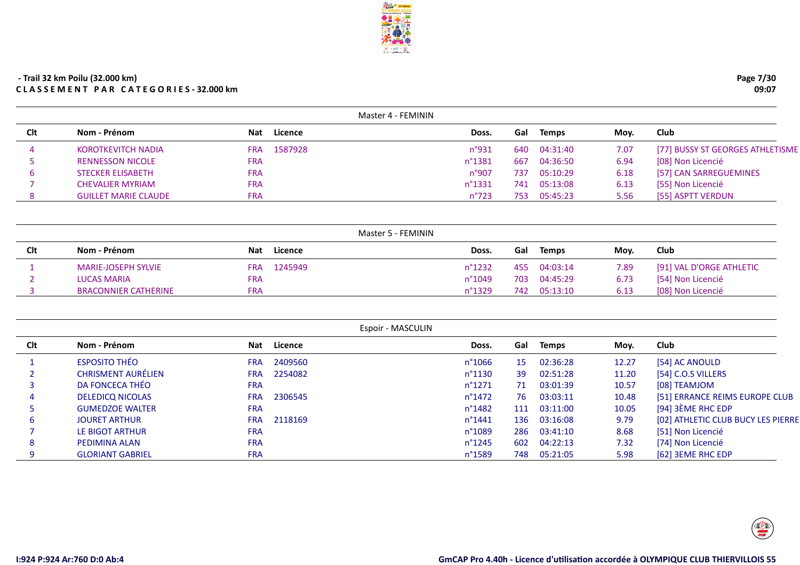

|     |                             |            |         | Master 4 - FEMININ |     |              |      |                                  |
|-----|-----------------------------|------------|---------|--------------------|-----|--------------|------|----------------------------------|
| Clt | Nom - Prénom                | Nat        | Licence | Doss.              | Gal | Temps        | Moy. | Club                             |
|     | KOROTKEVITCH NADIA          | <b>FRA</b> | 1587928 | n°931              |     | 640 04:31:40 | 7.07 | [77] BUSSY ST GEORGES ATHLETISME |
|     | <b>RENNESSON NICOLE</b>     | <b>FRA</b> |         | $n^{\circ}$ 1381   | 667 | 04:36:50     | 6.94 | [08] Non Licencié                |
|     | <b>STECKER ELISABETH</b>    | <b>FRA</b> |         | n°907              | 737 | 05:10:29     | 6.18 | [57] CAN SARREGUEMINES           |
|     | <b>CHEVALIER MYRIAM</b>     | <b>FRA</b> |         | $n^{\circ}$ 1331   | 741 | 05:13:08     | 6.13 | [55] Non Licencié                |
|     | <b>GUILLET MARIE CLAUDE</b> | <b>FRA</b> |         | $n^{\circ}723$     | 753 | 05:45:23     | 5.56 | [55] ASPTT VERDUN                |

|     |                             |            |         | Master 5 - FEMININ |      |              |      |                          |
|-----|-----------------------------|------------|---------|--------------------|------|--------------|------|--------------------------|
| Clt | Nom - Prénom                | Nat        | Licence | Doss.              | Gal  | Temps        | Moy. | <b>Club</b>              |
|     | <b>MARIE-JOSEPH SYLVIE</b>  | FRA        | 1245949 | $n^{\circ}$ 1232   |      | 455 04:03:14 | 7.89 | [91] VAL D'ORGE ATHLETIC |
|     | LUCAS MARIA                 | <b>FRA</b> |         | $n^{\circ}1049$    |      | 703 04:45:29 | 6.73 | [54] Non Licencié        |
|     | <b>BRACONNIER CATHERINE</b> | <b>FRA</b> |         | $n^{\circ}$ 1329   | 742. | 05:13:10     | 6.13 | [08] Non Licencié        |

|     |                           |            |         | Espoir - MASCULIN |     |              |       |                                    |
|-----|---------------------------|------------|---------|-------------------|-----|--------------|-------|------------------------------------|
| Clt | Nom - Prénom              | Nat        | Licence | Doss.             | Gal | <b>Temps</b> | Moy.  | Club                               |
|     | <b>ESPOSITO THÉO</b>      | <b>FRA</b> | 2409560 | $n^{\circ}1066$   | 15  | 02:36:28     | 12.27 | [54] AC ANOULD                     |
|     | <b>CHRISMENT AURÉLIEN</b> | <b>FRA</b> | 2254082 | $n^{\circ}1130$   | 39  | 02:51:28     | 11.20 | [54] C.O.S VILLERS                 |
|     | DA FONCECA THÉO           | <b>FRA</b> |         | $n^{\circ}1271$   | 71  | 03:01:39     | 10.57 | [08] TEAMJOM                       |
| 4   | <b>DELEDICO NICOLAS</b>   | <b>FRA</b> | 2306545 | $n^{\circ}$ 1472  | 76  | 03:03:11     | 10.48 | [51] ERRANCE REIMS EUROPE CLUB     |
|     | <b>GUMEDZOE WALTER</b>    | <b>FRA</b> |         | $n^{\circ}$ 1482  | 111 | 03:11:00     | 10.05 | [94] 3ÈME RHC EDP                  |
| 6   | <b>JOURET ARTHUR</b>      | <b>FRA</b> | 2118169 | $n^{\circ}$ 1441  | 136 | 03:16:08     | 9.79  | [02] ATHLETIC CLUB BUCY LES PIERRE |
|     | LE BIGOT ARTHUR           | <b>FRA</b> |         | n°1089            | 286 | 03:41:10     | 8.68  | [51] Non Licencié                  |
| 8   | <b>PEDIMINA ALAN</b>      | <b>FRA</b> |         | $n^{\circ}$ 1245  | 602 | 04:22:13     | 7.32  | [74] Non Licencié                  |
|     | <b>GLORIANT GABRIEL</b>   | <b>FRA</b> |         | n°1589            | 748 | 05:21:05     | 5.98  | [62] 3EME RHC EDP                  |

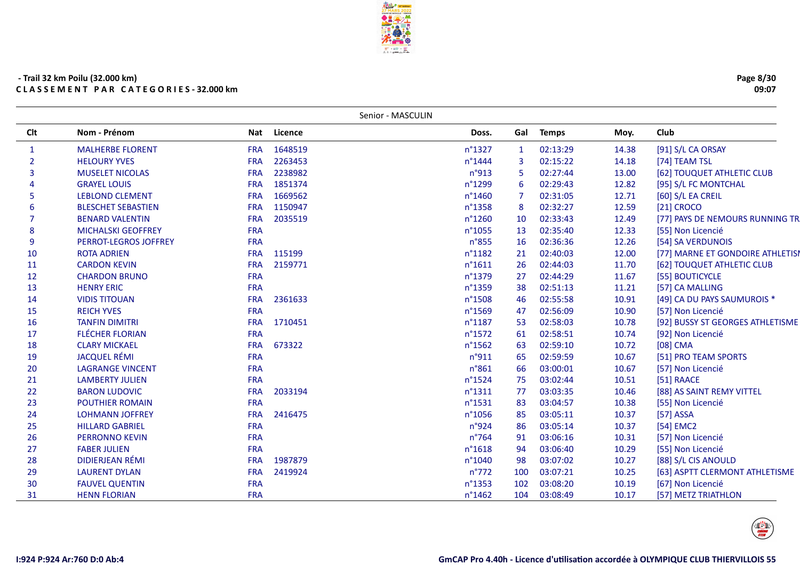| Senior - MASCULIN |                              |            |         |                 |              |              |       |                                  |  |
|-------------------|------------------------------|------------|---------|-----------------|--------------|--------------|-------|----------------------------------|--|
| Clt               | Nom - Prénom                 | <b>Nat</b> | Licence | Doss.           | Gal          | <b>Temps</b> | Moy.  | Club                             |  |
| $\mathbf{1}$      | <b>MALHERBE FLORENT</b>      | <b>FRA</b> | 1648519 | n°1327          | $\mathbf{1}$ | 02:13:29     | 14.38 | [91] S/L CA ORSAY                |  |
| 2                 | <b>HELOURY YVES</b>          | <b>FRA</b> | 2263453 | n°1444          | 3            | 02:15:22     | 14.18 | [74] TEAM TSL                    |  |
| 3                 | <b>MUSELET NICOLAS</b>       | <b>FRA</b> | 2238982 | n°913           | 5            | 02:27:44     | 13.00 | [62] TOUQUET ATHLETIC CLUB       |  |
| 4                 | <b>GRAYEL LOUIS</b>          | <b>FRA</b> | 1851374 | n°1299          | 6            | 02:29:43     | 12.82 | [95] S/L FC MONTCHAL             |  |
| 5                 | <b>LEBLOND CLEMENT</b>       | <b>FRA</b> | 1669562 | n°1460          | 7            | 02:31:05     | 12.71 | [60] S/L EA CREIL                |  |
| 6                 | <b>BLESCHET SEBASTIEN</b>    | <b>FRA</b> | 1150947 | n°1358          | 8            | 02:32:27     | 12.59 | $[21]$ CROCO                     |  |
| 7                 | <b>BENARD VALENTIN</b>       | <b>FRA</b> | 2035519 | n°1260          | 10           | 02:33:43     | 12.49 | [77] PAYS DE NEMOURS RUNNING TR. |  |
| 8                 | <b>MICHALSKI GEOFFREY</b>    | FRA        |         | n°1055          | 13           | 02:35:40     | 12.33 | [55] Non Licencié                |  |
| 9                 | <b>PERROT-LEGROS JOFFREY</b> | <b>FRA</b> |         | n°855           | 16           | 02:36:36     | 12.26 | [54] SA VERDUNOIS                |  |
| 10                | <b>ROTA ADRIEN</b>           | <b>FRA</b> | 115199  | n°1182          | 21           | 02:40:03     | 12.00 | [77] MARNE ET GONDOIRE ATHLETISI |  |
| 11                | <b>CARDON KEVIN</b>          | FRA        | 2159771 | $n^{\circ}1611$ | 26           | 02:44:03     | 11.70 | [62] TOUQUET ATHLETIC CLUB       |  |
| 12                | <b>CHARDON BRUNO</b>         | <b>FRA</b> |         | n°1379          | 27           | 02:44:29     | 11.67 | [55] BOUTICYCLE                  |  |
| 13                | <b>HENRY ERIC</b>            | <b>FRA</b> |         | n°1359          | 38           | 02:51:13     | 11.21 | [57] CA MALLING                  |  |
| 14                | <b>VIDIS TITOUAN</b>         | FRA        | 2361633 | n°1508          | 46           | 02:55:58     | 10.91 | [49] CA DU PAYS SAUMUROIS *      |  |
| 15                | <b>REICH YVES</b>            | <b>FRA</b> |         | n°1569          | 47           | 02:56:09     | 10.90 | [57] Non Licencié                |  |
| 16                | <b>TANFIN DIMITRI</b>        | <b>FRA</b> | 1710451 | n°1187          | 53           | 02:58:03     | 10.78 | [92] BUSSY ST GEORGES ATHLETISME |  |
| 17                | <b>FLÉCHER FLORIAN</b>       | <b>FRA</b> |         | n°1572          | 61           | 02:58:51     | 10.74 | [92] Non Licencié                |  |
| 18                | <b>CLARY MICKAEL</b>         | <b>FRA</b> | 673322  | n°1562          | 63           | 02:59:10     | 10.72 | [08] CMA                         |  |
| 19                | <b>JACQUEL RÉMI</b>          | FRA        |         | n°911           | 65           | 02:59:59     | 10.67 | [51] PRO TEAM SPORTS             |  |
| 20                | <b>LAGRANGE VINCENT</b>      | <b>FRA</b> |         | n°861           | 66           | 03:00:01     | 10.67 | [57] Non Licencié                |  |
| 21                | <b>LAMBERTY JULIEN</b>       | <b>FRA</b> |         | n°1524          | 75           | 03:02:44     | 10.51 | [51] RAACE                       |  |
| 22                | <b>BARON LUDOVIC</b>         | FRA        | 2033194 | n°1311          | 77           | 03:03:35     | 10.46 | [88] AS SAINT REMY VITTEL        |  |
| 23                | <b>POUTHIER ROMAIN</b>       | FRA        |         | n°1531          | 83           | 03:04:57     | 10.38 | [55] Non Licencié                |  |
| 24                | <b>LOHMANN JOFFREY</b>       | <b>FRA</b> | 2416475 | n°1056          | 85           | 03:05:11     | 10.37 | $[57]$ ASSA                      |  |
| 25                | <b>HILLARD GABRIEL</b>       | FRA        |         | n°924           | 86           | 03:05:14     | 10.37 | [54] EMC2                        |  |
| 26                | <b>PERRONNO KEVIN</b>        | <b>FRA</b> |         | n°764           | 91           | 03:06:16     | 10.31 | [57] Non Licencié                |  |
| 27                | <b>FABER JULIEN</b>          | <b>FRA</b> |         | n°1618          | 94           | 03:06:40     | 10.29 | [55] Non Licencié                |  |
| 28                | <b>DIDIERJEAN RÉMI</b>       | FRA        | 1987879 | n°1040          | 98           | 03:07:02     | 10.27 | [88] S/L CIS ANOULD              |  |
| 29                | <b>LAURENT DYLAN</b>         | <b>FRA</b> | 2419924 | $n^{\circ}772$  | 100          | 03:07:21     | 10.25 | [63] ASPTT CLERMONT ATHLETISME   |  |
| 30                | <b>FAUVEL QUENTIN</b>        | FRA        |         | n°1353          | 102          | 03:08:20     | 10.19 | [67] Non Licencié                |  |
| 31                | <b>HENN FLORIAN</b>          | <b>FRA</b> |         | n°1462          | 104          | 03:08:49     | 10.17 | [57] METZ TRIATHLON              |  |



**Page 8/3009:07**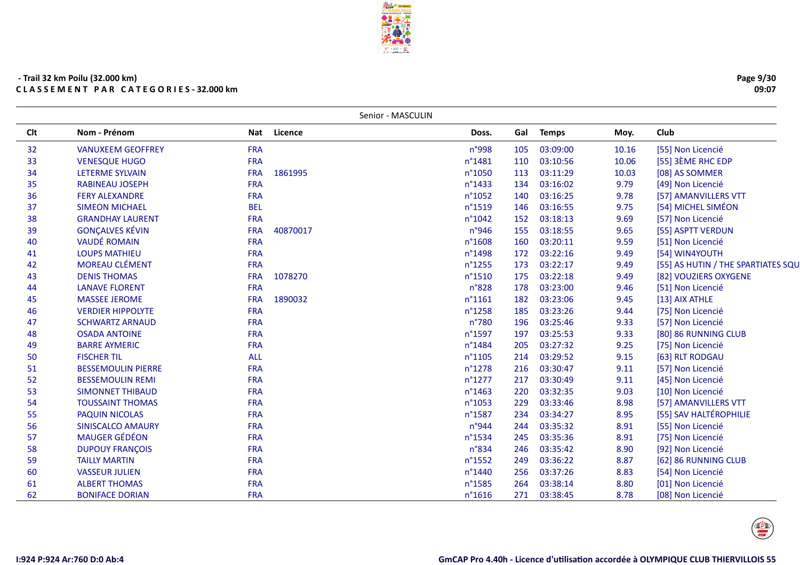| <b>Clt</b> | Nom - Prénom              | Nat        | <b>Licence</b> | Doss.            | Gal | <b>Temps</b> | Moy.  | Club                               |
|------------|---------------------------|------------|----------------|------------------|-----|--------------|-------|------------------------------------|
| 32         | <b>VANUXEEM GEOFFREY</b>  | <b>FRA</b> |                | n°998            | 105 | 03:09:00     | 10.16 | [55] Non Licencié                  |
| 33         | <b>VENESQUE HUGO</b>      | <b>FRA</b> |                | n°1481           | 110 | 03:10:56     | 10.06 | [55] 3ÈME RHC EDP                  |
| 34         | <b>LETERME SYLVAIN</b>    | <b>FRA</b> | 1861995        | n°1050           | 113 | 03:11:29     | 10.03 | [08] AS SOMMER                     |
| 35         | <b>RABINEAU JOSEPH</b>    | <b>FRA</b> |                | n°1433           | 134 | 03:16:02     | 9.79  | [49] Non Licencié                  |
| 36         | <b>FERY ALEXANDRE</b>     | <b>FRA</b> |                | n°1052           | 140 | 03:16:25     | 9.78  | [57] AMANVILLERS VTT               |
| 37         | <b>SIMEON MICHAEL</b>     | <b>BEL</b> |                | n°1519           | 146 | 03:16:55     | 9.75  | [54] MICHEL SIMÉON                 |
| 38         | <b>GRANDHAY LAURENT</b>   | <b>FRA</b> |                | n°1042           | 152 | 03:18:13     | 9.69  | [57] Non Licencié                  |
| 39         | <b>GONÇALVES KÉVIN</b>    | FRA        | 40870017       | n°946            | 155 | 03:18:55     | 9.65  | [55] ASPTT VERDUN                  |
| 40         | <b>VAUDÉ ROMAIN</b>       | <b>FRA</b> |                | n°1608           | 160 | 03:20:11     | 9.59  | [51] Non Licencié                  |
| 41         | <b>LOUPS MATHIEU</b>      | <b>FRA</b> |                | n°1498           | 172 | 03:22:16     | 9.49  | [54] WIN4YOUTH                     |
| 42         | <b>MOREAU CLÉMENT</b>     | <b>FRA</b> |                | n°1255           | 173 | 03:22:17     | 9.49  | [55] AS HUTIN / THE SPARTIATES SQU |
| 43         | <b>DENIS THOMAS</b>       | <b>FRA</b> | 1078270        | $n^{\circ}$ 1510 | 175 | 03:22:18     | 9.49  | [82] VOUZIERS OXYGENE              |
| 44         | <b>LANAVE FLORENT</b>     | <b>FRA</b> |                | n°828            | 178 | 03:23:00     | 9.46  | [51] Non Licencié                  |
| 45         | <b>MASSEE JEROME</b>      | <b>FRA</b> | 1890032        | $n^{\circ}1161$  | 182 | 03:23:06     | 9.45  | [13] AIX ATHLE                     |
| 46         | <b>VERDIER HIPPOLYTE</b>  | <b>FRA</b> |                | n°1258           | 185 | 03:23:26     | 9.44  | [75] Non Licencié                  |
| 47         | <b>SCHWARTZ ARNAUD</b>    | <b>FRA</b> |                | n°780            | 196 | 03:25:46     | 9.33  | [57] Non Licencié                  |
| 48         | <b>OSADA ANTOINE</b>      | <b>FRA</b> |                | n°1597           | 197 | 03:25:53     | 9.33  | [80] 86 RUNNING CLUB               |
| 49         | <b>BARRE AYMERIC</b>      | <b>FRA</b> |                | n°1484           | 205 | 03:27:32     | 9.25  | [75] Non Licencié                  |
| 50         | <b>FISCHER TIL</b>        | <b>ALL</b> |                | n°1105           | 214 | 03:29:52     | 9.15  | [63] RLT RODGAU                    |
| 51         | <b>BESSEMOULIN PIERRE</b> | <b>FRA</b> |                | n°1278           | 216 | 03:30:47     | 9.11  | [57] Non Licencié                  |
| 52         | <b>BESSEMOULIN REMI</b>   | <b>FRA</b> |                | n°1277           | 217 | 03:30:49     | 9.11  | [45] Non Licencié                  |
| 53         | <b>SIMONNET THIBAUD</b>   | <b>FRA</b> |                | n°1463           | 220 | 03:32:35     | 9.03  | [10] Non Licencié                  |
| 54         | <b>TOUSSAINT THOMAS</b>   | <b>FRA</b> |                | n°1053           | 229 | 03:33:46     | 8.98  | [57] AMANVILLERS VTT               |
| 55         | PAQUIN NICOLAS            | <b>FRA</b> |                | n°1587           | 234 | 03:34:27     | 8.95  | [55] SAV HALTÉROPHILIE             |
| 56         | <b>SINISCALCO AMAURY</b>  | <b>FRA</b> |                | n°944            | 244 | 03:35:32     | 8.91  | [55] Non Licencié                  |
| 57         | <b>MAUGER GÉDÉON</b>      | <b>FRA</b> |                | n°1534           | 245 | 03:35:36     | 8.91  | [75] Non Licencié                  |
| 58         | <b>DUPOUY FRANÇOIS</b>    | <b>FRA</b> |                | n°834            | 246 | 03:35:42     | 8.90  | [92] Non Licencié                  |
| 59         | <b>TAILLY MARTIN</b>      | <b>FRA</b> |                | n°1552           | 249 | 03:36:22     | 8.87  | [62] 86 RUNNING CLUB               |
| 60         | <b>VASSEUR JULIEN</b>     | <b>FRA</b> |                | n°1440           | 256 | 03:37:26     | 8.83  | [54] Non Licencié                  |
| 61         | <b>ALBERT THOMAS</b>      | <b>FRA</b> |                | n°1585           | 264 | 03:38:14     | 8.80  | [01] Non Licencié                  |
| 62         | <b>BONIFACE DORIAN</b>    | <b>FRA</b> |                | n°1616           | 271 | 03:38:45     | 8.78  | [08] Non Licencié                  |





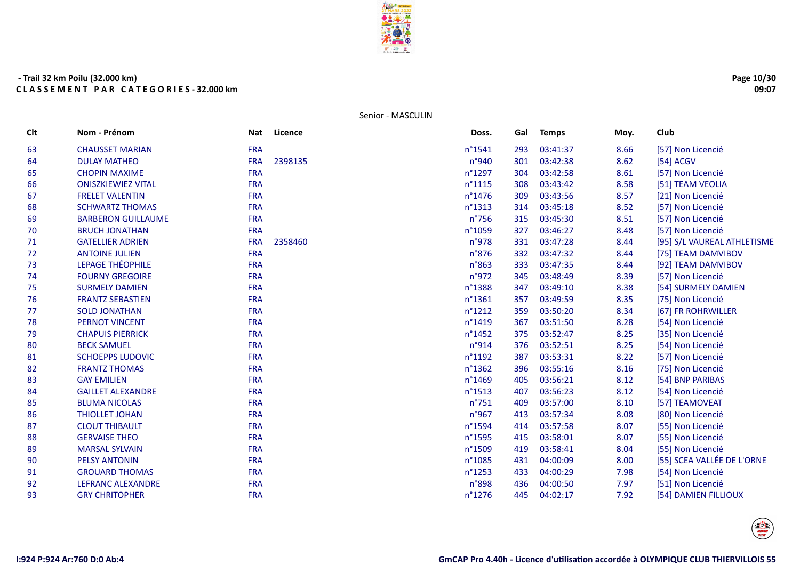| <b>Clt</b> | Nom - Prénom              | Nat        | <b>Licence</b> | Doss.            | Gal | <b>Temps</b> | Moy. | Club                        |
|------------|---------------------------|------------|----------------|------------------|-----|--------------|------|-----------------------------|
| 63         | <b>CHAUSSET MARIAN</b>    | <b>FRA</b> |                | $n^{\circ}$ 1541 | 293 | 03:41:37     | 8.66 | [57] Non Licencié           |
| 64         | <b>DULAY MATHEO</b>       | <b>FRA</b> | 2398135        | n°940            | 301 | 03:42:38     | 8.62 | [54] ACGV                   |
| 65         | <b>CHOPIN MAXIME</b>      | <b>FRA</b> |                | n°1297           | 304 | 03:42:58     | 8.61 | [57] Non Licencié           |
| 66         | <b>ONISZKIEWIEZ VITAL</b> | <b>FRA</b> |                | n°1115           | 308 | 03:43:42     | 8.58 | [51] TEAM VEOLIA            |
| 67         | <b>FRELET VALENTIN</b>    | <b>FRA</b> |                | $n^{\circ}$ 1476 | 309 | 03:43:56     | 8.57 | [21] Non Licencié           |
| 68         | <b>SCHWARTZ THOMAS</b>    | <b>FRA</b> |                | n°1313           | 314 | 03:45:18     | 8.52 | [57] Non Licencié           |
| 69         | <b>BARBERON GUILLAUME</b> | <b>FRA</b> |                | $n^{\circ}756$   | 315 | 03:45:30     | 8.51 | [57] Non Licencié           |
| 70         | <b>BRUCH JONATHAN</b>     | <b>FRA</b> |                | n°1059           | 327 | 03:46:27     | 8.48 | [57] Non Licencié           |
| 71         | <b>GATELLIER ADRIEN</b>   | <b>FRA</b> | 2358460        | n°978            | 331 | 03:47:28     | 8.44 | [95] S/L VAUREAL ATHLETISME |
| 72         | <b>ANTOINE JULIEN</b>     | <b>FRA</b> |                | n°876            | 332 | 03:47:32     | 8.44 | [75] TEAM DAMVIBOV          |
| 73         | <b>LEPAGE THÉOPHILE</b>   | <b>FRA</b> |                | n°863            | 333 | 03:47:35     | 8.44 | [92] TEAM DAMVIBOV          |
| 74         | <b>FOURNY GREGOIRE</b>    | <b>FRA</b> |                | n°972            | 345 | 03:48:49     | 8.39 | [57] Non Licencié           |
| 75         | <b>SURMELY DAMIEN</b>     | <b>FRA</b> |                | n°1388           | 347 | 03:49:10     | 8.38 | [54] SURMELY DAMIEN         |
| 76         | <b>FRANTZ SEBASTIEN</b>   | <b>FRA</b> |                | $n^{\circ}$ 1361 | 357 | 03:49:59     | 8.35 | [75] Non Licencié           |
| 77         | <b>SOLD JONATHAN</b>      | <b>FRA</b> |                | $n^{\circ}1212$  | 359 | 03:50:20     | 8.34 | [67] FR ROHRWILLER          |
| 78         | <b>PERNOT VINCENT</b>     | <b>FRA</b> |                | n°1419           | 367 | 03:51:50     | 8.28 | [54] Non Licencié           |
| 79         | <b>CHAPUIS PIERRICK</b>   | <b>FRA</b> |                | n°1452           | 375 | 03:52:47     | 8.25 | [35] Non Licencié           |
| 80         | <b>BECK SAMUEL</b>        | <b>FRA</b> |                | n°914            | 376 | 03:52:51     | 8.25 | [54] Non Licencié           |
| 81         | <b>SCHOEPPS LUDOVIC</b>   | <b>FRA</b> |                | n°1192           | 387 | 03:53:31     | 8.22 | [57] Non Licencié           |
| 82         | <b>FRANTZ THOMAS</b>      | <b>FRA</b> |                | n°1362           | 396 | 03:55:16     | 8.16 | [75] Non Licencié           |
| 83         | <b>GAY EMILIEN</b>        | <b>FRA</b> |                | n°1469           | 405 | 03:56:21     | 8.12 | [54] BNP PARIBAS            |
| 84         | <b>GAILLET ALEXANDRE</b>  | <b>FRA</b> |                | $n^{\circ}$ 1513 | 407 | 03:56:23     | 8.12 | [54] Non Licencié           |
| 85         | <b>BLUMA NICOLAS</b>      | <b>FRA</b> |                | $n^{\circ}751$   | 409 | 03:57:00     | 8.10 | [57] TEAMOVEAT              |
| 86         | <b>THIOLLET JOHAN</b>     | <b>FRA</b> |                | n°967            | 413 | 03:57:34     | 8.08 | [80] Non Licencié           |
| 87         | <b>CLOUT THIBAULT</b>     | <b>FRA</b> |                | n°1594           | 414 | 03:57:58     | 8.07 | [55] Non Licencié           |
| 88         | <b>GERVAISE THEO</b>      | <b>FRA</b> |                | n°1595           | 415 | 03:58:01     | 8.07 | [55] Non Licencié           |
| 89         | <b>MARSAL SYLVAIN</b>     | <b>FRA</b> |                | n°1509           | 419 | 03:58:41     | 8.04 | [55] Non Licencié           |
| 90         | <b>PELSY ANTONIN</b>      | <b>FRA</b> |                | n°1085           | 431 | 04:00:09     | 8.00 | [55] SCEA VALLÉE DE L'ORNE  |
| 91         | <b>GROUARD THOMAS</b>     | <b>FRA</b> |                | n°1253           | 433 | 04:00:29     | 7.98 | [54] Non Licencié           |
| 92         | LEFRANC ALEXANDRE         | <b>FRA</b> |                | n°898            | 436 | 04:00:50     | 7.97 | [51] Non Licencié           |
| 93         | <b>GRY CHRITOPHER</b>     | <b>FRA</b> |                | n°1276           | 445 | 04:02:17     | 7.92 | [54] DAMIEN FILLIOUX        |



 $\begin{pmatrix} \frac{1}{\sqrt{2}} \\ \frac{1}{\sinh(\theta)} \\ \frac{1}{\sinh(\theta)} \end{pmatrix}$ 

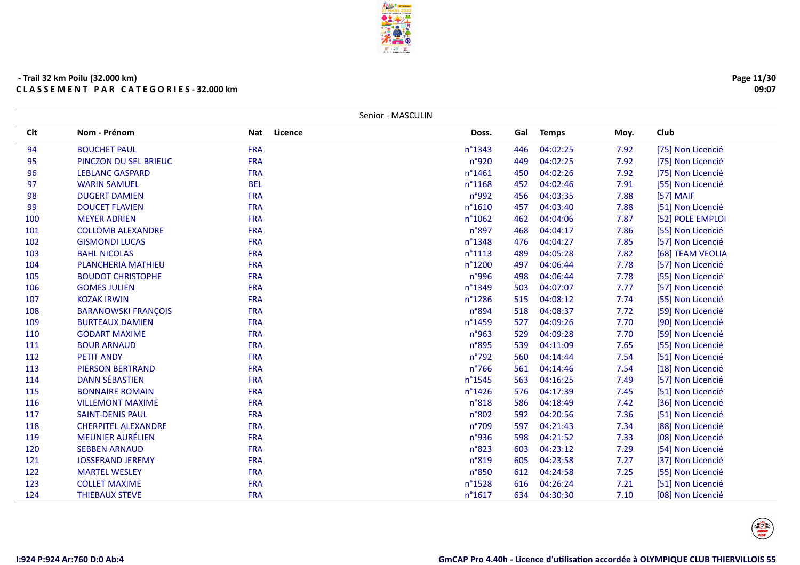|     |                            |                       | Senior - MASCULIN |     |              |      |                   |  |
|-----|----------------------------|-----------------------|-------------------|-----|--------------|------|-------------------|--|
| Clt | Nom - Prénom               | <b>Licence</b><br>Nat | Doss.             | Gal | <b>Temps</b> | Moy. | Club              |  |
| 94  | <b>BOUCHET PAUL</b>        | <b>FRA</b>            | n°1343            | 446 | 04:02:25     | 7.92 | [75] Non Licencié |  |
| 95  | PINCZON DU SEL BRIEUC      | <b>FRA</b>            | n°920             | 449 | 04:02:25     | 7.92 | [75] Non Licencié |  |
| 96  | <b>LEBLANC GASPARD</b>     | <b>FRA</b>            | $n^{\circ}$ 1461  | 450 | 04:02:26     | 7.92 | [75] Non Licencié |  |
| 97  | <b>WARIN SAMUEL</b>        | <b>BEL</b>            | $n^{\circ}1168$   | 452 | 04:02:46     | 7.91 | [55] Non Licencié |  |
| 98  | <b>DUGERT DAMIEN</b>       | <b>FRA</b>            | n°992             | 456 | 04:03:35     | 7.88 | [57] MAIF         |  |
| 99  | <b>DOUCET FLAVIEN</b>      | <b>FRA</b>            | $n^{\circ}1610$   | 457 | 04:03:40     | 7.88 | [51] Non Licencié |  |
| 100 | <b>MEYER ADRIEN</b>        | <b>FRA</b>            | n°1062            | 462 | 04:04:06     | 7.87 | [52] POLE EMPLOI  |  |
| 101 | <b>COLLOMB ALEXANDRE</b>   | <b>FRA</b>            | n°897             | 468 | 04:04:17     | 7.86 | [55] Non Licencié |  |
| 102 | <b>GISMONDI LUCAS</b>      | <b>FRA</b>            | n°1348            | 476 | 04:04:27     | 7.85 | [57] Non Licencié |  |
| 103 | <b>BAHL NICOLAS</b>        | <b>FRA</b>            | $n^{\circ}1113$   | 489 | 04:05:28     | 7.82 | [68] TEAM VEOLIA  |  |
| 104 | PLANCHERIA MATHIEU         | <b>FRA</b>            | n°1200            | 497 | 04:06:44     | 7.78 | [57] Non Licencié |  |
| 105 | <b>BOUDOT CHRISTOPHE</b>   | <b>FRA</b>            | n°996             | 498 | 04:06:44     | 7.78 | [55] Non Licencié |  |
| 106 | <b>GOMES JULIEN</b>        | <b>FRA</b>            | n°1349            | 503 | 04:07:07     | 7.77 | [57] Non Licencié |  |
| 107 | <b>KOZAK IRWIN</b>         | <b>FRA</b>            | n°1286            | 515 | 04:08:12     | 7.74 | [55] Non Licencié |  |
| 108 | <b>BARANOWSKI FRANÇOIS</b> | <b>FRA</b>            | n°894             | 518 | 04:08:37     | 7.72 | [59] Non Licencié |  |
| 109 | <b>BURTEAUX DAMIEN</b>     | <b>FRA</b>            | n°1459            | 527 | 04:09:26     | 7.70 | [90] Non Licencié |  |
| 110 | <b>GODART MAXIME</b>       | <b>FRA</b>            | n°963             | 529 | 04:09:28     | 7.70 | [59] Non Licencié |  |
| 111 | <b>BOUR ARNAUD</b>         | <b>FRA</b>            | $n^{\circ}895$    | 539 | 04:11:09     | 7.65 | [55] Non Licencié |  |
| 112 | <b>PETIT ANDY</b>          | FRA                   | n°792             | 560 | 04:14:44     | 7.54 | [51] Non Licencié |  |
| 113 | <b>PIERSON BERTRAND</b>    | <b>FRA</b>            | n°766             | 561 | 04:14:46     | 7.54 | [18] Non Licencié |  |
| 114 | <b>DANN SÉBASTIEN</b>      | FRA                   | n°1545            | 563 | 04:16:25     | 7.49 | [57] Non Licencié |  |
| 115 | <b>BONNAIRE ROMAIN</b>     | FRA                   | n°1426            | 576 | 04:17:39     | 7.45 | [51] Non Licencié |  |
| 116 | <b>VILLEMONT MAXIME</b>    | <b>FRA</b>            | n°818             | 586 | 04:18:49     | 7.42 | [36] Non Licencié |  |
| 117 | <b>SAINT-DENIS PAUL</b>    | <b>FRA</b>            | n°802             | 592 | 04:20:56     | 7.36 | [51] Non Licencié |  |
| 118 | <b>CHERPITEL ALEXANDRE</b> | <b>FRA</b>            | n°709             | 597 | 04:21:43     | 7.34 | [88] Non Licencié |  |
| 119 | <b>MEUNIER AURÉLIEN</b>    | FRA                   | n°936             | 598 | 04:21:52     | 7.33 | [08] Non Licencié |  |
| 120 | <b>SEBBEN ARNAUD</b>       | <b>FRA</b>            | n°823             | 603 | 04:23:12     | 7.29 | [54] Non Licencié |  |
| 121 | <b>JOSSERAND JEREMY</b>    | <b>FRA</b>            | n°819             | 605 | 04:23:58     | 7.27 | [37] Non Licencié |  |
| 122 | <b>MARTEL WESLEY</b>       | <b>FRA</b>            | n°850             | 612 | 04:24:58     | 7.25 | [55] Non Licencié |  |
| 123 | <b>COLLET MAXIME</b>       | <b>FRA</b>            | n°1528            | 616 | 04:26:24     | 7.21 | [51] Non Licencié |  |
| 124 | <b>THIEBAUX STEVE</b>      | <b>FRA</b>            | n°1617            | 634 | 04:30:30     | 7.10 | [08] Non Licencié |  |





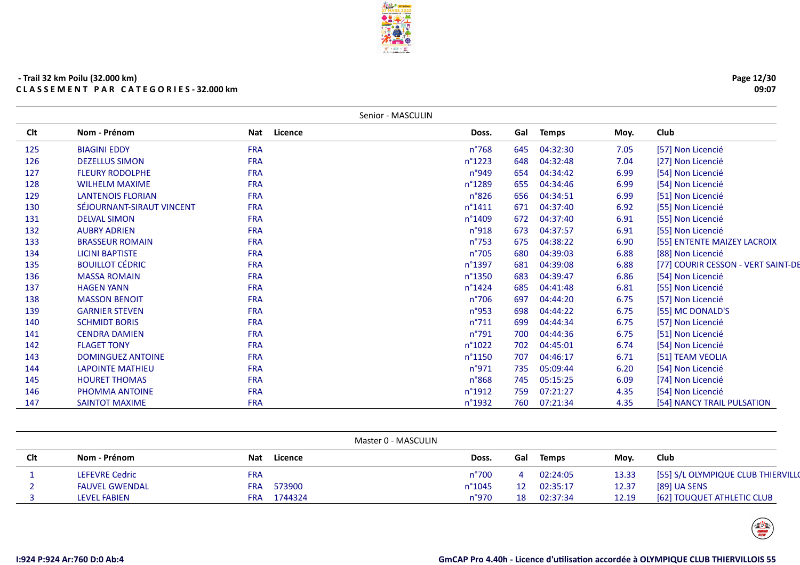$\overline{\phantom{a}}$ 

| <b>Clt</b> | Nom - Prénom              | Licence<br>Nat | Doss.            | Gal | <b>Temps</b> | Moy. | Club                               |
|------------|---------------------------|----------------|------------------|-----|--------------|------|------------------------------------|
| 125        | <b>BIAGINI EDDY</b>       | <b>FRA</b>     | $n^{\circ}768$   | 645 | 04:32:30     | 7.05 | [57] Non Licencié                  |
| 126        | <b>DEZELLUS SIMON</b>     | <b>FRA</b>     | $n^{\circ}$ 1223 | 648 | 04:32:48     | 7.04 | [27] Non Licencié                  |
| 127        | <b>FLEURY RODOLPHE</b>    | <b>FRA</b>     | n°949            | 654 | 04:34:42     | 6.99 | [54] Non Licencié                  |
| 128        | <b>WILHELM MAXIME</b>     | <b>FRA</b>     | n°1289           | 655 | 04:34:46     | 6.99 | [54] Non Licencié                  |
| 129        | <b>LANTENOIS FLORIAN</b>  | <b>FRA</b>     | $n^{\circ}826$   | 656 | 04:34:51     | 6.99 | [51] Non Licencié                  |
| 130        | SÉJOURNANT-SIRAUT VINCENT | <b>FRA</b>     | $n^{\circ}1411$  | 671 | 04:37:40     | 6.92 | [55] Non Licencié                  |
| 131        | <b>DELVAL SIMON</b>       | <b>FRA</b>     | n°1409           | 672 | 04:37:40     | 6.91 | [55] Non Licencié                  |
| 132        | <b>AUBRY ADRIEN</b>       | <b>FRA</b>     | n°918            | 673 | 04:37:57     | 6.91 | [55] Non Licencié                  |
| 133        | <b>BRASSEUR ROMAIN</b>    | <b>FRA</b>     | $n^{\circ}753$   | 675 | 04:38:22     | 6.90 | [55] ENTENTE MAIZEY LACROIX        |
| 134        | <b>LICINI BAPTISTE</b>    | <b>FRA</b>     | $n^{\circ}705$   | 680 | 04:39:03     | 6.88 | [88] Non Licencié                  |
| 135        | <b>BOUILLOT CÉDRIC</b>    | <b>FRA</b>     | $n^{\circ}$ 1397 | 681 | 04:39:08     | 6.88 | [77] COURIR CESSON - VERT SAINT-DI |
| 136        | <b>MASSA ROMAIN</b>       | <b>FRA</b>     | $n^{\circ}$ 1350 | 683 | 04:39:47     | 6.86 | [54] Non Licencié                  |
| 137        | <b>HAGEN YANN</b>         | <b>FRA</b>     | $n^{\circ}$ 1424 | 685 | 04:41:48     | 6.81 | [55] Non Licencié                  |
| 138        | <b>MASSON BENOIT</b>      | <b>FRA</b>     | $n^{\circ}706$   | 697 | 04:44:20     | 6.75 | [57] Non Licencié                  |
| 139        | <b>GARNIER STEVEN</b>     | <b>FRA</b>     | n°953            | 698 | 04:44:22     | 6.75 | [55] MC DONALD'S                   |
| 140        | <b>SCHMIDT BORIS</b>      | <b>FRA</b>     | $n^{\circ}711$   | 699 | 04:44:34     | 6.75 | [57] Non Licencié                  |
| 141        | <b>CENDRA DAMIEN</b>      | <b>FRA</b>     | $n^{\circ}791$   | 700 | 04:44:36     | 6.75 | [51] Non Licencié                  |
| 142        | <b>FLAGET TONY</b>        | <b>FRA</b>     | $n^{\circ}1022$  | 702 | 04:45:01     | 6.74 | [54] Non Licencié                  |
| 143        | <b>DOMINGUEZ ANTOINE</b>  | <b>FRA</b>     | $n^{\circ}1150$  | 707 | 04:46:17     | 6.71 | [51] TEAM VEOLIA                   |
| 144        | <b>LAPOINTE MATHIEU</b>   | <b>FRA</b>     | n°971            | 735 | 05:09:44     | 6.20 | [54] Non Licencié                  |
| 145        | <b>HOURET THOMAS</b>      | <b>FRA</b>     | $n^{\circ}868$   | 745 | 05:15:25     | 6.09 | [74] Non Licencié                  |
| 146        | PHOMMA ANTOINE            | <b>FRA</b>     | n°1912           | 759 | 07:21:27     | 4.35 | [54] Non Licencié                  |
| 147        | <b>SAINTOT MAXIME</b>     | <b>FRA</b>     | n°1932           | 760 | 07:21:34     | 4.35 | [54] NANCY TRAIL PULSATION         |

|     |                       |            |         | Master 0 - MASCULIN |     |          |       |                                   |
|-----|-----------------------|------------|---------|---------------------|-----|----------|-------|-----------------------------------|
| Clt | Nom - Prénom          | <b>Nat</b> | Licence | Doss.               | Gal | Temps    | Mov.  | Club                              |
|     | <b>LEFEVRE Cedric</b> | <b>FRA</b> |         | n°700               |     | 02:24:05 | 13.33 | [55] S/L OLYMPIQUE CLUB THIERVILL |
|     | <b>FAUVEL GWENDAL</b> | <b>FRA</b> | 573900  | $n^{\circ}1045$     | 12  | 02:35:17 | 12.37 | [89] UA SENS                      |
|     | <b>LEVEL FABIEN</b>   | <b>FRA</b> | 1744324 | n°970               | 18  | 02:37:34 | 12.19 | [62] TOUQUET ATHLETIC CLUB        |

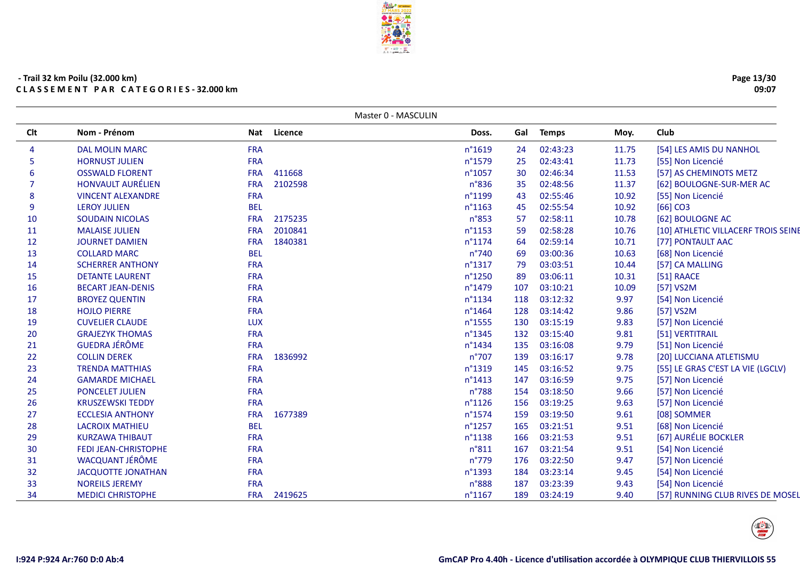| Nom - Prénom<br><b>Licence</b><br>Gal<br><b>Temps</b><br>Club<br>Nat<br>Doss.<br>Moy.<br><b>FRA</b><br>02:43:23<br><b>DAL MOLIN MARC</b><br>n°1619<br>24<br>11.75<br>[54] LES AMIS DU NANHOL<br>4<br>n°1579<br>02:43:41<br><b>HORNUST JULIEN</b><br><b>FRA</b><br>11.73<br>25<br>[55] Non Licencié<br>5<br>n°1057<br><b>OSSWALD FLORENT</b><br>411668<br>02:46:34<br>11.53<br>[57] AS CHEMINOTS METZ<br><b>FRA</b><br>30<br>6<br><b>HONVAULT AURÉLIEN</b><br><b>FRA</b><br>2102598<br>n°836<br>02:48:56<br>11.37<br>[62] BOULOGNE-SUR-MER AC<br>7<br>35<br><b>VINCENT ALEXANDRE</b><br>n°1199<br>02:55:46<br>10.92<br>8<br><b>FRA</b><br>43<br>[55] Non Licencié<br>9<br>n°1163<br>02:55:54<br>10.92<br>$[66]$ CO <sub>3</sub><br><b>LEROY JULIEN</b><br><b>BEL</b><br>45<br>2175235<br>n°853<br>02:58:11<br>10.78<br>[62] BOULOGNE AC<br><b>SOUDAIN NICOLAS</b><br><b>FRA</b><br>57<br>2010841<br>n°1153<br>02:58:28<br>10.76<br><b>MALAISE JULIEN</b><br><b>FRA</b><br>59<br>02:59:14<br>1840381<br>n°1174<br>10.71<br>[77] PONTAULT AAC<br><b>JOURNET DAMIEN</b><br><b>FRA</b><br>64<br>n°740<br><b>BEL</b><br>03:00:36<br>10.63<br>[68] Non Licencié<br><b>COLLARD MARC</b><br>69<br><b>FRA</b><br>n°1317<br>03:03:51<br>[57] CA MALLING<br><b>SCHERRER ANTHONY</b><br>79<br>10.44<br>n°1250<br>03:06:11<br><b>DETANTE LAURENT</b><br><b>FRA</b><br>89<br>10.31<br>[51] RAACE<br>n°1479<br>03:10:21<br><b>BECART JEAN-DENIS</b><br><b>FRA</b><br>10.09<br>[57] VS2M<br>107<br>n°1134<br>03:12:32<br>9.97<br><b>BROYEZ QUENTIN</b><br><b>FRA</b><br>[54] Non Licencié<br>118<br>n°1464<br>03:14:42<br><b>HOJLO PIERRE</b><br><b>FRA</b><br>128<br>9.86<br>[57] VS2M<br>n°1555<br>03:15:19<br><b>CUVELIER CLAUDE</b><br><b>LUX</b><br>9.83<br>[57] Non Licencié<br>130<br><b>GRAJEZYK THOMAS</b><br>n°1345<br>03:15:40<br>[51] VERTITRAIL<br><b>FRA</b><br>132<br>9.81<br><b>GUEDRA JÉRÔME</b><br>n°1434<br>9.79<br><b>FRA</b><br>135<br>03:16:08<br>[51] Non Licencié<br><b>COLLIN DEREK</b><br>n°707<br>03:16:17<br>1836992<br>9.78<br>[20] LUCCIANA ATLETISMU<br><b>FRA</b><br>139<br>03:16:52<br><b>TRENDA MATTHIAS</b><br><b>FRA</b><br>n°1319<br>145<br>9.75<br>[55] LE GRAS C'EST LA VIE (LGCLV)<br>n°1413<br>03:16:59<br><b>GAMARDE MICHAEL</b><br><b>FRA</b><br>147<br>9.75<br>[57] Non Licencié<br>n°788<br>03:18:50<br><b>PONCELET JULIEN</b><br><b>FRA</b><br>154<br>9.66<br>[57] Non Licencié<br><b>FRA</b><br>$n^{\circ}1126$<br>03:19:25<br><b>KRUSZEWSKI TEDDY</b><br>9.63<br>[57] Non Licencié<br>26<br>156<br>03:19:50<br><b>ECCLESIA ANTHONY</b><br>n°1574<br>159<br>9.61<br>[08] SOMMER<br><b>FRA</b><br>1677389<br><b>BEL</b><br>n°1257<br>03:21:51<br>9.51<br>[68] Non Licencié<br><b>LACROIX MATHIEU</b><br>165<br>[67] AURÉLIE BOCKLER<br>n°1138<br>03:21:53<br><b>FRA</b><br>9.51<br><b>KURZAWA THIBAUT</b><br>166<br>n°811<br><b>FEDI JEAN-CHRISTOPHE</b><br><b>FRA</b><br>03:21:54<br>9.51<br>[54] Non Licencié<br>167<br><b>WACQUANT JÉRÔME</b><br>n°779<br><b>FRA</b><br>03:22:50<br>9.47<br>[57] Non Licencié<br>176<br>03:23:14<br><b>JACQUOTTE JONATHAN</b><br><b>FRA</b><br>n°1393<br>[54] Non Licencié<br>184<br>9.45<br><b>NOREILS JEREMY</b><br><b>FRA</b><br>n°888<br>187<br>03:23:39<br>9.43<br>[54] Non Licencié<br>n°1167<br>03:24:19<br><b>MEDICI CHRISTOPHE</b><br><b>FRA</b><br>2419625<br>189<br>9.40 |            |  | Master 0 - MASCULIN |  |                                     |
|-----------------------------------------------------------------------------------------------------------------------------------------------------------------------------------------------------------------------------------------------------------------------------------------------------------------------------------------------------------------------------------------------------------------------------------------------------------------------------------------------------------------------------------------------------------------------------------------------------------------------------------------------------------------------------------------------------------------------------------------------------------------------------------------------------------------------------------------------------------------------------------------------------------------------------------------------------------------------------------------------------------------------------------------------------------------------------------------------------------------------------------------------------------------------------------------------------------------------------------------------------------------------------------------------------------------------------------------------------------------------------------------------------------------------------------------------------------------------------------------------------------------------------------------------------------------------------------------------------------------------------------------------------------------------------------------------------------------------------------------------------------------------------------------------------------------------------------------------------------------------------------------------------------------------------------------------------------------------------------------------------------------------------------------------------------------------------------------------------------------------------------------------------------------------------------------------------------------------------------------------------------------------------------------------------------------------------------------------------------------------------------------------------------------------------------------------------------------------------------------------------------------------------------------------------------------------------------------------------------------------------------------------------------------------------------------------------------------------------------------------------------------------------------------------------------------------------------------------------------------------------------------------------------------------------------------------------------------------------------------------------------------------------------------------------------------------------------------------------------------------------------------------------------------------------------------------------------------------------------------------------------------------------------------------------------------------------------------------------|------------|--|---------------------|--|-------------------------------------|
|                                                                                                                                                                                                                                                                                                                                                                                                                                                                                                                                                                                                                                                                                                                                                                                                                                                                                                                                                                                                                                                                                                                                                                                                                                                                                                                                                                                                                                                                                                                                                                                                                                                                                                                                                                                                                                                                                                                                                                                                                                                                                                                                                                                                                                                                                                                                                                                                                                                                                                                                                                                                                                                                                                                                                                                                                                                                                                                                                                                                                                                                                                                                                                                                                                                                                                                                                     | <b>Clt</b> |  |                     |  |                                     |
|                                                                                                                                                                                                                                                                                                                                                                                                                                                                                                                                                                                                                                                                                                                                                                                                                                                                                                                                                                                                                                                                                                                                                                                                                                                                                                                                                                                                                                                                                                                                                                                                                                                                                                                                                                                                                                                                                                                                                                                                                                                                                                                                                                                                                                                                                                                                                                                                                                                                                                                                                                                                                                                                                                                                                                                                                                                                                                                                                                                                                                                                                                                                                                                                                                                                                                                                                     |            |  |                     |  |                                     |
|                                                                                                                                                                                                                                                                                                                                                                                                                                                                                                                                                                                                                                                                                                                                                                                                                                                                                                                                                                                                                                                                                                                                                                                                                                                                                                                                                                                                                                                                                                                                                                                                                                                                                                                                                                                                                                                                                                                                                                                                                                                                                                                                                                                                                                                                                                                                                                                                                                                                                                                                                                                                                                                                                                                                                                                                                                                                                                                                                                                                                                                                                                                                                                                                                                                                                                                                                     |            |  |                     |  |                                     |
|                                                                                                                                                                                                                                                                                                                                                                                                                                                                                                                                                                                                                                                                                                                                                                                                                                                                                                                                                                                                                                                                                                                                                                                                                                                                                                                                                                                                                                                                                                                                                                                                                                                                                                                                                                                                                                                                                                                                                                                                                                                                                                                                                                                                                                                                                                                                                                                                                                                                                                                                                                                                                                                                                                                                                                                                                                                                                                                                                                                                                                                                                                                                                                                                                                                                                                                                                     |            |  |                     |  |                                     |
|                                                                                                                                                                                                                                                                                                                                                                                                                                                                                                                                                                                                                                                                                                                                                                                                                                                                                                                                                                                                                                                                                                                                                                                                                                                                                                                                                                                                                                                                                                                                                                                                                                                                                                                                                                                                                                                                                                                                                                                                                                                                                                                                                                                                                                                                                                                                                                                                                                                                                                                                                                                                                                                                                                                                                                                                                                                                                                                                                                                                                                                                                                                                                                                                                                                                                                                                                     |            |  |                     |  |                                     |
|                                                                                                                                                                                                                                                                                                                                                                                                                                                                                                                                                                                                                                                                                                                                                                                                                                                                                                                                                                                                                                                                                                                                                                                                                                                                                                                                                                                                                                                                                                                                                                                                                                                                                                                                                                                                                                                                                                                                                                                                                                                                                                                                                                                                                                                                                                                                                                                                                                                                                                                                                                                                                                                                                                                                                                                                                                                                                                                                                                                                                                                                                                                                                                                                                                                                                                                                                     |            |  |                     |  |                                     |
|                                                                                                                                                                                                                                                                                                                                                                                                                                                                                                                                                                                                                                                                                                                                                                                                                                                                                                                                                                                                                                                                                                                                                                                                                                                                                                                                                                                                                                                                                                                                                                                                                                                                                                                                                                                                                                                                                                                                                                                                                                                                                                                                                                                                                                                                                                                                                                                                                                                                                                                                                                                                                                                                                                                                                                                                                                                                                                                                                                                                                                                                                                                                                                                                                                                                                                                                                     |            |  |                     |  |                                     |
|                                                                                                                                                                                                                                                                                                                                                                                                                                                                                                                                                                                                                                                                                                                                                                                                                                                                                                                                                                                                                                                                                                                                                                                                                                                                                                                                                                                                                                                                                                                                                                                                                                                                                                                                                                                                                                                                                                                                                                                                                                                                                                                                                                                                                                                                                                                                                                                                                                                                                                                                                                                                                                                                                                                                                                                                                                                                                                                                                                                                                                                                                                                                                                                                                                                                                                                                                     | 10         |  |                     |  |                                     |
|                                                                                                                                                                                                                                                                                                                                                                                                                                                                                                                                                                                                                                                                                                                                                                                                                                                                                                                                                                                                                                                                                                                                                                                                                                                                                                                                                                                                                                                                                                                                                                                                                                                                                                                                                                                                                                                                                                                                                                                                                                                                                                                                                                                                                                                                                                                                                                                                                                                                                                                                                                                                                                                                                                                                                                                                                                                                                                                                                                                                                                                                                                                                                                                                                                                                                                                                                     | 11         |  |                     |  | [10] ATHLETIC VILLACERF TROIS SEINE |
|                                                                                                                                                                                                                                                                                                                                                                                                                                                                                                                                                                                                                                                                                                                                                                                                                                                                                                                                                                                                                                                                                                                                                                                                                                                                                                                                                                                                                                                                                                                                                                                                                                                                                                                                                                                                                                                                                                                                                                                                                                                                                                                                                                                                                                                                                                                                                                                                                                                                                                                                                                                                                                                                                                                                                                                                                                                                                                                                                                                                                                                                                                                                                                                                                                                                                                                                                     | 12         |  |                     |  |                                     |
|                                                                                                                                                                                                                                                                                                                                                                                                                                                                                                                                                                                                                                                                                                                                                                                                                                                                                                                                                                                                                                                                                                                                                                                                                                                                                                                                                                                                                                                                                                                                                                                                                                                                                                                                                                                                                                                                                                                                                                                                                                                                                                                                                                                                                                                                                                                                                                                                                                                                                                                                                                                                                                                                                                                                                                                                                                                                                                                                                                                                                                                                                                                                                                                                                                                                                                                                                     | 13         |  |                     |  |                                     |
|                                                                                                                                                                                                                                                                                                                                                                                                                                                                                                                                                                                                                                                                                                                                                                                                                                                                                                                                                                                                                                                                                                                                                                                                                                                                                                                                                                                                                                                                                                                                                                                                                                                                                                                                                                                                                                                                                                                                                                                                                                                                                                                                                                                                                                                                                                                                                                                                                                                                                                                                                                                                                                                                                                                                                                                                                                                                                                                                                                                                                                                                                                                                                                                                                                                                                                                                                     | 14         |  |                     |  |                                     |
|                                                                                                                                                                                                                                                                                                                                                                                                                                                                                                                                                                                                                                                                                                                                                                                                                                                                                                                                                                                                                                                                                                                                                                                                                                                                                                                                                                                                                                                                                                                                                                                                                                                                                                                                                                                                                                                                                                                                                                                                                                                                                                                                                                                                                                                                                                                                                                                                                                                                                                                                                                                                                                                                                                                                                                                                                                                                                                                                                                                                                                                                                                                                                                                                                                                                                                                                                     | 15         |  |                     |  |                                     |
|                                                                                                                                                                                                                                                                                                                                                                                                                                                                                                                                                                                                                                                                                                                                                                                                                                                                                                                                                                                                                                                                                                                                                                                                                                                                                                                                                                                                                                                                                                                                                                                                                                                                                                                                                                                                                                                                                                                                                                                                                                                                                                                                                                                                                                                                                                                                                                                                                                                                                                                                                                                                                                                                                                                                                                                                                                                                                                                                                                                                                                                                                                                                                                                                                                                                                                                                                     | 16         |  |                     |  |                                     |
|                                                                                                                                                                                                                                                                                                                                                                                                                                                                                                                                                                                                                                                                                                                                                                                                                                                                                                                                                                                                                                                                                                                                                                                                                                                                                                                                                                                                                                                                                                                                                                                                                                                                                                                                                                                                                                                                                                                                                                                                                                                                                                                                                                                                                                                                                                                                                                                                                                                                                                                                                                                                                                                                                                                                                                                                                                                                                                                                                                                                                                                                                                                                                                                                                                                                                                                                                     | 17         |  |                     |  |                                     |
|                                                                                                                                                                                                                                                                                                                                                                                                                                                                                                                                                                                                                                                                                                                                                                                                                                                                                                                                                                                                                                                                                                                                                                                                                                                                                                                                                                                                                                                                                                                                                                                                                                                                                                                                                                                                                                                                                                                                                                                                                                                                                                                                                                                                                                                                                                                                                                                                                                                                                                                                                                                                                                                                                                                                                                                                                                                                                                                                                                                                                                                                                                                                                                                                                                                                                                                                                     | 18         |  |                     |  |                                     |
|                                                                                                                                                                                                                                                                                                                                                                                                                                                                                                                                                                                                                                                                                                                                                                                                                                                                                                                                                                                                                                                                                                                                                                                                                                                                                                                                                                                                                                                                                                                                                                                                                                                                                                                                                                                                                                                                                                                                                                                                                                                                                                                                                                                                                                                                                                                                                                                                                                                                                                                                                                                                                                                                                                                                                                                                                                                                                                                                                                                                                                                                                                                                                                                                                                                                                                                                                     | 19         |  |                     |  |                                     |
|                                                                                                                                                                                                                                                                                                                                                                                                                                                                                                                                                                                                                                                                                                                                                                                                                                                                                                                                                                                                                                                                                                                                                                                                                                                                                                                                                                                                                                                                                                                                                                                                                                                                                                                                                                                                                                                                                                                                                                                                                                                                                                                                                                                                                                                                                                                                                                                                                                                                                                                                                                                                                                                                                                                                                                                                                                                                                                                                                                                                                                                                                                                                                                                                                                                                                                                                                     | 20         |  |                     |  |                                     |
|                                                                                                                                                                                                                                                                                                                                                                                                                                                                                                                                                                                                                                                                                                                                                                                                                                                                                                                                                                                                                                                                                                                                                                                                                                                                                                                                                                                                                                                                                                                                                                                                                                                                                                                                                                                                                                                                                                                                                                                                                                                                                                                                                                                                                                                                                                                                                                                                                                                                                                                                                                                                                                                                                                                                                                                                                                                                                                                                                                                                                                                                                                                                                                                                                                                                                                                                                     | 21         |  |                     |  |                                     |
|                                                                                                                                                                                                                                                                                                                                                                                                                                                                                                                                                                                                                                                                                                                                                                                                                                                                                                                                                                                                                                                                                                                                                                                                                                                                                                                                                                                                                                                                                                                                                                                                                                                                                                                                                                                                                                                                                                                                                                                                                                                                                                                                                                                                                                                                                                                                                                                                                                                                                                                                                                                                                                                                                                                                                                                                                                                                                                                                                                                                                                                                                                                                                                                                                                                                                                                                                     | 22         |  |                     |  |                                     |
|                                                                                                                                                                                                                                                                                                                                                                                                                                                                                                                                                                                                                                                                                                                                                                                                                                                                                                                                                                                                                                                                                                                                                                                                                                                                                                                                                                                                                                                                                                                                                                                                                                                                                                                                                                                                                                                                                                                                                                                                                                                                                                                                                                                                                                                                                                                                                                                                                                                                                                                                                                                                                                                                                                                                                                                                                                                                                                                                                                                                                                                                                                                                                                                                                                                                                                                                                     | 23         |  |                     |  |                                     |
|                                                                                                                                                                                                                                                                                                                                                                                                                                                                                                                                                                                                                                                                                                                                                                                                                                                                                                                                                                                                                                                                                                                                                                                                                                                                                                                                                                                                                                                                                                                                                                                                                                                                                                                                                                                                                                                                                                                                                                                                                                                                                                                                                                                                                                                                                                                                                                                                                                                                                                                                                                                                                                                                                                                                                                                                                                                                                                                                                                                                                                                                                                                                                                                                                                                                                                                                                     | 24         |  |                     |  |                                     |
|                                                                                                                                                                                                                                                                                                                                                                                                                                                                                                                                                                                                                                                                                                                                                                                                                                                                                                                                                                                                                                                                                                                                                                                                                                                                                                                                                                                                                                                                                                                                                                                                                                                                                                                                                                                                                                                                                                                                                                                                                                                                                                                                                                                                                                                                                                                                                                                                                                                                                                                                                                                                                                                                                                                                                                                                                                                                                                                                                                                                                                                                                                                                                                                                                                                                                                                                                     | 25         |  |                     |  |                                     |
|                                                                                                                                                                                                                                                                                                                                                                                                                                                                                                                                                                                                                                                                                                                                                                                                                                                                                                                                                                                                                                                                                                                                                                                                                                                                                                                                                                                                                                                                                                                                                                                                                                                                                                                                                                                                                                                                                                                                                                                                                                                                                                                                                                                                                                                                                                                                                                                                                                                                                                                                                                                                                                                                                                                                                                                                                                                                                                                                                                                                                                                                                                                                                                                                                                                                                                                                                     |            |  |                     |  |                                     |
|                                                                                                                                                                                                                                                                                                                                                                                                                                                                                                                                                                                                                                                                                                                                                                                                                                                                                                                                                                                                                                                                                                                                                                                                                                                                                                                                                                                                                                                                                                                                                                                                                                                                                                                                                                                                                                                                                                                                                                                                                                                                                                                                                                                                                                                                                                                                                                                                                                                                                                                                                                                                                                                                                                                                                                                                                                                                                                                                                                                                                                                                                                                                                                                                                                                                                                                                                     | 27         |  |                     |  |                                     |
|                                                                                                                                                                                                                                                                                                                                                                                                                                                                                                                                                                                                                                                                                                                                                                                                                                                                                                                                                                                                                                                                                                                                                                                                                                                                                                                                                                                                                                                                                                                                                                                                                                                                                                                                                                                                                                                                                                                                                                                                                                                                                                                                                                                                                                                                                                                                                                                                                                                                                                                                                                                                                                                                                                                                                                                                                                                                                                                                                                                                                                                                                                                                                                                                                                                                                                                                                     | 28         |  |                     |  |                                     |
|                                                                                                                                                                                                                                                                                                                                                                                                                                                                                                                                                                                                                                                                                                                                                                                                                                                                                                                                                                                                                                                                                                                                                                                                                                                                                                                                                                                                                                                                                                                                                                                                                                                                                                                                                                                                                                                                                                                                                                                                                                                                                                                                                                                                                                                                                                                                                                                                                                                                                                                                                                                                                                                                                                                                                                                                                                                                                                                                                                                                                                                                                                                                                                                                                                                                                                                                                     | 29         |  |                     |  |                                     |
|                                                                                                                                                                                                                                                                                                                                                                                                                                                                                                                                                                                                                                                                                                                                                                                                                                                                                                                                                                                                                                                                                                                                                                                                                                                                                                                                                                                                                                                                                                                                                                                                                                                                                                                                                                                                                                                                                                                                                                                                                                                                                                                                                                                                                                                                                                                                                                                                                                                                                                                                                                                                                                                                                                                                                                                                                                                                                                                                                                                                                                                                                                                                                                                                                                                                                                                                                     | 30         |  |                     |  |                                     |
|                                                                                                                                                                                                                                                                                                                                                                                                                                                                                                                                                                                                                                                                                                                                                                                                                                                                                                                                                                                                                                                                                                                                                                                                                                                                                                                                                                                                                                                                                                                                                                                                                                                                                                                                                                                                                                                                                                                                                                                                                                                                                                                                                                                                                                                                                                                                                                                                                                                                                                                                                                                                                                                                                                                                                                                                                                                                                                                                                                                                                                                                                                                                                                                                                                                                                                                                                     | 31         |  |                     |  |                                     |
|                                                                                                                                                                                                                                                                                                                                                                                                                                                                                                                                                                                                                                                                                                                                                                                                                                                                                                                                                                                                                                                                                                                                                                                                                                                                                                                                                                                                                                                                                                                                                                                                                                                                                                                                                                                                                                                                                                                                                                                                                                                                                                                                                                                                                                                                                                                                                                                                                                                                                                                                                                                                                                                                                                                                                                                                                                                                                                                                                                                                                                                                                                                                                                                                                                                                                                                                                     | 32         |  |                     |  |                                     |
|                                                                                                                                                                                                                                                                                                                                                                                                                                                                                                                                                                                                                                                                                                                                                                                                                                                                                                                                                                                                                                                                                                                                                                                                                                                                                                                                                                                                                                                                                                                                                                                                                                                                                                                                                                                                                                                                                                                                                                                                                                                                                                                                                                                                                                                                                                                                                                                                                                                                                                                                                                                                                                                                                                                                                                                                                                                                                                                                                                                                                                                                                                                                                                                                                                                                                                                                                     | 33         |  |                     |  |                                     |
|                                                                                                                                                                                                                                                                                                                                                                                                                                                                                                                                                                                                                                                                                                                                                                                                                                                                                                                                                                                                                                                                                                                                                                                                                                                                                                                                                                                                                                                                                                                                                                                                                                                                                                                                                                                                                                                                                                                                                                                                                                                                                                                                                                                                                                                                                                                                                                                                                                                                                                                                                                                                                                                                                                                                                                                                                                                                                                                                                                                                                                                                                                                                                                                                                                                                                                                                                     | 34         |  |                     |  | [57] RUNNING CLUB RIVES DE MOSEL    |



**Page 13/3009:07**

 $\begin{pmatrix} \frac{1}{\sqrt{2}} \\ \frac{1}{\sinh(\theta)} \\ \frac{1}{\sinh(\theta)} \end{pmatrix}$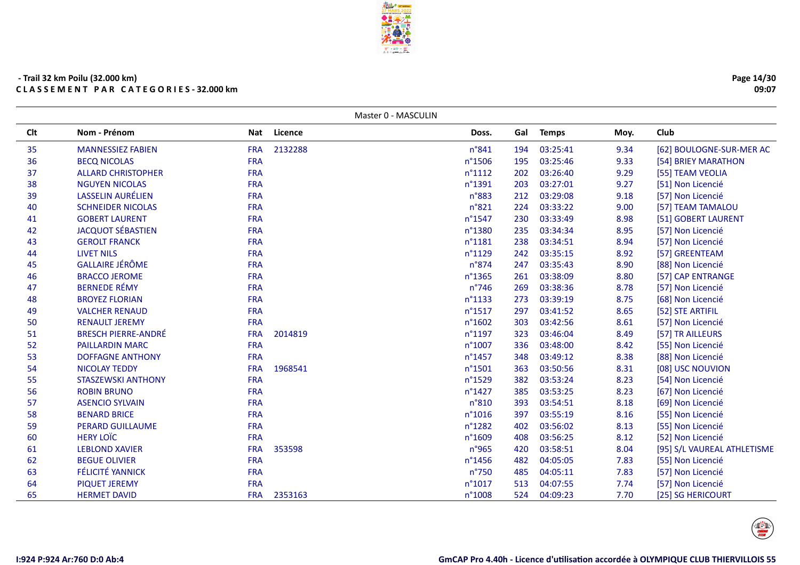|            | Master 0 - MASCULIN        |            |         |  |                  |     |              |      |                             |
|------------|----------------------------|------------|---------|--|------------------|-----|--------------|------|-----------------------------|
| <b>Clt</b> | Nom - Prénom               | Nat        | Licence |  | Doss.            | Gal | <b>Temps</b> | Moy. | <b>Club</b>                 |
| 35         | <b>MANNESSIEZ FABIEN</b>   | <b>FRA</b> | 2132288 |  | n°841            | 194 | 03:25:41     | 9.34 | [62] BOULOGNE-SUR-MER AC    |
| 36         | <b>BECQ NICOLAS</b>        | <b>FRA</b> |         |  | $n^{\circ}$ 1506 | 195 | 03:25:46     | 9.33 | [54] BRIEY MARATHON         |
| 37         | <b>ALLARD CHRISTOPHER</b>  | <b>FRA</b> |         |  | $n^{\circ}1112$  | 202 | 03:26:40     | 9.29 | [55] TEAM VEOLIA            |
| 38         | <b>NGUYEN NICOLAS</b>      | <b>FRA</b> |         |  | n°1391           | 203 | 03:27:01     | 9.27 | [51] Non Licencié           |
| 39         | LASSELIN AURÉLIEN          | <b>FRA</b> |         |  | n°883            | 212 | 03:29:08     | 9.18 | [57] Non Licencié           |
| 40         | <b>SCHNEIDER NICOLAS</b>   | <b>FRA</b> |         |  | n°821            | 224 | 03:33:22     | 9.00 | [57] TEAM TAMALOU           |
| 41         | <b>GOBERT LAURENT</b>      | <b>FRA</b> |         |  | n°1547           | 230 | 03:33:49     | 8.98 | [51] GOBERT LAURENT         |
| 42         | <b>JACQUOT SÉBASTIEN</b>   | <b>FRA</b> |         |  | n°1380           | 235 | 03:34:34     | 8.95 | [57] Non Licencié           |
| 43         | <b>GEROLT FRANCK</b>       | <b>FRA</b> |         |  | n°1181           | 238 | 03:34:51     | 8.94 | [57] Non Licencié           |
| 44         | <b>LIVET NILS</b>          | <b>FRA</b> |         |  | n°1129           | 242 | 03:35:15     | 8.92 | [57] GREENTEAM              |
| 45         | <b>GALLAIRE JÉRÔME</b>     | <b>FRA</b> |         |  | n°874            | 247 | 03:35:43     | 8.90 | [88] Non Licencié           |
| 46         | <b>BRACCO JEROME</b>       | <b>FRA</b> |         |  | n°1365           | 261 | 03:38:09     | 8.80 | [57] CAP ENTRANGE           |
| 47         | <b>BERNEDE RÉMY</b>        | <b>FRA</b> |         |  | $n^{\circ}$ 746  | 269 | 03:38:36     | 8.78 | [57] Non Licencié           |
| 48         | <b>BROYEZ FLORIAN</b>      | <b>FRA</b> |         |  | n°1133           | 273 | 03:39:19     | 8.75 | [68] Non Licencié           |
| 49         | <b>VALCHER RENAUD</b>      | <b>FRA</b> |         |  | n°1517           | 297 | 03:41:52     | 8.65 | [52] STE ARTIFIL            |
| 50         | <b>RENAULT JEREMY</b>      | <b>FRA</b> |         |  | $n^{\circ}1602$  | 303 | 03:42:56     | 8.61 | [57] Non Licencié           |
| 51         | <b>BRESCH PIERRE-ANDRÉ</b> | <b>FRA</b> | 2014819 |  | n°1197           | 323 | 03:46:04     | 8.49 | [57] TR AILLEURS            |
| 52         | <b>PAILLARDIN MARC</b>     | <b>FRA</b> |         |  | n°1007           | 336 | 03:48:00     | 8.42 | [55] Non Licencié           |
| 53         | <b>DOFFAGNE ANTHONY</b>    | <b>FRA</b> |         |  | n°1457           | 348 | 03:49:12     | 8.38 | [88] Non Licencié           |
| 54         | <b>NICOLAY TEDDY</b>       | <b>FRA</b> | 1968541 |  | n°1501           | 363 | 03:50:56     | 8.31 | [08] USC NOUVION            |
| 55         | <b>STASZEWSKI ANTHONY</b>  | <b>FRA</b> |         |  | n°1529           | 382 | 03:53:24     | 8.23 | [54] Non Licencié           |
| 56         | <b>ROBIN BRUNO</b>         | <b>FRA</b> |         |  | n°1427           | 385 | 03:53:25     | 8.23 | [67] Non Licencié           |
| 57         | <b>ASENCIO SYLVAIN</b>     | <b>FRA</b> |         |  | n°810            | 393 | 03:54:51     | 8.18 | [69] Non Licencié           |
| 58         | <b>BENARD BRICE</b>        | <b>FRA</b> |         |  | n°1016           | 397 | 03:55:19     | 8.16 | [55] Non Licencié           |
| 59         | <b>PERARD GUILLAUME</b>    | <b>FRA</b> |         |  | n°1282           | 402 | 03:56:02     | 8.13 | [55] Non Licencié           |
| 60         | <b>HERY LOÏC</b>           | <b>FRA</b> |         |  | n°1609           | 408 | 03:56:25     | 8.12 | [52] Non Licencié           |
| 61         | <b>LEBLOND XAVIER</b>      | <b>FRA</b> | 353598  |  | n°965            | 420 | 03:58:51     | 8.04 | [95] S/L VAUREAL ATHLETISME |
| 62         | <b>BEGUE OLIVIER</b>       | <b>FRA</b> |         |  | n°1456           | 482 | 04:05:05     | 7.83 | [55] Non Licencié           |
| 63         | FÉLICITÉ YANNICK           | <b>FRA</b> |         |  | n°750            | 485 | 04:05:11     | 7.83 | [57] Non Licencié           |
| 64         | <b>PIQUET JEREMY</b>       | <b>FRA</b> |         |  | n°1017           | 513 | 04:07:55     | 7.74 | [57] Non Licencié           |
| 65         | <b>HERMET DAVID</b>        | <b>FRA</b> | 2353163 |  | n°1008           | 524 | 04:09:23     | 7.70 | [25] SG HERICOURT           |



 $\begin{pmatrix} \frac{1}{\sqrt{2}} \\ \frac{1}{\sinh(\theta)} \\ \frac{1}{\sinh(\theta)} \end{pmatrix}$ 

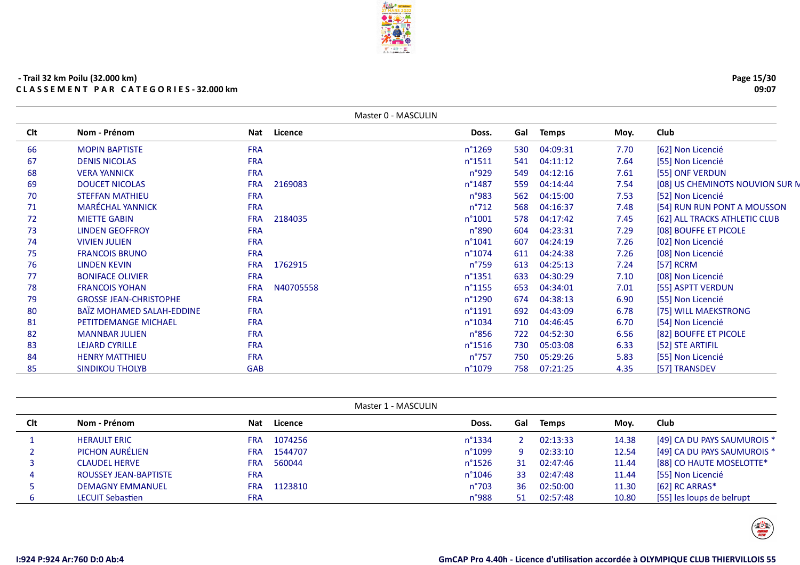|     | Master 0 - MASCULIN              |            |           |                  |     |              |      |                                 |  |
|-----|----------------------------------|------------|-----------|------------------|-----|--------------|------|---------------------------------|--|
| Clt | Nom - Prénom                     | <b>Nat</b> | Licence   | Doss.            | Gal | <b>Temps</b> | Moy. | Club                            |  |
| 66  | <b>MOPIN BAPTISTE</b>            | <b>FRA</b> |           | $n^{\circ}1269$  | 530 | 04:09:31     | 7.70 | [62] Non Licencié               |  |
| 67  | <b>DENIS NICOLAS</b>             | <b>FRA</b> |           | $n^{\circ}$ 1511 | 541 | 04:11:12     | 7.64 | [55] Non Licencié               |  |
| 68  | <b>VERA YANNICK</b>              | <b>FRA</b> |           | n°929            | 549 | 04:12:16     | 7.61 | [55] ONF VERDUN                 |  |
| 69  | <b>DOUCET NICOLAS</b>            | <b>FRA</b> | 2169083   | $n^{\circ}$ 1487 | 559 | 04:14:44     | 7.54 | [08] US CHEMINOTS NOUVION SUR N |  |
| 70  | <b>STEFFAN MATHIEU</b>           | <b>FRA</b> |           | n°983            | 562 | 04:15:00     | 7.53 | [52] Non Licencié               |  |
| 71  | <b>MARÉCHAL YANNICK</b>          | <b>FRA</b> |           | $n^{\circ}712$   | 568 | 04:16:37     | 7.48 | [54] RUN RUN PONT A MOUSSON     |  |
| 72  | <b>MIETTE GABIN</b>              | <b>FRA</b> | 2184035   | $n^{\circ}1001$  | 578 | 04:17:42     | 7.45 | [62] ALL TRACKS ATHLETIC CLUB   |  |
| 73  | <b>LINDEN GEOFFROY</b>           | <b>FRA</b> |           | n°890            | 604 | 04:23:31     | 7.29 | [08] BOUFFE ET PICOLE           |  |
| 74  | <b>VIVIEN JULIEN</b>             | <b>FRA</b> |           | $n^{\circ}1041$  | 607 | 04:24:19     | 7.26 | [02] Non Licencié               |  |
| 75  | <b>FRANCOIS BRUNO</b>            | <b>FRA</b> |           | $n^{\circ}1074$  | 611 | 04:24:38     | 7.26 | [08] Non Licencié               |  |
| 76  | <b>LINDEN KEVIN</b>              | <b>FRA</b> | 1762915   | $n^{\circ}759$   | 613 | 04:25:13     | 7.24 | [57] RCRM                       |  |
| 77  | <b>BONIFACE OLIVIER</b>          | <b>FRA</b> |           | $n^{\circ}$ 1351 | 633 | 04:30:29     | 7.10 | [08] Non Licencié               |  |
| 78  | <b>FRANCOIS YOHAN</b>            | <b>FRA</b> | N40705558 | $n^{\circ}1155$  | 653 | 04:34:01     | 7.01 | [55] ASPTT VERDUN               |  |
| 79  | <b>GROSSE JEAN-CHRISTOPHE</b>    | <b>FRA</b> |           | $n^{\circ}1290$  | 674 | 04:38:13     | 6.90 | [55] Non Licencié               |  |
| 80  | <b>BAÏZ MOHAMED SALAH-EDDINE</b> | <b>FRA</b> |           | $n^{\circ}1191$  | 692 | 04:43:09     | 6.78 | [75] WILL MAEKSTRONG            |  |
| 81  | <b>PETITDEMANGE MICHAEL</b>      | <b>FRA</b> |           | $n^{\circ}1034$  | 710 | 04:46:45     | 6.70 | [54] Non Licencié               |  |
| 82  | <b>MANNBAR JULIEN</b>            | <b>FRA</b> |           | $n^{\circ}856$   | 722 | 04:52:30     | 6.56 | [82] BOUFFE ET PICOLE           |  |
| 83  | <b>LEJARD CYRILLE</b>            | <b>FRA</b> |           | $n^{\circ}$ 1516 | 730 | 05:03:08     | 6.33 | [52] STE ARTIFIL                |  |
| 84  | <b>HENRY MATTHIEU</b>            | <b>FRA</b> |           | $n^{\circ}757$   | 750 | 05:29:26     | 5.83 | [55] Non Licencié               |  |
| 85  | <b>SINDIKOU THOLYB</b>           | <b>GAB</b> |           | $n^{\circ}1079$  | 758 | 07:21:25     | 4.35 | [57] TRANSDEV                   |  |

|                |                              |            |         | Master 1 - MASCULIN |     |              |       |                             |
|----------------|------------------------------|------------|---------|---------------------|-----|--------------|-------|-----------------------------|
| Clt            | Nom - Prénom                 | <b>Nat</b> | Licence | Doss.               | Gal | <b>Temps</b> | Moy.  | <b>Club</b>                 |
|                | <b>HERAULT ERIC</b>          | <b>FRA</b> | 1074256 | $n^{\circ}$ 1334    |     | 02:13:33     | 14.38 | [49] CA DU PAYS SAUMUROIS * |
| $\overline{2}$ | PICHON AURÉLIEN              | <b>FRA</b> | 1544707 | $n^{\circ}1099$     | 9   | 02:33:10     | 12.54 | [49] CA DU PAYS SAUMUROIS * |
| 3              | <b>CLAUDEL HERVE</b>         | <b>FRA</b> | 560044  | $n^{\circ}$ 1526    | 31  | 02:47:46     | 11.44 | [88] CO HAUTE MOSELOTTE*    |
| $\overline{4}$ | <b>ROUSSEY JEAN-BAPTISTE</b> | <b>FRA</b> |         | $n^{\circ}1046$     | 33  | 02:47:48     | 11.44 | [55] Non Licencié           |
| 5.             | <b>DEMAGNY EMMANUEL</b>      | FRA        | 1123810 | $n^{\circ}703$      | 36  | 02:50:00     | 11.30 | [62] RC ARRAS $*$           |
| 6              | <b>LECUIT Sebastien</b>      | <b>FRA</b> |         | n°988               | 51  | 02:57:48     | 10.80 | [55] les loups de belrupt   |
|                |                              |            |         |                     |     |              |       |                             |



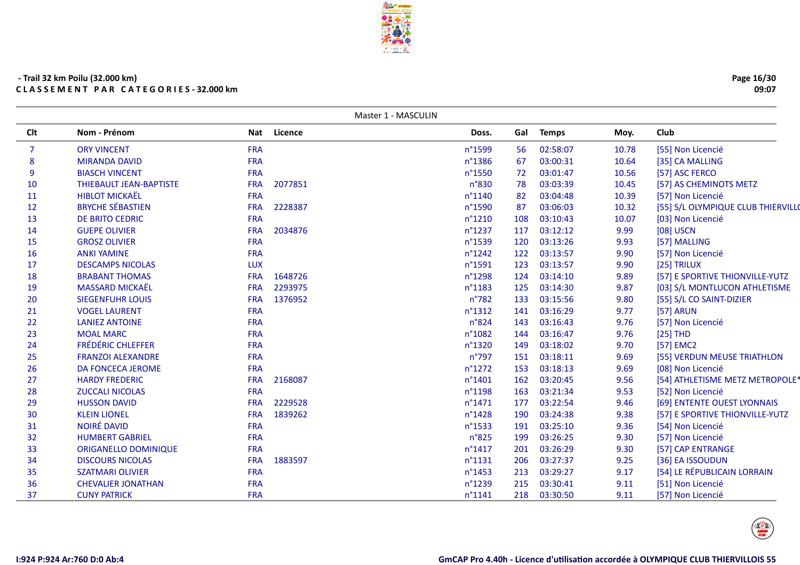|            | Master 1 - MASCULIN            |            |         |                  |     |              |       |                                   |  |  |
|------------|--------------------------------|------------|---------|------------------|-----|--------------|-------|-----------------------------------|--|--|
| <b>Clt</b> | Nom - Prénom                   | Nat        | Licence | Doss.            | Gal | <b>Temps</b> | Moy.  | Club                              |  |  |
| 7          | <b>ORY VINCENT</b>             | <b>FRA</b> |         | n°1599           | 56  | 02:58:07     | 10.78 | [55] Non Licencié                 |  |  |
| 8          | <b>MIRANDA DAVID</b>           | <b>FRA</b> |         | n°1386           | 67  | 03:00:31     | 10.64 | [35] CA MALLING                   |  |  |
| 9          | <b>BIASCH VINCENT</b>          | <b>FRA</b> |         | n°1550           | 72  | 03:01:47     | 10.56 | [57] ASC FERCO                    |  |  |
| 10         | <b>THIEBAULT JEAN-BAPTISTE</b> | <b>FRA</b> | 2077851 | n°830            | 78  | 03:03:39     | 10.45 | [57] AS CHEMINOTS METZ            |  |  |
| 11         | <b>HIBLOT MICKAËL</b>          | <b>FRA</b> |         | n°1140           | 82  | 03:04:48     | 10.39 | [57] Non Licencié                 |  |  |
| 12         | <b>BRYCHE SÉBASTIEN</b>        | <b>FRA</b> | 2228387 | n°1590           | 87  | 03:06:03     | 10.32 | [55] S/L OLYMPIQUE CLUB THIERVILL |  |  |
| 13         | DE BRITO CEDRIC                | <b>FRA</b> |         | $n^{\circ}1210$  | 108 | 03:10:43     | 10.07 | [03] Non Licencié                 |  |  |
| 14         | <b>GUEPE OLIVIER</b>           | <b>FRA</b> | 2034876 | n°1237           | 117 | 03:12:12     | 9.99  | [08] USCN                         |  |  |
| 15         | <b>GROSZ OLIVIER</b>           | <b>FRA</b> |         | n°1539           | 120 | 03:13:26     | 9.93  | [57] MALLING                      |  |  |
| 16         | <b>ANKI YAMINE</b>             | <b>FRA</b> |         | n°1242           | 122 | 03:13:57     | 9.90  | [57] Non Licencié                 |  |  |
| 17         | <b>DESCAMPS NICOLAS</b>        | <b>LUX</b> |         | n°1591           | 123 | 03:13:57     | 9.90  | [25] TRILUX                       |  |  |
| 18         | <b>BRABANT THOMAS</b>          | <b>FRA</b> | 1648726 | n°1298           | 124 | 03:14:10     | 9.89  | [57] E SPORTIVE THIONVILLE-YUTZ   |  |  |
| 19         | <b>MASSARD MICKAËL</b>         | <b>FRA</b> | 2293975 | n°1183           | 125 | 03:14:30     | 9.87  | [03] S/L MONTLUCON ATHLETISME     |  |  |
| 20         | <b>SIEGENFUHR LOUIS</b>        | <b>FRA</b> | 1376952 | n°782            | 133 | 03:15:56     | 9.80  | [55] S/L CO SAINT-DIZIER          |  |  |
| 21         | <b>VOGEL LAURENT</b>           | <b>FRA</b> |         | n°1312           | 141 | 03:16:29     | 9.77  | [57] ARUN                         |  |  |
| 22         | <b>LANIEZ ANTOINE</b>          | <b>FRA</b> |         | n°824            | 143 | 03:16:43     | 9.76  | [57] Non Licencié                 |  |  |
| 23         | <b>MOAL MARC</b>               | <b>FRA</b> |         | n°1082           | 144 | 03:16:47     | 9.76  | $[25]$ THD                        |  |  |
| 24         | <b>FRÉDÉRIC CHLEFFER</b>       | <b>FRA</b> |         | n°1320           | 149 | 03:18:02     | 9.70  | [57] EMC2                         |  |  |
| 25         | <b>FRANZOI ALEXANDRE</b>       | <b>FRA</b> |         | n°797            | 151 | 03:18:11     | 9.69  | [55] VERDUN MEUSE TRIATHLON       |  |  |
| 26         | DA FONCECA JEROME              | <b>FRA</b> |         | $n^{\circ}1272$  | 153 | 03:18:13     | 9.69  | [08] Non Licencié                 |  |  |
| 27         | <b>HARDY FREDERIC</b>          | <b>FRA</b> | 2168087 | n°1401           | 162 | 03:20:45     | 9.56  | [54] ATHLETISME METZ METROPOLE    |  |  |
| 28         | <b>ZUCCALI NICOLAS</b>         | <b>FRA</b> |         | n°1198           | 163 | 03:21:34     | 9.53  | [52] Non Licencié                 |  |  |
| 29         | <b>HUSSON DAVID</b>            | <b>FRA</b> | 2229528 | $n^{\circ}$ 1471 | 177 | 03:22:54     | 9.46  | [69] ENTENTE OUEST LYONNAIS       |  |  |
| 30         | <b>KLEIN LIONEL</b>            | <b>FRA</b> | 1839262 | n°1428           | 190 | 03:24:38     | 9.38  | [57] E SPORTIVE THIONVILLE-YUTZ   |  |  |
| 31         | NOIRÉ DAVID                    | <b>FRA</b> |         | n°1533           | 191 | 03:25:10     | 9.36  | [54] Non Licencié                 |  |  |
| 32         | <b>HUMBERT GABRIEL</b>         | <b>FRA</b> |         | n°825            | 199 | 03:26:25     | 9.30  | [57] Non Licencié                 |  |  |
| 33         | ORIGANELLO DOMINIQUE           | <b>FRA</b> |         | $n^{\circ}$ 1417 | 201 | 03:26:29     | 9.30  | [57] CAP ENTRANGE                 |  |  |
| 34         | <b>DISCOURS NICOLAS</b>        | <b>FRA</b> | 1883597 | $n^{\circ}1131$  | 206 | 03:27:37     | 9.25  | [36] EA ISSOUDUN                  |  |  |
| 35         | <b>SZATMARI OLIVIER</b>        | <b>FRA</b> |         | n°1453           | 213 | 03:29:27     | 9.17  | [54] LE RÉPUBLICAIN LORRAIN       |  |  |
| 36         | <b>CHEVALIER JONATHAN</b>      | <b>FRA</b> |         | n°1239           | 215 | 03:30:41     | 9.11  | [51] Non Licencié                 |  |  |
| 37         | <b>CUNY PATRICK</b>            | <b>FRA</b> |         | $n^{\circ}1141$  | 218 | 03:30:50     | 9.11  | [57] Non Licencié                 |  |  |



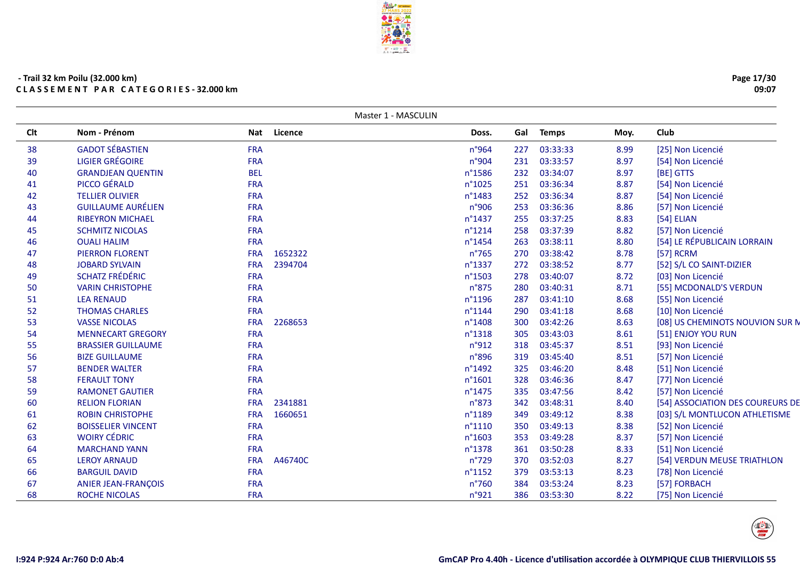|     | Master 1 - MASCULIN        |            |                |                  |     |              |      |                                  |  |  |
|-----|----------------------------|------------|----------------|------------------|-----|--------------|------|----------------------------------|--|--|
| Clt | Nom - Prénom               | <b>Nat</b> | <b>Licence</b> | Doss.            | Gal | <b>Temps</b> | Moy. | Club                             |  |  |
| 38  | <b>GADOT SÉBASTIEN</b>     | <b>FRA</b> |                | n°964            | 227 | 03:33:33     | 8.99 | [25] Non Licencié                |  |  |
| 39  | <b>LIGIER GRÉGOIRE</b>     | <b>FRA</b> |                | n°904            | 231 | 03:33:57     | 8.97 | [54] Non Licencié                |  |  |
| 40  | <b>GRANDJEAN QUENTIN</b>   | <b>BEL</b> |                | n°1586           | 232 | 03:34:07     | 8.97 | [BE] GTTS                        |  |  |
| 41  | PICCO GÉRALD               | <b>FRA</b> |                | n°1025           | 251 | 03:36:34     | 8.87 | [54] Non Licencié                |  |  |
| 42  | <b>TELLIER OLIVIER</b>     | <b>FRA</b> |                | n°1483           | 252 | 03:36:34     | 8.87 | [54] Non Licencié                |  |  |
| 43  | <b>GUILLAUME AURÉLIEN</b>  | <b>FRA</b> |                | n°906            | 253 | 03:36:36     | 8.86 | [57] Non Licencié                |  |  |
| 44  | <b>RIBEYRON MICHAEL</b>    | <b>FRA</b> |                | n°1437           | 255 | 03:37:25     | 8.83 | [54] ELIAN                       |  |  |
| 45  | <b>SCHMITZ NICOLAS</b>     | <b>FRA</b> |                | $n^{\circ}1214$  | 258 | 03:37:39     | 8.82 | [57] Non Licencié                |  |  |
| 46  | <b>OUALI HALIM</b>         | <b>FRA</b> |                | n°1454           | 263 | 03:38:11     | 8.80 | [54] LE RÉPUBLICAIN LORRAIN      |  |  |
| 47  | <b>PIERRON FLORENT</b>     | <b>FRA</b> | 1652322        | n°765            | 270 | 03:38:42     | 8.78 | [57] RCRM                        |  |  |
| 48  | <b>JOBARD SYLVAIN</b>      | <b>FRA</b> | 2394704        | n°1337           | 272 | 03:38:52     | 8.77 | [52] S/L CO SAINT-DIZIER         |  |  |
| 49  | <b>SCHATZ FRÉDÉRIC</b>     | <b>FRA</b> |                | n°1503           | 278 | 03:40:07     | 8.72 | [03] Non Licencié                |  |  |
| 50  | <b>VARIN CHRISTOPHE</b>    | <b>FRA</b> |                | n°875            | 280 | 03:40:31     | 8.71 | [55] MCDONALD'S VERDUN           |  |  |
| 51  | <b>LEA RENAUD</b>          | <b>FRA</b> |                | n°1196           | 287 | 03:41:10     | 8.68 | [55] Non Licencié                |  |  |
| 52  | <b>THOMAS CHARLES</b>      | <b>FRA</b> |                | $n^{\circ}$ 1144 | 290 | 03:41:18     | 8.68 | [10] Non Licencié                |  |  |
| 53  | <b>VASSE NICOLAS</b>       | <b>FRA</b> | 2268653        | n°1408           | 300 | 03:42:26     | 8.63 | [08] US CHEMINOTS NOUVION SUR N  |  |  |
| 54  | <b>MENNECART GREGORY</b>   | <b>FRA</b> |                | $n^{\circ}$ 1318 | 305 | 03:43:03     | 8.61 | [51] ENJOY YOU RUN               |  |  |
| 55  | <b>BRASSIER GUILLAUME</b>  | <b>FRA</b> |                | n°912            | 318 | 03:45:37     | 8.51 | [93] Non Licencié                |  |  |
| 56  | <b>BIZE GUILLAUME</b>      | <b>FRA</b> |                | n°896            | 319 | 03:45:40     | 8.51 | [57] Non Licencié                |  |  |
| 57  | <b>BENDER WALTER</b>       | <b>FRA</b> |                | n°1492           | 325 | 03:46:20     | 8.48 | [51] Non Licencié                |  |  |
| 58  | <b>FERAULT TONY</b>        | <b>FRA</b> |                | n°1601           | 328 | 03:46:36     | 8.47 | [77] Non Licencié                |  |  |
| 59  | <b>RAMONET GAUTIER</b>     | <b>FRA</b> |                | n°1475           | 335 | 03:47:56     | 8.42 | [57] Non Licencié                |  |  |
| 60  | <b>RELION FLORIAN</b>      | <b>FRA</b> | 2341881        | n°873            | 342 | 03:48:31     | 8.40 | [54] ASSOCIATION DES COUREURS DE |  |  |
| 61  | <b>ROBIN CHRISTOPHE</b>    | <b>FRA</b> | 1660651        | n°1189           | 349 | 03:49:12     | 8.38 | [03] S/L MONTLUCON ATHLETISME    |  |  |
| 62  | <b>BOISSELIER VINCENT</b>  | <b>FRA</b> |                | $n^{\circ}1110$  | 350 | 03:49:13     | 8.38 | [52] Non Licencié                |  |  |
| 63  | <b>WOIRY CÉDRIC</b>        | <b>FRA</b> |                | n°1603           | 353 | 03:49:28     | 8.37 | [57] Non Licencié                |  |  |
| 64  | <b>MARCHAND YANN</b>       | <b>FRA</b> |                | $n^{\circ}$ 1378 | 361 | 03:50:28     | 8.33 | [51] Non Licencié                |  |  |
| 65  | <b>LEROY ARNAUD</b>        | <b>FRA</b> | A46740C        | n°729            | 370 | 03:52:03     | 8.27 | [54] VERDUN MEUSE TRIATHLON      |  |  |
| 66  | <b>BARGUIL DAVID</b>       | <b>FRA</b> |                | $n^{\circ}1152$  | 379 | 03:53:13     | 8.23 | [78] Non Licencié                |  |  |
| 67  | <b>ANIER JEAN-FRANÇOIS</b> | <b>FRA</b> |                | $n^{\circ}760$   | 384 | 03:53:24     | 8.23 | [57] FORBACH                     |  |  |
| 68  | <b>ROCHE NICOLAS</b>       | <b>FRA</b> |                | n°921            | 386 | 03:53:30     | 8.22 | [75] Non Licencié                |  |  |





Page 17/30 09:07

 $\begin{pmatrix} \frac{1}{\sqrt{2}} \\ \frac{1}{\sinh \theta} \\ \frac{1}{\sinh \theta} \end{pmatrix}$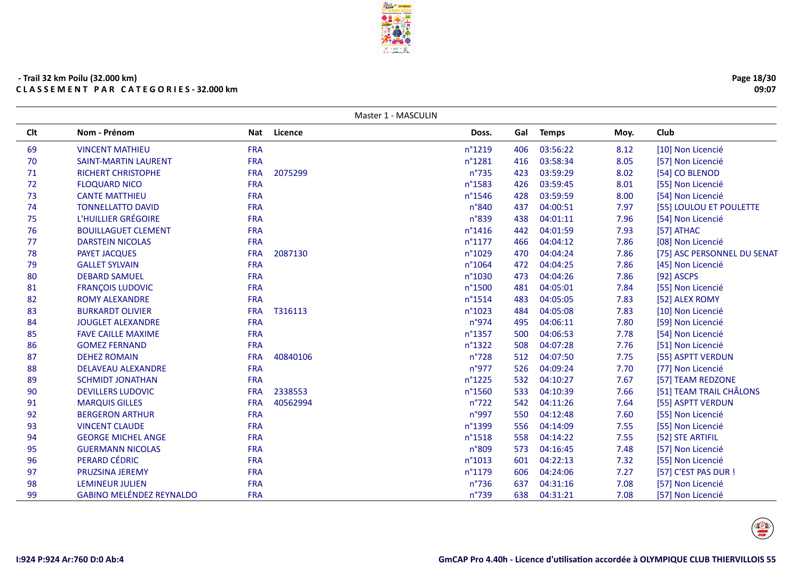$\overline{\phantom{0}}$ 

|     | Master 1 - MASCULIN             |            |          |  |                  |     |              |      |                             |  |
|-----|---------------------------------|------------|----------|--|------------------|-----|--------------|------|-----------------------------|--|
| Clt | Nom - Prénom                    | Nat        | Licence  |  | Doss.            | Gal | <b>Temps</b> | Moy. | Club                        |  |
| 69  | <b>VINCENT MATHIEU</b>          | <b>FRA</b> |          |  | n°1219           | 406 | 03:56:22     | 8.12 | [10] Non Licencié           |  |
| 70  | <b>SAINT-MARTIN LAURENT</b>     | <b>FRA</b> |          |  | n°1281           | 416 | 03:58:34     | 8.05 | [57] Non Licencié           |  |
| 71  | <b>RICHERT CHRISTOPHE</b>       | <b>FRA</b> | 2075299  |  | $n^{\circ}735$   | 423 | 03:59:29     | 8.02 | [54] CO BLENOD              |  |
| 72  | <b>FLOQUARD NICO</b>            | <b>FRA</b> |          |  | $n^{\circ}$ 1583 | 426 | 03:59:45     | 8.01 | [55] Non Licencié           |  |
| 73  | <b>CANTE MATTHIEU</b>           | <b>FRA</b> |          |  | n°1546           | 428 | 03:59:59     | 8.00 | [54] Non Licencié           |  |
| 74  | <b>TONNELLATTO DAVID</b>        | <b>FRA</b> |          |  | n°840            | 437 | 04:00:51     | 7.97 | [55] LOULOU ET POULETTE     |  |
| 75  | L'HUILLIER GRÉGOIRE             | <b>FRA</b> |          |  | n°839            | 438 | 04:01:11     | 7.96 | [54] Non Licencié           |  |
| 76  | <b>BOUILLAGUET CLEMENT</b>      | <b>FRA</b> |          |  | $n^{\circ}$ 1416 | 442 | 04:01:59     | 7.93 | $[57]$ ATHAC                |  |
| 77  | <b>DARSTEIN NICOLAS</b>         | <b>FRA</b> |          |  | $n^{\circ}1177$  | 466 | 04:04:12     | 7.86 | [08] Non Licencié           |  |
| 78  | <b>PAYET JACQUES</b>            | <b>FRA</b> | 2087130  |  | n°1029           | 470 | 04:04:24     | 7.86 | [75] ASC PERSONNEL DU SENAT |  |
| 79  | <b>GALLET SYLVAIN</b>           | <b>FRA</b> |          |  | n°1064           | 472 | 04:04:25     | 7.86 | [45] Non Licencié           |  |
| 80  | <b>DEBARD SAMUEL</b>            | <b>FRA</b> |          |  | n°1030           | 473 | 04:04:26     | 7.86 | [92] ASCPS                  |  |
| 81  | <b>FRANÇOIS LUDOVIC</b>         | <b>FRA</b> |          |  | n°1500           | 481 | 04:05:01     | 7.84 | [55] Non Licencié           |  |
| 82  | <b>ROMY ALEXANDRE</b>           | <b>FRA</b> |          |  | $n^{\circ}$ 1514 | 483 | 04:05:05     | 7.83 | [52] ALEX ROMY              |  |
| 83  | <b>BURKARDT OLIVIER</b>         | <b>FRA</b> | T316113  |  | n°1023           | 484 | 04:05:08     | 7.83 | [10] Non Licencié           |  |
| 84  | <b>JOUGLET ALEXANDRE</b>        | <b>FRA</b> |          |  | n°974            | 495 | 04:06:11     | 7.80 | [59] Non Licencié           |  |
| 85  | <b>FAVE CAILLE MAXIME</b>       | <b>FRA</b> |          |  | n°1357           | 500 | 04:06:53     | 7.78 | [54] Non Licencié           |  |
| 86  | <b>GOMEZ FERNAND</b>            | <b>FRA</b> |          |  | $n^{\circ}$ 1322 | 508 | 04:07:28     | 7.76 | [51] Non Licencié           |  |
| 87  | <b>DEHEZ ROMAIN</b>             | <b>FRA</b> | 40840106 |  | $n^{\circ}728$   | 512 | 04:07:50     | 7.75 | [55] ASPTT VERDUN           |  |
| 88  | <b>DELAVEAU ALEXANDRE</b>       | <b>FRA</b> |          |  | n°977            | 526 | 04:09:24     | 7.70 | [77] Non Licencié           |  |
| 89  | <b>SCHMIDT JONATHAN</b>         | <b>FRA</b> |          |  | n°1225           | 532 | 04:10:27     | 7.67 | [57] TEAM REDZONE           |  |
| 90  | <b>DEVILLERS LUDOVIC</b>        | <b>FRA</b> | 2338553  |  | n°1560           | 533 | 04:10:39     | 7.66 | [51] TEAM TRAIL CHÂLONS     |  |
| 91  | <b>MARQUIS GILLES</b>           | <b>FRA</b> | 40562994 |  | $n^{\circ}$ 722  | 542 | 04:11:26     | 7.64 | [55] ASPTT VERDUN           |  |
| 92  | <b>BERGERON ARTHUR</b>          | <b>FRA</b> |          |  | n°997            | 550 | 04:12:48     | 7.60 | [55] Non Licencié           |  |
| 93  | <b>VINCENT CLAUDE</b>           | <b>FRA</b> |          |  | n°1399           | 556 | 04:14:09     | 7.55 | [55] Non Licencié           |  |
| 94  | <b>GEORGE MICHEL ANGE</b>       | <b>FRA</b> |          |  | $n^{\circ}$ 1518 | 558 | 04:14:22     | 7.55 | [52] STE ARTIFIL            |  |
| 95  | <b>GUERMANN NICOLAS</b>         | <b>FRA</b> |          |  | n°809            | 573 | 04:16:45     | 7.48 | [57] Non Licencié           |  |
| 96  | PERARD CÉDRIC                   | <b>FRA</b> |          |  | n°1013           | 601 | 04:22:13     | 7.32 | [55] Non Licencié           |  |
| 97  | PRUZSINA JEREMY                 | <b>FRA</b> |          |  | n°1179           | 606 | 04:24:06     | 7.27 | [57] C'EST PAS DUR !        |  |
| 98  | <b>LEMINEUR JULIEN</b>          | <b>FRA</b> |          |  | $n^{\circ}$ 736  | 637 | 04:31:16     | 7.08 | [57] Non Licencié           |  |
| 99  | <b>GABINO MELÉNDEZ REYNALDO</b> | <b>FRA</b> |          |  | n°739            | 638 | 04:31:21     | 7.08 | [57] Non Licencié           |  |



 $\begin{pmatrix}\n\frac{1}{\sqrt{2}} \\
\frac{1}{\sqrt{2}} \\
\frac{1}{\sqrt{2}} \\
\frac{1}{\sqrt{2}}\n\end{pmatrix}$ 

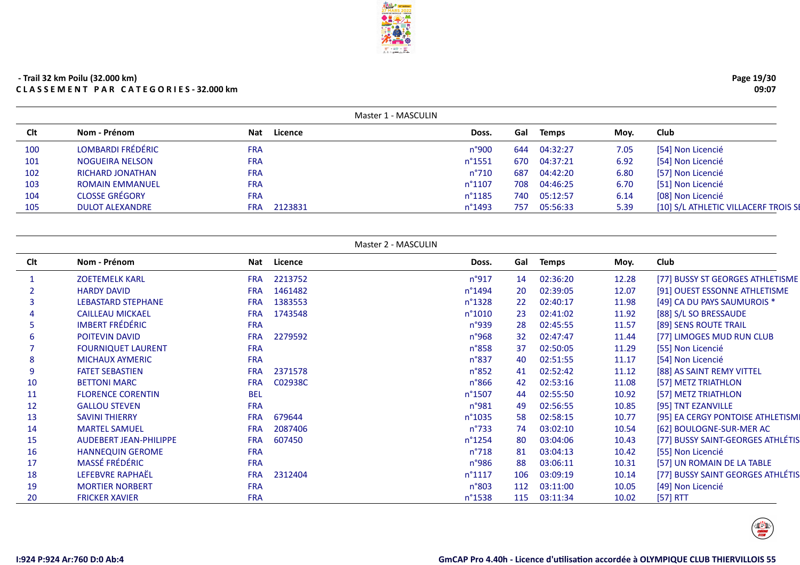|     |                          |                       | Master 1 - MASCULIN                                                                 |
|-----|--------------------------|-----------------------|-------------------------------------------------------------------------------------|
| Clt | Nom - Prénom             | Licence<br><b>Nat</b> | <b>Club</b><br>Gal<br>Doss.<br>Moy.<br>Temps                                        |
| 100 | <b>LOMBARDI FRÉDÉRIC</b> | <b>FRA</b>            | [54] Non Licencié<br>7.05<br>n°900<br>04:32:27<br>644                               |
| 101 | <b>NOGUEIRA NELSON</b>   | <b>FRA</b>            | [54] Non Licencié<br>6.92<br>$n^{\circ}$ 1551<br>670<br>04:37:21                    |
| 102 | <b>RICHARD JONATHAN</b>  | <b>FRA</b>            | 6.80<br>[57] Non Licencié<br>$n^{\circ}710$<br>687<br>04:42:20                      |
| 103 | <b>ROMAIN EMMANUEL</b>   | <b>FRA</b>            | [51] Non Licencié<br>6.70<br>$n^{\circ}1107$<br>708<br>04:46:25                     |
| 104 | <b>CLOSSE GRÉGORY</b>    | <b>FRA</b>            | $n^{\circ}1185$<br>[08] Non Licencié<br>6.14<br>740<br>05:12:57                     |
| 105 | <b>DULOT ALEXANDRE</b>   | 2123831<br><b>FRA</b> | 5.39<br>[10] S/L ATHLETIC VILLACERF TROIS SE<br>$n^{\circ}$ 1493<br>05:56:33<br>757 |
|     |                          |                       |                                                                                     |

|     |                           |            |         | Master 2 - MASCULIN |     |              |       |                                   |
|-----|---------------------------|------------|---------|---------------------|-----|--------------|-------|-----------------------------------|
| Clt | Nom - Prénom              | Nat        | Licence | Doss.               | Gal | <b>Temps</b> | Moy.  | Club                              |
|     | <b>ZOETEMELK KARL</b>     | <b>FRA</b> | 2213752 | n°917               | 14  | 02:36:20     | 12.28 | [77] BUSSY ST GEORGES ATHLETISME  |
|     | <b>HARDY DAVID</b>        | <b>FRA</b> | 1461482 | $n^{\circ}$ 1494    | 20  | 02:39:05     | 12.07 | [91] OUEST ESSONNE ATHLETISME     |
| 3   | <b>LEBASTARD STEPHANE</b> | <b>FRA</b> | 1383553 | $n^{\circ}$ 1328    | 22  | 02:40:17     | 11.98 | [49] CA DU PAYS SAUMUROIS *       |
|     | <b>CAILLEAU MICKAEL</b>   | <b>FRA</b> | 1743548 | $n^{\circ}1010$     | 23  | 02:41:02     | 11.92 | [88] S/L SO BRESSAUDE             |
| 5.  | <b>IMBERT FRÉDÉRIC</b>    | <b>FRA</b> |         | n°939               | 28  | 02:45:55     | 11.57 | [89] SENS ROUTE TRAIL             |
| 6   | POITEVIN DAVID            | <b>FRA</b> | 2279592 | n°968               | 32  | 02:47:47     | 11.44 | [77] LIMOGES MUD RUN CLUB         |
|     | <b>FOURNIQUET LAURENT</b> | <b>FRA</b> |         | $n^{\circ}858$      | 37  | 02:50:05     | 11.29 | [55] Non Licencié                 |
| 8   | <b>MICHAUX AYMERIC</b>    | <b>FRA</b> |         | n°837               | 40  | 02:51:55     | 11.17 | [54] Non Licencié                 |
| 9   | <b>FATET SEBASTIEN</b>    | <b>FRA</b> | 2371578 | $n^{\circ}852$      | 41  | 02:52:42     | 11.12 | [88] AS SAINT REMY VITTEL         |
| 10  | <b>BETTONI MARC</b>       | <b>FRA</b> | C02938C | $n^{\circ}866$      | 42  | 02:53:16     | 11.08 | [57] METZ TRIATHLON               |
| 11  | <b>FLORENCE CORENTIN</b>  | <b>BEL</b> |         | n°1507              | 44  | 02:55:50     | 10.92 | [57] METZ TRIATHLON               |
| 12  | <b>GALLOU STEVEN</b>      | <b>FRA</b> |         | n°981               | 49  | 02:56:55     | 10.85 | [95] TNT EZANVILLE                |
| 13  | <b>SAVINI THIERRY</b>     | <b>FRA</b> | 679644  | $n^{\circ}1035$     | 58  | 02:58:15     | 10.77 | [95] EA CERGY PONTOISE ATHLETISMI |
| 14  | <b>MARTEL SAMUEL</b>      | <b>FRA</b> | 2087406 | $n^{\circ}733$      | 74  | 03:02:10     | 10.54 | [62] BOULOGNE-SUR-MER AC          |
| 15  | AUDEBERT JEAN-PHILIPPE    | <b>FRA</b> | 607450  | $n^{\circ}$ 1254    | 80  | 03:04:06     | 10.43 | [77] BUSSY SAINT-GEORGES ATHLÉTIS |
| 16  | <b>HANNEQUIN GEROME</b>   | <b>FRA</b> |         | $n^{\circ}718$      | 81  | 03:04:13     | 10.42 | [55] Non Licencié                 |
| 17  | <b>MASSÉ FRÉDÉRIC</b>     | <b>FRA</b> |         | n°986               | 88  | 03:06:11     | 10.31 | [57] UN ROMAIN DE LA TABLE        |
| 18  | LEFEBVRE RAPHAËL          | <b>FRA</b> | 2312404 | $n^{\circ}1117$     | 106 | 03:09:19     | 10.14 | [77] BUSSY SAINT GEORGES ATHLÉTIS |
| 19  | <b>MORTIER NORBERT</b>    | <b>FRA</b> |         | n°803               | 112 | 03:11:00     | 10.05 | [49] Non Licencié                 |
| 20  | <b>FRICKER XAVIER</b>     | <b>FRA</b> |         | $n^{\circ}$ 1538    | 115 | 03:11:34     | 10.02 | [57] RTT                          |

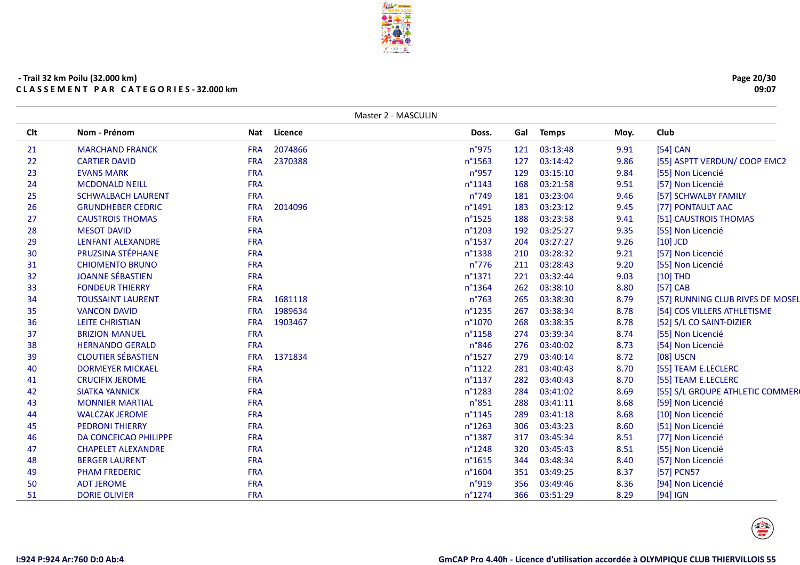|            | Master 2 - MASCULIN          |            |             |                  |     |              |      |                                  |  |  |
|------------|------------------------------|------------|-------------|------------------|-----|--------------|------|----------------------------------|--|--|
| <b>Clt</b> | Nom - Prénom                 |            | Nat Licence | Doss.            | Gal | <b>Temps</b> | Moy. | Club                             |  |  |
| 21         | <b>MARCHAND FRANCK</b>       | <b>FRA</b> | 2074866     | n°975            | 121 | 03:13:48     | 9.91 | [54] CAN                         |  |  |
| 22         | <b>CARTIER DAVID</b>         | <b>FRA</b> | 2370388     | n°1563           | 127 | 03:14:42     | 9.86 | [55] ASPTT VERDUN/ COOP EMC2     |  |  |
| 23         | <b>EVANS MARK</b>            | <b>FRA</b> |             | n°957            | 129 | 03:15:10     | 9.84 | [55] Non Licencié                |  |  |
| 24         | <b>MCDONALD NEILL</b>        | <b>FRA</b> |             | $n^{\circ}1143$  | 168 | 03:21:58     | 9.51 | [57] Non Licencié                |  |  |
| 25         | <b>SCHWALBACH LAURENT</b>    | <b>FRA</b> |             | $n^{\circ}749$   | 181 | 03:23:04     | 9.46 | [57] SCHWALBY FAMILY             |  |  |
| 26         | <b>GRUNDHEBER CEDRIC</b>     | <b>FRA</b> | 2014096     | n°1491           | 183 | 03:23:12     | 9.45 | [77] PONTAULT AAC                |  |  |
| 27         | <b>CAUSTROIS THOMAS</b>      | <b>FRA</b> |             | n°1525           | 188 | 03:23:58     | 9.41 | [51] CAUSTROIS THOMAS            |  |  |
| 28         | <b>MESOT DAVID</b>           | <b>FRA</b> |             | n°1203           | 192 | 03:25:27     | 9.35 | [55] Non Licencié                |  |  |
| 29         | <b>LENFANT ALEXANDRE</b>     | <b>FRA</b> |             | n°1537           | 204 | 03:27:27     | 9.26 | $[10]$ JCD                       |  |  |
| 30         | PRUZSINA STÉPHANE            | <b>FRA</b> |             | n°1338           | 210 | 03:28:32     | 9.21 | [57] Non Licencié                |  |  |
| 31         | <b>CHIOMENTO BRUNO</b>       | <b>FRA</b> |             | $n^{\circ}776$   | 211 | 03:28:43     | 9.20 | [55] Non Licencié                |  |  |
| 32         | <b>JOANNE SÉBASTIEN</b>      | <b>FRA</b> |             | n°1371           | 221 | 03:32:44     | 9.03 | $[10]$ THD                       |  |  |
| 33         | <b>FONDEUR THIERRY</b>       | <b>FRA</b> |             | n°1364           | 262 | 03:38:10     | 8.80 | $[57]$ CAB                       |  |  |
| 34         | <b>TOUSSAINT LAURENT</b>     | <b>FRA</b> | 1681118     | $n^{\circ}763$   | 265 | 03:38:30     | 8.79 | [57] RUNNING CLUB RIVES DE MOSEL |  |  |
| 35         | <b>VANCON DAVID</b>          | <b>FRA</b> | 1989634     | n°1235           | 267 | 03:38:34     | 8.78 | [54] COS VILLERS ATHLETISME      |  |  |
| 36         | <b>LEITE CHRISTIAN</b>       | <b>FRA</b> | 1903467     | n°1070           | 268 | 03:38:35     | 8.78 | [52] S/L CO SAINT-DIZIER         |  |  |
| 37         | <b>BRIZION MANUEL</b>        | <b>FRA</b> |             | n°1158           | 274 | 03:39:34     | 8.74 | [55] Non Licencié                |  |  |
| 38         | <b>HERNANDO GERALD</b>       | <b>FRA</b> |             | $n^{\circ}846$   | 276 | 03:40:02     | 8.73 | [54] Non Licencié                |  |  |
| 39         | <b>CLOUTIER SÉBASTIEN</b>    | <b>FRA</b> | 1371834     | $n^{\circ}$ 1527 | 279 | 03:40:14     | 8.72 | [08] USCN                        |  |  |
| 40         | <b>DORMEYER MICKAEL</b>      | <b>FRA</b> |             | $n^{\circ}1122$  | 281 | 03:40:43     | 8.70 | [55] TEAM E.LECLERC              |  |  |
| 41         | <b>CRUCIFIX JEROME</b>       | <b>FRA</b> |             | n°1137           | 282 | 03:40:43     | 8.70 | [55] TEAM E.LECLERC              |  |  |
| 42         | <b>SIATKA YANNICK</b>        | <b>FRA</b> |             | n°1283           | 284 | 03:41:02     | 8.69 | [55] S/L GROUPE ATHLETIC COMMER  |  |  |
| 43         | <b>MONNIER MARTIAL</b>       | <b>FRA</b> |             | $n^{\circ}851$   | 288 | 03:41:11     | 8.68 | [59] Non Licencié                |  |  |
| 44         | <b>WALCZAK JEROME</b>        | <b>FRA</b> |             | n°1145           | 289 | 03:41:18     | 8.68 | [10] Non Licencié                |  |  |
| 45         | <b>PEDRONI THIERRY</b>       | <b>FRA</b> |             | $n^{\circ}$ 1263 | 306 | 03:43:23     | 8.60 | [51] Non Licencié                |  |  |
| 46         | <b>DA CONCEICAO PHILIPPE</b> | <b>FRA</b> |             | n°1387           | 317 | 03:45:34     | 8.51 | [77] Non Licencié                |  |  |
| 47         | <b>CHAPELET ALEXANDRE</b>    | <b>FRA</b> |             | n°1248           | 320 | 03:45:43     | 8.51 | [55] Non Licencié                |  |  |
| 48         | <b>BERGER LAURENT</b>        | <b>FRA</b> |             | $n^{\circ}1615$  | 344 | 03:48:34     | 8.40 | [57] Non Licencié                |  |  |
| 49         | <b>PHAM FREDERIC</b>         | <b>FRA</b> |             | n°1604           | 351 | 03:49:25     | 8.37 | [57] PCN57                       |  |  |
| 50         | <b>ADT JEROME</b>            | <b>FRA</b> |             | n°919            | 356 | 03:49:46     | 8.36 | [94] Non Licencié                |  |  |
| 51         | <b>DORIE OLIVIER</b>         | <b>FRA</b> |             | $n^{\circ}1274$  | 366 | 03:51:29     | 8.29 | [94] IGN                         |  |  |

**ERAIL & Broadban**<br>27 MARS 2022



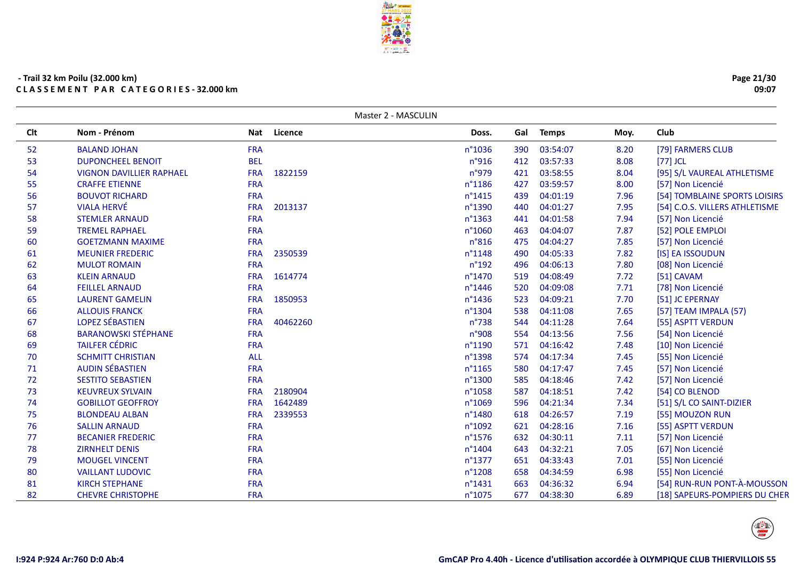|            | Master 2 - MASCULIN             |            |          |                 |     |              |      |                                |  |  |
|------------|---------------------------------|------------|----------|-----------------|-----|--------------|------|--------------------------------|--|--|
| <b>Clt</b> | Nom - Prénom                    | Nat        | Licence  | Doss.           | Gal | <b>Temps</b> | Moy. | Club                           |  |  |
| 52         | <b>BALAND JOHAN</b>             | <b>FRA</b> |          | n°1036          | 390 | 03:54:07     | 8.20 | [79] FARMERS CLUB              |  |  |
| 53         | <b>DUPONCHEEL BENOIT</b>        | <b>BEL</b> |          | n°916           | 412 | 03:57:33     | 8.08 | $[77]$ JCL                     |  |  |
| 54         | <b>VIGNON DAVILLIER RAPHAEL</b> | <b>FRA</b> | 1822159  | n°979           | 421 | 03:58:55     | 8.04 | [95] S/L VAUREAL ATHLETISME    |  |  |
| 55         | <b>CRAFFE ETIENNE</b>           | <b>FRA</b> |          | n°1186          | 427 | 03:59:57     | 8.00 | [57] Non Licencié              |  |  |
| 56         | <b>BOUVOT RICHARD</b>           | <b>FRA</b> |          | n°1415          | 439 | 04:01:19     | 7.96 | [54] TOMBLAINE SPORTS LOISIRS  |  |  |
| 57         | <b>VIALA HERVÉ</b>              | <b>FRA</b> | 2013137  | n°1390          | 440 | 04:01:27     | 7.95 | [54] C.O.S. VILLERS ATHLETISME |  |  |
| 58         | <b>STEMLER ARNAUD</b>           | <b>FRA</b> |          | n°1363          | 441 | 04:01:58     | 7.94 | [57] Non Licencié              |  |  |
| 59         | <b>TREMEL RAPHAEL</b>           | <b>FRA</b> |          | n°1060          | 463 | 04:04:07     | 7.87 | [52] POLE EMPLOI               |  |  |
| 60         | <b>GOETZMANN MAXIME</b>         | <b>FRA</b> |          | n°816           | 475 | 04:04:27     | 7.85 | [57] Non Licencié              |  |  |
| 61         | <b>MEUNIER FREDERIC</b>         | <b>FRA</b> | 2350539  | n°1148          | 490 | 04:05:33     | 7.82 | [IS] EA ISSOUDUN               |  |  |
| 62         | <b>MULOT ROMAIN</b>             | <b>FRA</b> |          | $n^{\circ}$ 192 | 496 | 04:06:13     | 7.80 | [08] Non Licencié              |  |  |
| 63         | <b>KLEIN ARNAUD</b>             | <b>FRA</b> | 1614774  | n°1470          | 519 | 04:08:49     | 7.72 | [51] CAVAM                     |  |  |
| 64         | <b>FEILLEL ARNAUD</b>           | <b>FRA</b> |          | n°1446          | 520 | 04:09:08     | 7.71 | [78] Non Licencié              |  |  |
| 65         | <b>LAURENT GAMELIN</b>          | <b>FRA</b> | 1850953  | n°1436          | 523 | 04:09:21     | 7.70 | [51] JC EPERNAY                |  |  |
| 66         | <b>ALLOUIS FRANCK</b>           | <b>FRA</b> |          | n°1304          | 538 | 04:11:08     | 7.65 | [57] TEAM IMPALA (57)          |  |  |
| 67         | <b>LOPEZ SÉBASTIEN</b>          | <b>FRA</b> | 40462260 | n°738           | 544 | 04:11:28     | 7.64 | [55] ASPTT VERDUN              |  |  |
| 68         | <b>BARANOWSKI STÉPHANE</b>      | <b>FRA</b> |          | n°908           | 554 | 04:13:56     | 7.56 | [54] Non Licencié              |  |  |
| 69         | <b>TAILFER CÉDRIC</b>           | <b>FRA</b> |          | n°1190          | 571 | 04:16:42     | 7.48 | [10] Non Licencié              |  |  |
| 70         | <b>SCHMITT CHRISTIAN</b>        | <b>ALL</b> |          | n°1398          | 574 | 04:17:34     | 7.45 | [55] Non Licencié              |  |  |
| 71         | <b>AUDIN SÉBASTIEN</b>          | <b>FRA</b> |          | n°1165          | 580 | 04:17:47     | 7.45 | [57] Non Licencié              |  |  |
| 72         | <b>SESTITO SEBASTIEN</b>        | <b>FRA</b> |          | n°1300          | 585 | 04:18:46     | 7.42 | [57] Non Licencié              |  |  |
| 73         | <b>KEUVREUX SYLVAIN</b>         | <b>FRA</b> | 2180904  | n°1058          | 587 | 04:18:51     | 7.42 | [54] CO BLENOD                 |  |  |
| 74         | <b>GOBILLOT GEOFFROY</b>        | <b>FRA</b> | 1642489  | n°1069          | 596 | 04:21:34     | 7.34 | [51] S/L CO SAINT-DIZIER       |  |  |
| 75         | <b>BLONDEAU ALBAN</b>           | <b>FRA</b> | 2339553  | n°1480          | 618 | 04:26:57     | 7.19 | [55] MOUZON RUN                |  |  |
| 76         | <b>SALLIN ARNAUD</b>            | <b>FRA</b> |          | n°1092          | 621 | 04:28:16     | 7.16 | [55] ASPTT VERDUN              |  |  |
| 77         | <b>BECANIER FREDERIC</b>        | <b>FRA</b> |          | n°1576          | 632 | 04:30:11     | 7.11 | [57] Non Licencié              |  |  |
| 78         | <b>ZIRNHELT DENIS</b>           | <b>FRA</b> |          | n°1404          | 643 | 04:32:21     | 7.05 | [67] Non Licencié              |  |  |
| 79         | <b>MOUGEL VINCENT</b>           | <b>FRA</b> |          | n°1377          | 651 | 04:33:43     | 7.01 | [55] Non Licencié              |  |  |
| 80         | <b>VAILLANT LUDOVIC</b>         | <b>FRA</b> |          | n°1208          | 658 | 04:34:59     | 6.98 | [55] Non Licencié              |  |  |
| 81         | <b>KIRCH STEPHANE</b>           | <b>FRA</b> |          | n°1431          | 663 | 04:36:32     | 6.94 | [54] RUN-RUN PONT-À-MOUSSON    |  |  |
| 82         | <b>CHEVRE CHRISTOPHE</b>        | <b>FRA</b> |          | n°1075          | 677 | 04:38:30     | 6.89 | [18] SAPEURS-POMPIERS DU CHER  |  |  |



 $\begin{array}{c}\n\hline\n\text{C} \\
\text{C} \\
\text{C} \\
\text{S} \\
\text{S} \\
\text{T} \\
\text{C} \\
\text{S} \\
\text{S} \\
\text{S} \\
\text{S} \\
\text{S} \\
\text{S} \\
\text{S} \\
\text{S} \\
\text{S} \\
\text{S} \\
\text{S} \\
\text{S} \\
\text{S} \\
\text{S} \\
\text{S} \\
\text{S} \\
\text{S} \\
\text{S} \\
\text{S} \\
\text{S} \\
\text{S} \\
\text{S} \\
\text{S} \\
\text{S} \\
\text{S} \\
\text{S} \\
\text{S} \\
\text{S$ 

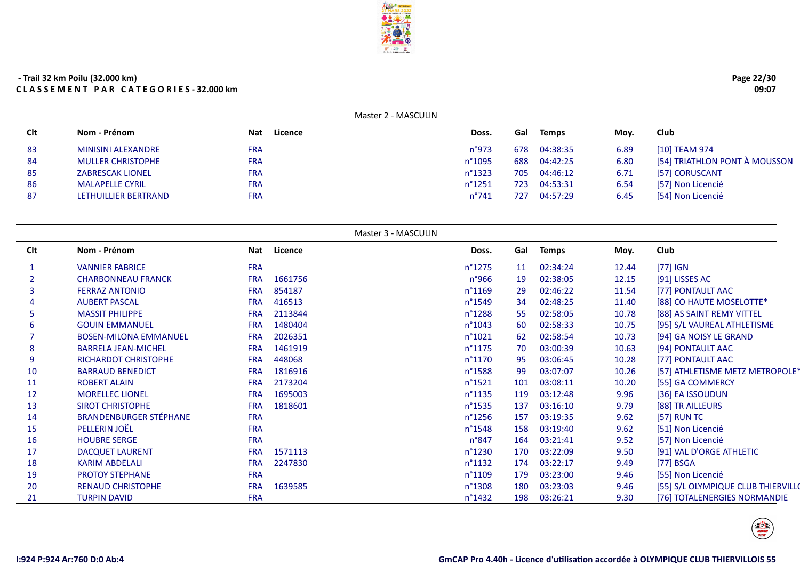**Page 22/3009:07**

|     |                           |                | Master 2 - MASCULIN |     |              |      |                               |
|-----|---------------------------|----------------|---------------------|-----|--------------|------|-------------------------------|
| Clt | Nom - Prénom              | Licence<br>Nat | Doss.               | Gal | <b>Temps</b> | Moy. | Club                          |
| 83  | <b>MINISINI ALEXANDRE</b> | <b>FRA</b>     | n°973               | 678 | 04:38:35     | 6.89 | [10] TEAM 974                 |
| 84  | <b>MULLER CHRISTOPHE</b>  | <b>FRA</b>     | $n^{\circ}1095$     | 688 | 04:42:25     | 6.80 | [54] TRIATHLON PONT À MOUSSON |
| 85  | <b>ZABRESCAK LIONEL</b>   | <b>FRA</b>     | $n^{\circ}$ 1323    | 705 | 04:46:12     | 6.71 | [57] CORUSCANT                |
| 86  | <b>MALAPELLE CYRIL</b>    | <b>FRA</b>     | $n^{\circ}1251$     | 723 | 04:53:31     | 6.54 | [57] Non Licencié             |
| -87 | LETHUILLIER BERTRAND      | <b>FRA</b>     | $n^{\circ}741$      | 727 | 04:57:29     | 6.45 | [54] Non Licencié             |

|             |                               |            |         | Master 3 - MASCULIN |     |              |       |                                    |
|-------------|-------------------------------|------------|---------|---------------------|-----|--------------|-------|------------------------------------|
| Clt         | Nom - Prénom                  | Nat        | Licence | Doss.               | Gal | <b>Temps</b> | Moy.  | Club                               |
| $\mathbf 1$ | <b>VANNIER FABRICE</b>        | <b>FRA</b> |         | $n^{\circ}$ 1275    | 11  | 02:34:24     | 12.44 | $[77]$ IGN                         |
|             | <b>CHARBONNEAU FRANCK</b>     | <b>FRA</b> | 1661756 | n°966               | 19  | 02:38:05     | 12.15 | [91] LISSES AC                     |
|             | <b>FERRAZ ANTONIO</b>         | <b>FRA</b> | 854187  | $n^{\circ}1169$     | 29  | 02:46:22     | 11.54 | [77] PONTAULT AAC                  |
|             | <b>AUBERT PASCAL</b>          | <b>FRA</b> | 416513  | n°1549              | 34  | 02:48:25     | 11.40 | [88] CO HAUTE MOSELOTTE*           |
|             | <b>MASSIT PHILIPPE</b>        | <b>FRA</b> | 2113844 | n°1288              | 55  | 02:58:05     | 10.78 | [88] AS SAINT REMY VITTEL          |
| 6           | <b>GOUIN EMMANUEL</b>         | <b>FRA</b> | 1480404 | $n^{\circ}1043$     | 60  | 02:58:33     | 10.75 | [95] S/L VAUREAL ATHLETISME        |
|             | <b>BOSEN-MILONA EMMANUEL</b>  | <b>FRA</b> | 2026351 | n°1021              | 62  | 02:58:54     | 10.73 | [94] GA NOISY LE GRAND             |
| 8           | <b>BARRELA JEAN-MICHEL</b>    | <b>FRA</b> | 1461919 | $n^{\circ}1175$     | 70  | 03:00:39     | 10.63 | [94] PONTAULT AAC                  |
| 9           | <b>RICHARDOT CHRISTOPHE</b>   | <b>FRA</b> | 448068  | $n^{\circ}1170$     | 95  | 03:06:45     | 10.28 | [77] PONTAULT AAC                  |
| 10          | <b>BARRAUD BENEDICT</b>       | <b>FRA</b> | 1816916 | n°1588              | 99  | 03:07:07     | 10.26 | [57] ATHLETISME METZ METROPOLE*    |
| 11          | <b>ROBERT ALAIN</b>           | <b>FRA</b> | 2173204 | $n^{\circ}$ 1521    | 101 | 03:08:11     | 10.20 | [55] GA COMMERCY                   |
| 12          | <b>MORELLEC LIONEL</b>        | <b>FRA</b> | 1695003 | $n^{\circ}$ 1135    | 119 | 03:12:48     | 9.96  | [36] EA ISSOUDUN                   |
| 13          | <b>SIROT CHRISTOPHE</b>       | <b>FRA</b> | 1818601 | $n^{\circ}$ 1535    | 137 | 03:16:10     | 9.79  | [88] TR AILLEURS                   |
| 14          | <b>BRANDENBURGER STÉPHANE</b> | <b>FRA</b> |         | $n^{\circ}$ 1256    | 157 | 03:19:35     | 9.62  | [57] RUN TC                        |
| 15          | PELLERIN JOËL                 | <b>FRA</b> |         | $n^{\circ}$ 1548    | 158 | 03:19:40     | 9.62  | [51] Non Licencié                  |
| 16          | <b>HOUBRE SERGE</b>           | <b>FRA</b> |         | $n^{\circ}847$      | 164 | 03:21:41     | 9.52  | [57] Non Licencié                  |
| 17          | <b>DACQUET LAURENT</b>        | <b>FRA</b> | 1571113 | $n^{\circ}$ 1230    | 170 | 03:22:09     | 9.50  | [91] VAL D'ORGE ATHLETIC           |
| 18          | <b>KARIM ABDELALI</b>         | <b>FRA</b> | 2247830 | $n^{\circ}1132$     | 174 | 03:22:17     | 9.49  | $[77]$ BSGA                        |
| 19          | <b>PROTOY STEPHANE</b>        | <b>FRA</b> |         | n°1109              | 179 | 03:23:00     | 9.46  | [55] Non Licencié                  |
| 20          | <b>RENAUD CHRISTOPHE</b>      | <b>FRA</b> | 1639585 | n°1308              | 180 | 03:23:03     | 9.46  | [55] S/L OLYMPIQUE CLUB THIERVILLO |
| 21          | <b>TURPIN DAVID</b>           | <b>FRA</b> |         | $n^{\circ}$ 1432    | 198 | 03:26:21     | 9.30  | [76] TOTALENERGIES NORMANDIE       |

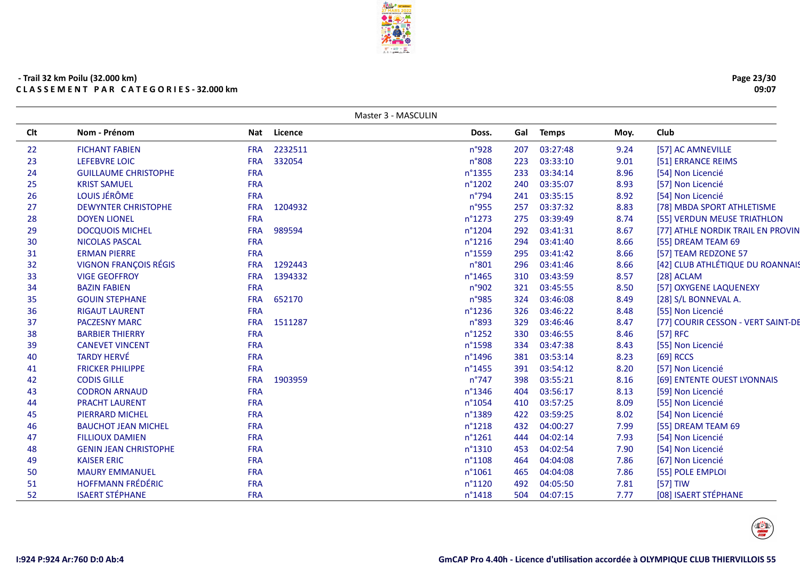|     | Master 3 - MASCULIN          |            |                |                  |     |              |      |                                    |  |  |  |
|-----|------------------------------|------------|----------------|------------------|-----|--------------|------|------------------------------------|--|--|--|
| Clt | Nom - Prénom                 | <b>Nat</b> | <b>Licence</b> | Doss.            | Gal | <b>Temps</b> | Moy. | Club                               |  |  |  |
| 22  | <b>FICHANT FABIEN</b>        | <b>FRA</b> | 2232511        | n°928            | 207 | 03:27:48     | 9.24 | [57] AC AMNEVILLE                  |  |  |  |
| 23  | <b>LEFEBVRE LOIC</b>         | <b>FRA</b> | 332054         | n°808            | 223 | 03:33:10     | 9.01 | [51] ERRANCE REIMS                 |  |  |  |
| 24  | <b>GUILLAUME CHRISTOPHE</b>  | <b>FRA</b> |                | n°1355           | 233 | 03:34:14     | 8.96 | [54] Non Licencié                  |  |  |  |
| 25  | <b>KRIST SAMUEL</b>          | <b>FRA</b> |                | n°1202           | 240 | 03:35:07     | 8.93 | [57] Non Licencié                  |  |  |  |
| 26  | LOUIS JÉRÔME                 | <b>FRA</b> |                | $n^{\circ}$ 794  | 241 | 03:35:15     | 8.92 | [54] Non Licencié                  |  |  |  |
| 27  | <b>DEWYNTER CHRISTOPHE</b>   | <b>FRA</b> | 1204932        | n°955            | 257 | 03:37:32     | 8.83 | [78] MBDA SPORT ATHLETISME         |  |  |  |
| 28  | <b>DOYEN LIONEL</b>          | <b>FRA</b> |                | $n^{\circ}$ 1273 | 275 | 03:39:49     | 8.74 | [55] VERDUN MEUSE TRIATHLON        |  |  |  |
| 29  | <b>DOCQUOIS MICHEL</b>       | <b>FRA</b> | 989594         | n°1204           | 292 | 03:41:31     | 8.67 | [77] ATHLE NORDIK TRAIL EN PROVIN  |  |  |  |
| 30  | <b>NICOLAS PASCAL</b>        | <b>FRA</b> |                | $n^{\circ}$ 1216 | 294 | 03:41:40     | 8.66 | [55] DREAM TEAM 69                 |  |  |  |
| 31  | <b>ERMAN PIERRE</b>          | <b>FRA</b> |                | n°1559           | 295 | 03:41:42     | 8.66 | [57] TEAM REDZONE 57               |  |  |  |
| 32  | <b>VIGNON FRANÇOIS RÉGIS</b> | <b>FRA</b> | 1292443        | n°801            | 296 | 03:41:46     | 8.66 | [42] CLUB ATHLÉTIQUE DU ROANNAIS   |  |  |  |
| 33  | <b>VIGE GEOFFROY</b>         | <b>FRA</b> | 1394332        | $n^{\circ}$ 1465 | 310 | 03:43:59     | 8.57 | [28] ACLAM                         |  |  |  |
| 34  | <b>BAZIN FABIEN</b>          | <b>FRA</b> |                | n°902            | 321 | 03:45:55     | 8.50 | [57] OXYGENE LAQUENEXY             |  |  |  |
| 35  | <b>GOUIN STEPHANE</b>        | <b>FRA</b> | 652170         | n°985            | 324 | 03:46:08     | 8.49 | [28] S/L BONNEVAL A.               |  |  |  |
| 36  | <b>RIGAUT LAURENT</b>        | <b>FRA</b> |                | n°1236           | 326 | 03:46:22     | 8.48 | [55] Non Licencié                  |  |  |  |
| 37  | PACZESNY MARC                | <b>FRA</b> | 1511287        | n°893            | 329 | 03:46:46     | 8.47 | [77] COURIR CESSON - VERT SAINT-DE |  |  |  |
| 38  | <b>BARBIER THIERRY</b>       | <b>FRA</b> |                | $n^{\circ}$ 1252 | 330 | 03:46:55     | 8.46 | $[57]$ RFC                         |  |  |  |
| 39  | <b>CANEVET VINCENT</b>       | <b>FRA</b> |                | n°1598           | 334 | 03:47:38     | 8.43 | [55] Non Licencié                  |  |  |  |
| 40  | <b>TARDY HERVÉ</b>           | <b>FRA</b> |                | n°1496           | 381 | 03:53:14     | 8.23 | [69] RCCS                          |  |  |  |
| 41  | <b>FRICKER PHILIPPE</b>      | <b>FRA</b> |                | $n^{\circ}$ 1455 | 391 | 03:54:12     | 8.20 | [57] Non Licencié                  |  |  |  |
| 42  | <b>CODIS GILLE</b>           | <b>FRA</b> | 1903959        | $n^{\circ}747$   | 398 | 03:55:21     | 8.16 | [69] ENTENTE OUEST LYONNAIS        |  |  |  |
| 43  | <b>CODRON ARNAUD</b>         | <b>FRA</b> |                | n°1346           | 404 | 03:56:17     | 8.13 | [59] Non Licencié                  |  |  |  |
| 44  | <b>PRACHT LAURENT</b>        | <b>FRA</b> |                | $n^{\circ}1054$  | 410 | 03:57:25     | 8.09 | [55] Non Licencié                  |  |  |  |
| 45  | <b>PIERRARD MICHEL</b>       | <b>FRA</b> |                | n°1389           | 422 | 03:59:25     | 8.02 | [54] Non Licencié                  |  |  |  |
| 46  | <b>BAUCHOT JEAN MICHEL</b>   | <b>FRA</b> |                | $n^{\circ}1218$  | 432 | 04:00:27     | 7.99 | [55] DREAM TEAM 69                 |  |  |  |
| 47  | <b>FILLIOUX DAMIEN</b>       | <b>FRA</b> |                | $n^{\circ}1261$  | 444 | 04:02:14     | 7.93 | [54] Non Licencié                  |  |  |  |
| 48  | <b>GENIN JEAN CHRISTOPHE</b> | <b>FRA</b> |                | n°1310           | 453 | 04:02:54     | 7.90 | [54] Non Licencié                  |  |  |  |
| 49  | <b>KAISER ERIC</b>           | <b>FRA</b> |                | $n^{\circ}1108$  | 464 | 04:04:08     | 7.86 | [67] Non Licencié                  |  |  |  |
| 50  | <b>MAURY EMMANUEL</b>        | <b>FRA</b> |                | $n^{\circ}1061$  | 465 | 04:04:08     | 7.86 | [55] POLE EMPLOI                   |  |  |  |
| 51  | HOFFMANN FRÉDÉRIC            | <b>FRA</b> |                | $n^{\circ}1120$  | 492 | 04:05:50     | 7.81 | $[57]$ TIW                         |  |  |  |
| 52  | <b>ISAERT STÉPHANE</b>       | <b>FRA</b> |                | $n^{\circ}$ 1418 | 504 | 04:07:15     | 7.77 | [08] ISAERT STÉPHANE               |  |  |  |

**木仙·**<br>27 MARS 2





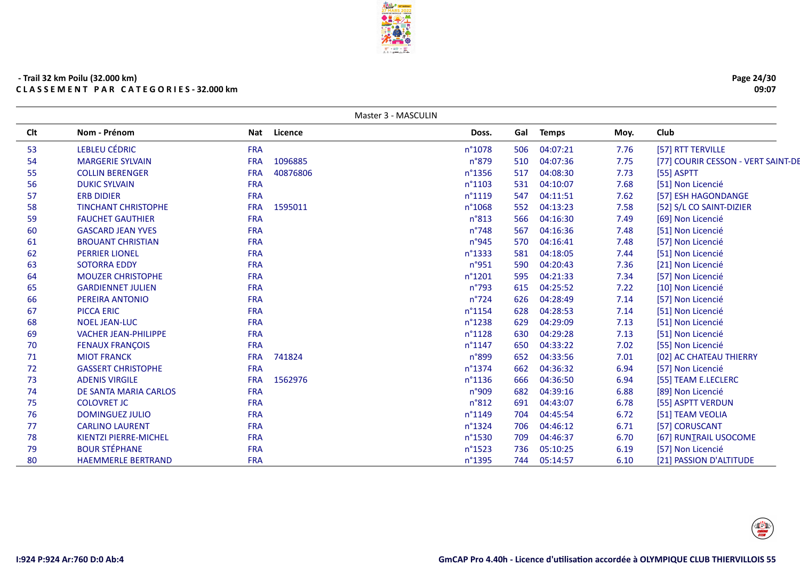| Clt | Nom - Prénom                 | Nat        | Licence  | Doss.            | Gal | <b>Temps</b> | Moy. | Club                               |
|-----|------------------------------|------------|----------|------------------|-----|--------------|------|------------------------------------|
| 53  | <b>LEBLEU CÉDRIC</b>         | <b>FRA</b> |          | n°1078           | 506 | 04:07:21     | 7.76 | [57] RTT TERVILLE                  |
| 54  | <b>MARGERIE SYLVAIN</b>      | <b>FRA</b> | 1096885  | n°879            | 510 | 04:07:36     | 7.75 | [77] COURIR CESSON - VERT SAINT-DI |
| 55  | <b>COLLIN BERENGER</b>       | <b>FRA</b> | 40876806 | $n^{\circ}$ 1356 | 517 | 04:08:30     | 7.73 | [55] ASPTT                         |
| 56  | <b>DUKIC SYLVAIN</b>         | <b>FRA</b> |          | n°1103           | 531 | 04:10:07     | 7.68 | [51] Non Licencié                  |
| 57  | <b>ERB DIDIER</b>            | <b>FRA</b> |          | n°1119           | 547 | 04:11:51     | 7.62 | [57] ESH HAGONDANGE                |
| 58  | <b>TINCHANT CHRISTOPHE</b>   | <b>FRA</b> | 1595011  | n°1068           | 552 | 04:13:23     | 7.58 | [52] S/L CO SAINT-DIZIER           |
| 59  | <b>FAUCHET GAUTHIER</b>      | <b>FRA</b> |          | n°813            | 566 | 04:16:30     | 7.49 | [69] Non Licencié                  |
| 60  | <b>GASCARD JEAN YVES</b>     | <b>FRA</b> |          | $n^{\circ}748$   | 567 | 04:16:36     | 7.48 | [51] Non Licencié                  |
| 61  | <b>BROUANT CHRISTIAN</b>     | <b>FRA</b> |          | n°945            | 570 | 04:16:41     | 7.48 | [57] Non Licencié                  |
| 62  | <b>PERRIER LIONEL</b>        | <b>FRA</b> |          | n°1333           | 581 | 04:18:05     | 7.44 | [51] Non Licencié                  |
| 63  | <b>SOTORRA EDDY</b>          | <b>FRA</b> |          | n°951            | 590 | 04:20:43     | 7.36 | [21] Non Licencié                  |
| 64  | <b>MOUZER CHRISTOPHE</b>     | <b>FRA</b> |          | n°1201           | 595 | 04:21:33     | 7.34 | [57] Non Licencié                  |
| 65  | <b>GARDIENNET JULIEN</b>     | <b>FRA</b> |          | n°793            | 615 | 04:25:52     | 7.22 | [10] Non Licencié                  |
| -66 | PEREIRA ANTONIO              | <b>FRA</b> |          | $n^{\circ}$ 724  | 626 | 04:28:49     | 7.14 | [57] Non Licencié                  |
| 67  | <b>PICCA ERIC</b>            | <b>FRA</b> |          | $n^{\circ}$ 1154 | 628 | 04:28:53     | 7.14 | [51] Non Licencié                  |
| 68  | <b>NOEL JEAN-LUC</b>         | <b>FRA</b> |          | $n^{\circ}$ 1238 | 629 | 04:29:09     | 7.13 | [51] Non Licencié                  |
| 69  | <b>VACHER JEAN-PHILIPPE</b>  | <b>FRA</b> |          | $n^{\circ}1128$  | 630 | 04:29:28     | 7.13 | [51] Non Licencié                  |
| 70  | <b>FENAUX FRANÇOIS</b>       | <b>FRA</b> |          | n°1147           | 650 | 04:33:22     | 7.02 | [55] Non Licencié                  |
| 71  | <b>MIOT FRANCK</b>           | <b>FRA</b> | 741824   | n°899            | 652 | 04:33:56     | 7.01 | [02] AC CHATEAU THIERRY            |
| 72  | <b>GASSERT CHRISTOPHE</b>    | <b>FRA</b> |          | n°1374           | 662 | 04:36:32     | 6.94 | [57] Non Licencié                  |
| 73  | <b>ADENIS VIRGILE</b>        | <b>FRA</b> | 1562976  | $n^{\circ}$ 1136 | 666 | 04:36:50     | 6.94 | [55] TEAM E.LECLERC                |
| 74  | DE SANTA MARIA CARLOS        | <b>FRA</b> |          | n°909            | 682 | 04:39:16     | 6.88 | [89] Non Licencié                  |
| 75  | <b>COLOVRET JC</b>           | <b>FRA</b> |          | $n^{\circ}812$   | 691 | 04:43:07     | 6.78 | [55] ASPTT VERDUN                  |
| 76  | <b>DOMINGUEZ JULIO</b>       | <b>FRA</b> |          | n°1149           | 704 | 04:45:54     | 6.72 | [51] TEAM VEOLIA                   |
| 77  | <b>CARLINO LAURENT</b>       | <b>FRA</b> |          | n°1324           | 706 | 04:46:12     | 6.71 | [57] CORUSCANT                     |
| 78  | <b>KIENTZI PIERRE-MICHEL</b> | <b>FRA</b> |          | n°1530           | 709 | 04:46:37     | 6.70 | [67] RUNIRAIL USOCOME              |
| 79  | <b>BOUR STÉPHANE</b>         | <b>FRA</b> |          | n°1523           | 736 | 05:10:25     | 6.19 | [57] Non Licencié                  |
| 80  | <b>HAEMMERLE BERTRAND</b>    | <b>FRA</b> |          | n°1395           | 744 | 05:14:57     | 6.10 | [21] PASSION D'ALTITUDE            |



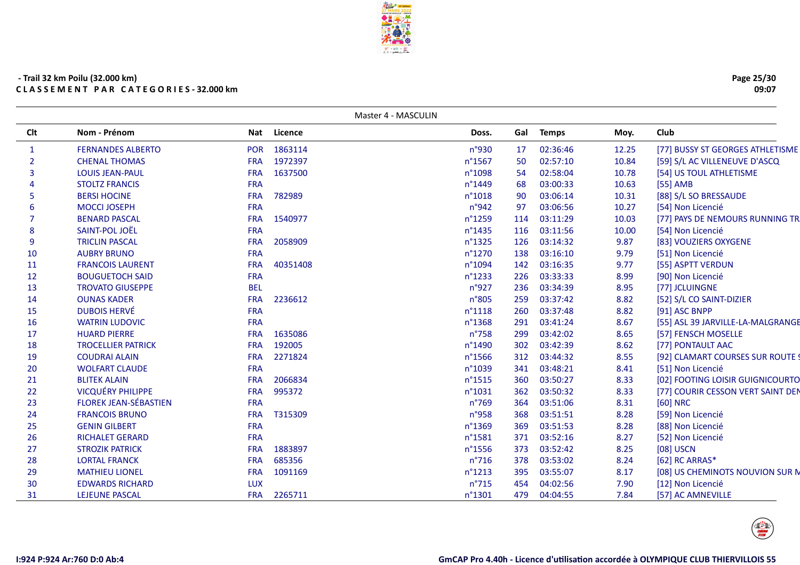**FRA** 

**FRA** 

**FRA** 

**FRA** 

**FRA** 

**FRA** 

**FRA** 

**FRA** 

**FRA** 

**FRA** 

**FRA** 

**LUX** 

**FRA** 

2271824

2066834

995372

T315309

1883897

685356

1091169

2265711

|                           |            |          | Master 4 - MASCULIN |     |              |       |                                   |
|---------------------------|------------|----------|---------------------|-----|--------------|-------|-----------------------------------|
| Nom - Prénom              | Nat        | Licence  | Doss.               | Gal | <b>Temps</b> | Moy.  | Club                              |
| <b>FERNANDES ALBERTO</b>  | <b>POR</b> | 1863114  | n°930               | 17  | 02:36:46     | 12.25 | [77] BUSSY ST GEORGES ATHLETISME  |
| <b>CHENAL THOMAS</b>      | <b>FRA</b> | 1972397  | n°1567              | 50  | 02:57:10     | 10.84 | [59] S/L AC VILLENEUVE D'ASCQ     |
| <b>LOUIS JEAN-PAUL</b>    | <b>FRA</b> | 1637500  | $n^{\circ}1098$     | 54  | 02:58:04     | 10.78 | [54] US TOUL ATHLETISME           |
| <b>STOLTZ FRANCIS</b>     | <b>FRA</b> |          | $n^{\circ}$ 1449    | 68  | 03:00:33     | 10.63 | [55] AMB                          |
| <b>BERSI HOCINE</b>       | <b>FRA</b> | 782989   | $n^{\circ}1018$     | 90  | 03:06:14     | 10.31 | [88] S/L SO BRESSAUDE             |
| <b>MOCCI JOSEPH</b>       | <b>FRA</b> |          | n°942               | 97  | 03:06:56     | 10.27 | [54] Non Licencié                 |
| <b>BENARD PASCAL</b>      | <b>FRA</b> | 1540977  | $n^{\circ}$ 1259    | 114 | 03:11:29     | 10.03 | [77] PAYS DE NEMOURS RUNNING TR   |
| SAINT-POL JOËL            | <b>FRA</b> |          | $n^{\circ}$ 1435    | 116 | 03:11:56     | 10.00 | [54] Non Licencié                 |
| <b>TRICLIN PASCAL</b>     | <b>FRA</b> | 2058909  | $n^{\circ}$ 1325    | 126 | 03:14:32     | 9.87  | [83] VOUZIERS OXYGENE             |
| <b>AUBRY BRUNO</b>        | <b>FRA</b> |          | $n^{\circ}1270$     | 138 | 03:16:10     | 9.79  | [51] Non Licencié                 |
| <b>FRANCOIS LAURENT</b>   | <b>FRA</b> | 40351408 | $n^{\circ}1094$     | 142 | 03:16:35     | 9.77  | [55] ASPTT VERDUN                 |
| <b>BOUGUETOCH SAID</b>    | <b>FRA</b> |          | $n^{\circ}$ 1233    | 226 | 03:33:33     | 8.99  | [90] Non Licencié                 |
| <b>TROVATO GIUSEPPE</b>   | <b>BEL</b> |          | $n^{\circ}927$      | 236 | 03:34:39     | 8.95  | [77] JCLUINGNE                    |
| <b>OUNAS KADER</b>        | <b>FRA</b> | 2236612  | n°805               | 259 | 03:37:42     | 8.82  | [52] S/L CO SAINT-DIZIER          |
| <b>DUBOIS HERVÉ</b>       | <b>FRA</b> |          | $n^{\circ}1118$     | 260 | 03:37:48     | 8.82  | [91] ASC BNPP                     |
| <b>WATRIN LUDOVIC</b>     | <b>FRA</b> |          | $n^{\circ}$ 1368    | 291 | 03:41:24     | 8.67  | [55] ASL 39 JARVILLE-LA-MALGRANGI |
| <b>HUARD PIERRE</b>       | <b>FRA</b> | 1635086  | $n^{\circ}758$      | 299 | 03:42:02     | 8.65  | [57] FENSCH MOSELLE               |
| <b>TROCELLIER PATRICK</b> | <b>FRA</b> | 192005   | $n^{\circ}$ 1490    | 302 | 03:42:39     | 8.62  | [77] PONTAULT AAC                 |

n°1566

n°1039

 $n^{\circ}$ 1515

n°1031

n°769

n°958

n°1369

n°1581

 $n^{\circ}$ 1556

 $n^{\circ}716$ 

 $n^{\circ}1213$ 

 $n^{\circ}715$ 

n°1301

312

341

360

362

368

395

454

479

03:44:32

03:48:21

03:50:27

03:50:32

03:51:51

03:55:07

04:02:56

04:04:55

364 03:51:06

369 03:51:53

371 03:52:16

373 03:52:42

378 03:53:02

#### - Trail 32 km Poilu (32.000 km) CLASSEMENT PAR CATEGORIES-32.000 km

**COUDRAI ALAIN** 

**BLITEK ALAIN** 

**WOLFART CLAUDE** 

**VICQUÉRY PHILIPPE** 

**FRANCOIS BRUNO** 

**RICHALET GERARD** 

**STROZIK PATRICK** 

**LORTAL FRANCK** 

**MATHIEU LIONEL** 

LEJEUNE PASCAL

**EDWARDS RICHARD** 

**GENIN GILBERT** 

**FLOREK JEAN-SÉBASTIEN** 

Clt

 $\mathbf{1}$ 

 $\overline{2}$ 

 $\overline{3}$ 

 $\Delta$ 

5

6  $\overline{7}$ 

8

9

10

11

12

13

14

15

16

17

18

19

20

21

22

23

24

25

26

27

28

29

30

31

1:924 P:924 Ar:760 D:0 Ab:4

8.55

8.41

8.33

8.33

8.31

8.28

8.28

8.27

8.25

8.24

8.17

7.90

7.84



Page 25/30 09:07

[92] CLAMART COURSES SUR ROUTE !

[02] FOOTING LOISIR GUIGNICOURTO

[77] COURIR CESSON VERT SAINT DEN

[08] US CHEMINOTS NOUVION SUR N

[51] Non Licencié

[59] Non Licencié

[88] Non Licencié

[52] Non Licencié

[62] RC ARRAS\*

[12] Non Licencié

[57] AC AMNEVILLE

[60] NRC

[08] USCN

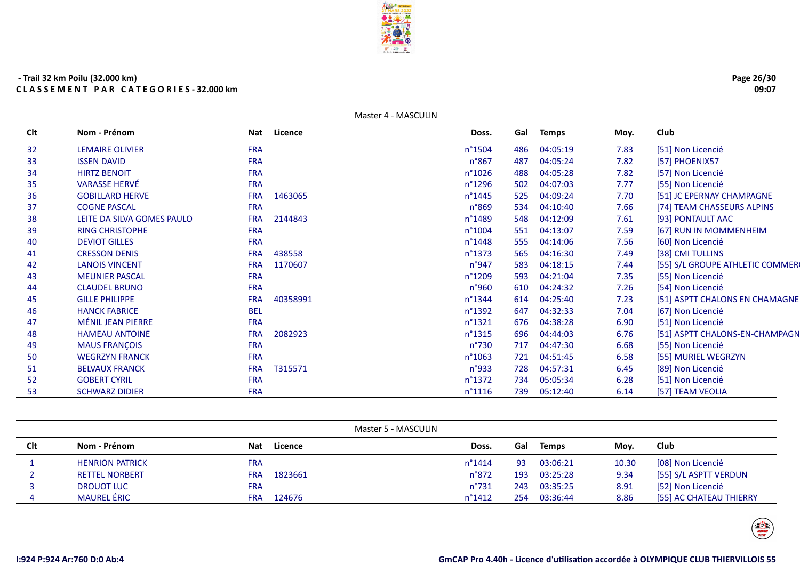|     |                        |            | Master 5 - MASCULIN |                  |     |              |       |                         |
|-----|------------------------|------------|---------------------|------------------|-----|--------------|-------|-------------------------|
| Clt | Nom - Prénom           | Nat        | Licence             | Doss.            | Gal | <b>Temps</b> | Mov.  | Club                    |
|     | <b>HENRION PATRICK</b> | FRA        |                     | $n^{\circ}1414$  | 93  | 03:06:21     | 10.30 | [08] Non Licencié       |
|     | <b>RETTEL NORBERT</b>  | FRA        | 1823661             | $n^{\circ}872$   | 193 | 03:25:28     | 9.34  | [55] S/L ASPTT VERDUN   |
|     | <b>DROUOT LUC</b>      | FRA        |                     | $n^{\circ}731$   | 243 | 03:35:25     | 8.91  | [52] Non Licencié       |
|     | <b>MAUREL ÉRIC</b>     | <b>FRA</b> | 124676              | $n^{\circ}$ 1412 | 254 | 03:36:44     | 8.86  | [55] AC CHATEAU THIERRY |

**ATRAIL P RESERVED**<br>27 MARS 2022

Master 4 - MASCULIN

Nat Licence

**FRA** 

FRA

FRA

FRA

#### - Trail 32 km Poilu (32.000 km) CLASSEMENT PAR CATEGORIES-32.000 km

Nom - Prénom

**ISSEN DAVID** 

**HIRTZ BENOIT** 

**VARASSE HERVÉ** 

**LEMAIRE OLIVIER** 

**Clt** 

32

33

34

35

| Nom - Prónom               | Nat        | l icanca |                     | Doss             | Gal | <b>Tamns</b> | M <sub>ov</sub> | Club                            |
|----------------------------|------------|----------|---------------------|------------------|-----|--------------|-----------------|---------------------------------|
|                            |            |          | Master 5 - MASCULIN |                  |     |              |                 |                                 |
|                            |            |          |                     |                  |     |              |                 |                                 |
| <b>SCHWARZ DIDIER</b>      | <b>FRA</b> |          |                     | $n^{\circ}1116$  | 739 | 05:12:40     | 6.14            | [57] TEAM VEOLIA                |
| <b>GOBERT CYRIL</b>        | <b>FRA</b> |          |                     | n°1372           | 734 | 05:05:34     | 6.28            | [51] Non Licencié               |
| <b>BELVAUX FRANCK</b>      | <b>FRA</b> | T315571  |                     | n°933            | 728 | 04:57:31     | 6.45            | [89] Non Licencié               |
| <b>WEGRZYN FRANCK</b>      | <b>FRA</b> |          |                     | $n^{\circ}1063$  | 721 | 04:51:45     | 6.58            | [55] MURIEL WEGRZYN             |
| <b>MAUS FRANÇOIS</b>       | <b>FRA</b> |          |                     | $n^{\circ}730$   | 717 | 04:47:30     | 6.68            | [55] Non Licencié               |
| <b>HAMEAU ANTOINE</b>      | <b>FRA</b> | 2082923  |                     | $n^{\circ}$ 1315 | 696 | 04:44:03     | 6.76            | [51] ASPTT CHALONS-EN-CHAMPAGN  |
| <b>MÉNIL JEAN PIERRE</b>   | <b>FRA</b> |          |                     | $n^{\circ}$ 1321 | 676 | 04:38:28     | 6.90            | [51] Non Licencié               |
| <b>HANCK FABRICE</b>       | <b>BEL</b> |          |                     | $n^{\circ}$ 1392 | 647 | 04:32:33     | 7.04            | [67] Non Licencié               |
| <b>GILLE PHILIPPE</b>      | <b>FRA</b> | 40358991 |                     | $n^{\circ}$ 1344 | 614 | 04:25:40     | 7.23            | [51] ASPTT CHALONS EN CHAMAGNE  |
| <b>CLAUDEL BRUNO</b>       | <b>FRA</b> |          |                     | n°960            | 610 | 04:24:32     | 7.26            | [54] Non Licencié               |
| <b>MEUNIER PASCAL</b>      | <b>FRA</b> |          |                     | n°1209           | 593 | 04:21:04     | 7.35            | [55] Non Licencié               |
| <b>LANOIS VINCENT</b>      | <b>FRA</b> | 1170607  |                     | n°947            | 583 | 04:18:15     | 7.44            | [55] S/L GROUPE ATHLETIC COMMER |
| <b>CRESSON DENIS</b>       | <b>FRA</b> | 438558   |                     | $n^{\circ}$ 1373 | 565 | 04:16:30     | 7.49            | [38] CMI TULLINS                |
| <b>DEVIOT GILLES</b>       | <b>FRA</b> |          |                     | $n^{\circ}$ 1448 | 555 | 04:14:06     | 7.56            | [60] Non Licencié               |
| <b>RING CHRISTOPHE</b>     | <b>FRA</b> |          |                     | $n^{\circ}1004$  | 551 | 04:13:07     | 7.59            | [67] RUN IN MOMMENHEIM          |
| LEITE DA SILVA GOMES PAULO | <b>FRA</b> | 2144843  |                     | $n^{\circ}$ 1489 | 548 | 04:12:09     | 7.61            | [93] PONTAULT AAC               |
| <b>COGNE PASCAL</b>        | <b>FRA</b> |          |                     | $n^{\circ}869$   | 534 | 04:10:40     | 7.66            | [74] TEAM CHASSEURS ALPINS      |
| <b>GOBILLARD HERVE</b>     | <b>FRA</b> | 1463065  |                     | $n^{\circ}$ 1445 | 525 | 04:09:24     | 7.70            | [51] JC EPERNAY CHAMPAGNE       |
|                            |            |          |                     |                  |     |              |                 |                                 |



Moy.

7.83

7.82

7.82

7.77

Gal Temps

486

487

488

04:05:19

04:05:24

04:05:28

502 04:07:03

Doss. n°1504

n°867

n°1026

n°1296

Club

[51] Non Licencié

[57] Non Licencié

[55] Non Licencié

[57] PHOENIX57

Page 26/30 09:07

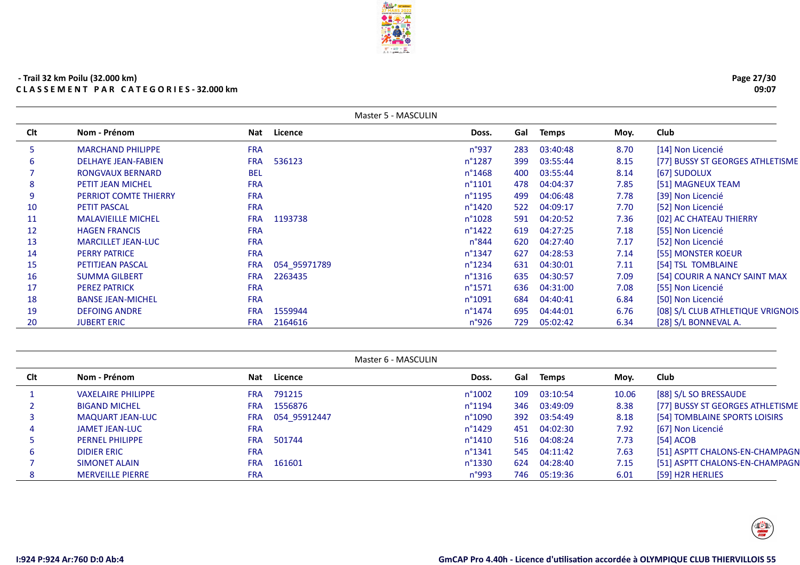| - Trail 32 km Poilu (32.000 km) |  |                                     |  |  |  |  |  |  |  |  |
|---------------------------------|--|-------------------------------------|--|--|--|--|--|--|--|--|
|                                 |  | CLASSEMENT PAR CATEGORIES-32.000 km |  |  |  |  |  |  |  |  |

|     | Master 5 - MASCULIN          |            |              |                  |     |          |      |                                   |  |
|-----|------------------------------|------------|--------------|------------------|-----|----------|------|-----------------------------------|--|
| Clt | Nom - Prénom                 | Nat        | Licence      | Doss.            | Gal | Temps    | Moy. | <b>Club</b>                       |  |
| 5.  | <b>MARCHAND PHILIPPE</b>     | <b>FRA</b> |              | n°937            | 283 | 03:40:48 | 8.70 | [14] Non Licencié                 |  |
| 6   | <b>DELHAYE JEAN-FABIEN</b>   | <b>FRA</b> | 536123       | $n^{\circ}$ 1287 | 399 | 03:55:44 | 8.15 | [77] BUSSY ST GEORGES ATHLETISME  |  |
|     | <b>RONGVAUX BERNARD</b>      | <b>BEL</b> |              | $n^{\circ}$ 1468 | 400 | 03:55:44 | 8.14 | [67] SUDOLUX                      |  |
| 8   | <b>PETIT JEAN MICHEL</b>     | <b>FRA</b> |              | $n^{\circ}1101$  | 478 | 04:04:37 | 7.85 | [51] MAGNEUX TEAM                 |  |
| 9   | <b>PERRIOT COMTE THIERRY</b> | <b>FRA</b> |              | $n^{\circ}1195$  | 499 | 04:06:48 | 7.78 | [39] Non Licencié                 |  |
| 10  | PETIT PASCAL                 | <b>FRA</b> |              | $n^{\circ}$ 1420 | 522 | 04:09:17 | 7.70 | [52] Non Licencié                 |  |
| 11  | <b>MALAVIEILLE MICHEL</b>    | <b>FRA</b> | 1193738      | $n^{\circ}1028$  | 591 | 04:20:52 | 7.36 | [02] AC CHATEAU THIERRY           |  |
| 12  | <b>HAGEN FRANCIS</b>         | <b>FRA</b> |              | $n^{\circ}$ 1422 | 619 | 04:27:25 | 7.18 | [55] Non Licencié                 |  |
| 13  | <b>MARCILLET JEAN-LUC</b>    | <b>FRA</b> |              | n°844            | 620 | 04:27:40 | 7.17 | [52] Non Licencié                 |  |
| 14  | <b>PERRY PATRICE</b>         | <b>FRA</b> |              | $n^{\circ}$ 1347 | 627 | 04:28:53 | 7.14 | [55] MONSTER KOEUR                |  |
| 15  | PETITJEAN PASCAL             | <b>FRA</b> | 054 95971789 | $n^{\circ}$ 1234 | 631 | 04:30:01 | 7.11 | [54] TSL TOMBLAINE                |  |
| 16  | <b>SUMMA GILBERT</b>         | <b>FRA</b> | 2263435      | $n^{\circ}$ 1316 | 635 | 04:30:57 | 7.09 | [54] COURIR A NANCY SAINT MAX     |  |
| 17  | <b>PEREZ PATRICK</b>         | <b>FRA</b> |              | $n^{\circ}$ 1571 | 636 | 04:31:00 | 7.08 | [55] Non Licencié                 |  |
| 18  | <b>BANSE JEAN-MICHEL</b>     | <b>FRA</b> |              | $n^{\circ}1091$  | 684 | 04:40:41 | 6.84 | [50] Non Licencié                 |  |
| 19  | <b>DEFOING ANDRE</b>         | <b>FRA</b> | 1559944      | $n^{\circ}$ 1474 | 695 | 04:44:01 | 6.76 | [08] S/L CLUB ATHLETIQUE VRIGNOIS |  |
| 20  | <b>JUBERT ERIC</b>           | <b>FRA</b> | 2164616      | n°926            | 729 | 05:02:42 | 6.34 | [28] S/L BONNEVAL A.              |  |

| Master 6 - MASCULIN |                           |            |              |                  |     |              |       |                                  |
|---------------------|---------------------------|------------|--------------|------------------|-----|--------------|-------|----------------------------------|
| Clt                 | Nom - Prénom              | Nat        | Licence      | Doss.            | Gal | Temps        | Moy.  | <b>Club</b>                      |
|                     | <b>VAXELAIRE PHILIPPE</b> | <b>FRA</b> | 791215       | $n^{\circ}1002$  | 109 | 03:10:54     | 10.06 | [88] S/L SO BRESSAUDE            |
|                     | <b>BIGAND MICHEL</b>      | <b>FRA</b> | 1556876      | $n^{\circ}1194$  |     | 346 03:49:09 | 8.38  | [77] BUSSY ST GEORGES ATHLETISME |
|                     | <b>MAQUART JEAN-LUC</b>   | <b>FRA</b> | 054 95912447 | $n^{\circ}1090$  |     | 392 03:54:49 | 8.18  | [54] TOMBLAINE SPORTS LOISIRS    |
|                     | JAMET JEAN-LUC            | <b>FRA</b> |              | $n^{\circ}$ 1429 | 451 | 04:02:30     | 7.92  | [67] Non Licencié                |
|                     | <b>PERNEL PHILIPPE</b>    | <b>FRA</b> | 501744       | $n^{\circ}1410$  | 516 | 04:08:24     | 7.73  | $[54]$ ACOB                      |
| b                   | <b>DIDIER ERIC</b>        | <b>FRA</b> |              | $n^{\circ}$ 1341 | 545 | 04:11:42     | 7.63  | [51] ASPTT CHALONS-EN-CHAMPAGN   |
|                     | <b>SIMONET ALAIN</b>      | <b>FRA</b> | 161601       | n°1330           | 624 | 04:28:40     | 7.15  | [51] ASPTT CHALONS-EN-CHAMPAGN   |
|                     | <b>MERVEILLE PIERRE</b>   | <b>FRA</b> |              | n°993            |     | 746 05:19:36 | 6.01  | [59] H2R HERLIES                 |





 $\begin{pmatrix}\n\frac{1}{\sqrt{2}} \\
\frac{1}{\sqrt{2}} \\
\frac{1}{\sqrt{2}}\n\end{pmatrix}$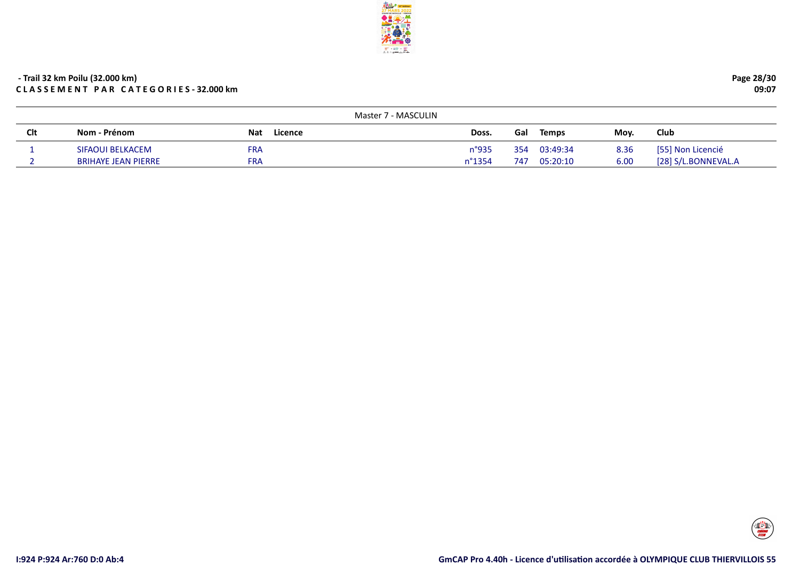Page 28/30 09:07

|     |                            |                       | Master 7 - MASCULIN     |          |      |                     |
|-----|----------------------------|-----------------------|-------------------------|----------|------|---------------------|
| Clt | Nom - Prénom               | Licence<br><b>Nat</b> | Gal<br>Doss.            | Temps    | Moy. | Club                |
|     | SIFAOUI BELKACEM           | FRA                   | n°935<br>354            | 03:49:34 | 8.36 | [55] Non Licencié   |
|     | <b>BRIHAYE JEAN PIERRE</b> | <b>FRA</b>            | $n^{\circ}$ 1354<br>747 | 05:20:10 | 6.00 | [28] S/L.BONNEVAL.A |

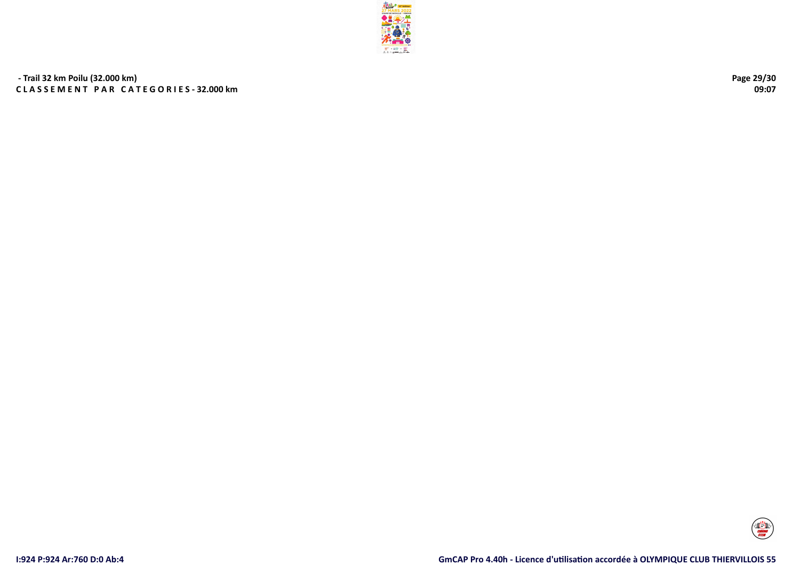Page 29/30 09:07